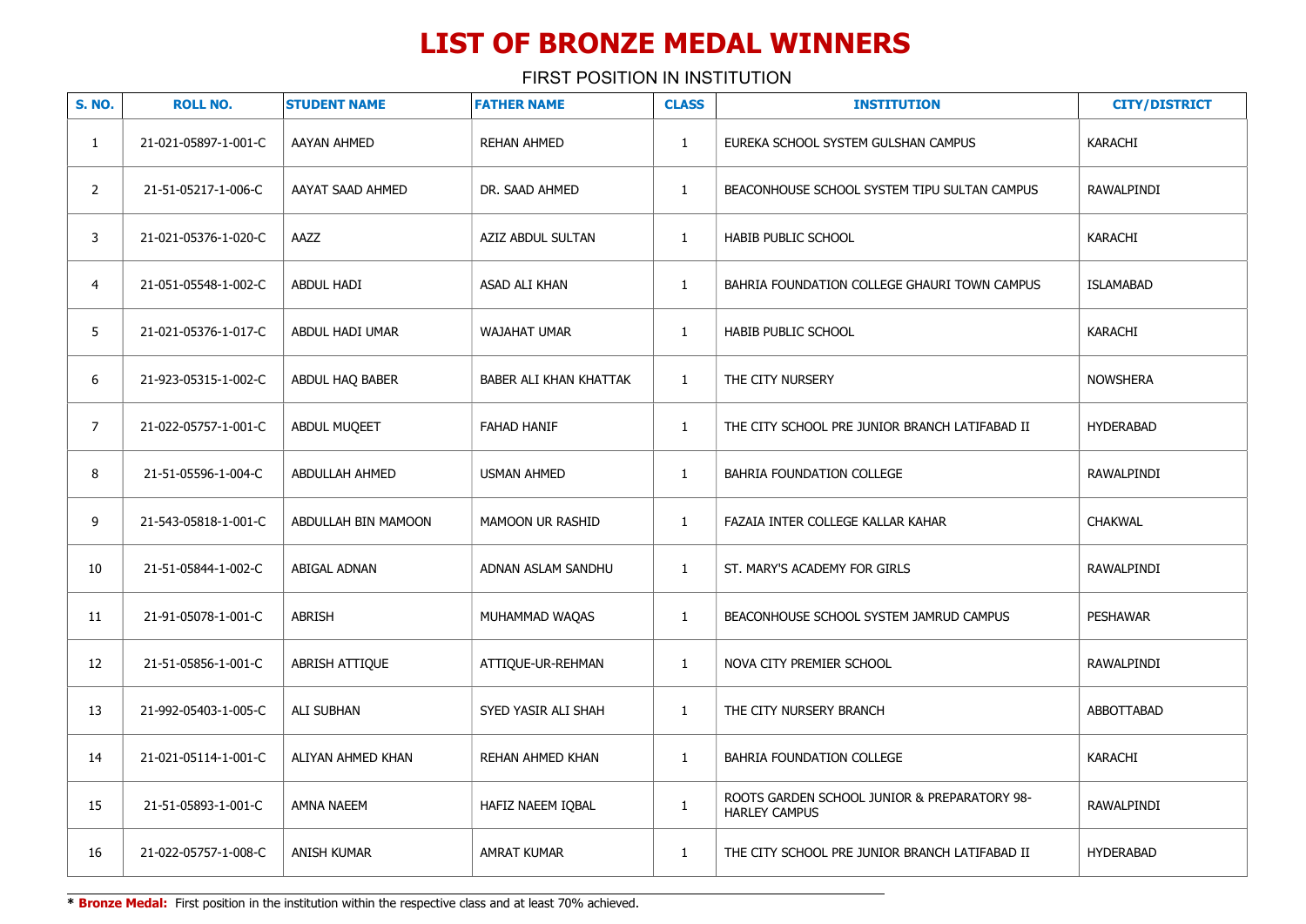| <b>S. NO.</b>  | <b>ROLL NO.</b>      | <b>STUDENT NAME</b>   | <b>FATHER NAME</b>     | <b>CLASS</b> | <b>INSTITUTION</b>                                                   | <b>CITY/DISTRICT</b> |
|----------------|----------------------|-----------------------|------------------------|--------------|----------------------------------------------------------------------|----------------------|
| $\mathbf{1}$   | 21-021-05897-1-001-C | AAYAN AHMED           | <b>REHAN AHMED</b>     | $\mathbf{1}$ | EUREKA SCHOOL SYSTEM GULSHAN CAMPUS                                  | KARACHI              |
| $\overline{2}$ | 21-51-05217-1-006-C  | AAYAT SAAD AHMED      | DR. SAAD AHMED         | $\mathbf{1}$ | BEACONHOUSE SCHOOL SYSTEM TIPU SULTAN CAMPUS                         | RAWALPINDI           |
| 3              | 21-021-05376-1-020-C | AAZZ                  | AZIZ ABDUL SULTAN      | $\mathbf{1}$ | <b>HABIB PUBLIC SCHOOL</b>                                           | <b>KARACHI</b>       |
| 4              | 21-051-05548-1-002-C | <b>ABDUL HADI</b>     | ASAD ALI KHAN          | $\mathbf{1}$ | BAHRIA FOUNDATION COLLEGE GHAURI TOWN CAMPUS                         | <b>ISLAMABAD</b>     |
| 5              | 21-021-05376-1-017-C | ABDUL HADI UMAR       | WAJAHAT UMAR           | $\mathbf{1}$ | HABIB PUBLIC SCHOOL                                                  | KARACHI              |
| 6              | 21-923-05315-1-002-C | ABDUL HAQ BABER       | BABER ALI KHAN KHATTAK | $\mathbf{1}$ | THE CITY NURSERY                                                     | <b>NOWSHERA</b>      |
| $\overline{7}$ | 21-022-05757-1-001-C | ABDUL MUQEET          | <b>FAHAD HANIF</b>     | $\mathbf{1}$ | THE CITY SCHOOL PRE JUNIOR BRANCH LATIFABAD II                       | <b>HYDERABAD</b>     |
| 8              | 21-51-05596-1-004-C  | <b>ABDULLAH AHMED</b> | USMAN AHMED            | $\mathbf{1}$ | BAHRIA FOUNDATION COLLEGE                                            | RAWALPINDI           |
| 9              | 21-543-05818-1-001-C | ABDULLAH BIN MAMOON   | MAMOON UR RASHID       | $\mathbf{1}$ | FAZAIA INTER COLLEGE KALLAR KAHAR                                    | <b>CHAKWAL</b>       |
| 10             | 21-51-05844-1-002-C  | <b>ABIGAL ADNAN</b>   | ADNAN ASLAM SANDHU     | $\mathbf{1}$ | ST. MARY'S ACADEMY FOR GIRLS                                         | RAWALPINDI           |
| 11             | 21-91-05078-1-001-C  | <b>ABRISH</b>         | MUHAMMAD WAQAS         | $\mathbf{1}$ | BEACONHOUSE SCHOOL SYSTEM JAMRUD CAMPUS                              | <b>PESHAWAR</b>      |
| 12             | 21-51-05856-1-001-C  | ABRISH ATTIQUE        | ATTIQUE-UR-REHMAN      | $\mathbf{1}$ | NOVA CITY PREMIER SCHOOL                                             | RAWALPINDI           |
| 13             | 21-992-05403-1-005-C | ALI SUBHAN            | SYED YASIR ALI SHAH    | $\mathbf{1}$ | THE CITY NURSERY BRANCH                                              | ABBOTTABAD           |
| 14             | 21-021-05114-1-001-C | ALIYAN AHMED KHAN     | REHAN AHMED KHAN       | $\mathbf{1}$ | BAHRIA FOUNDATION COLLEGE                                            | <b>KARACHI</b>       |
| 15             | 21-51-05893-1-001-C  | AMNA NAEEM            | HAFIZ NAEEM IQBAL      | $\mathbf{1}$ | ROOTS GARDEN SCHOOL JUNIOR & PREPARATORY 98-<br><b>HARLEY CAMPUS</b> | RAWALPINDI           |
| 16             | 21-022-05757-1-008-C | ANISH KUMAR           | AMRAT KUMAR            | $\mathbf{1}$ | THE CITY SCHOOL PRE JUNIOR BRANCH LATIFABAD II                       | <b>HYDERABAD</b>     |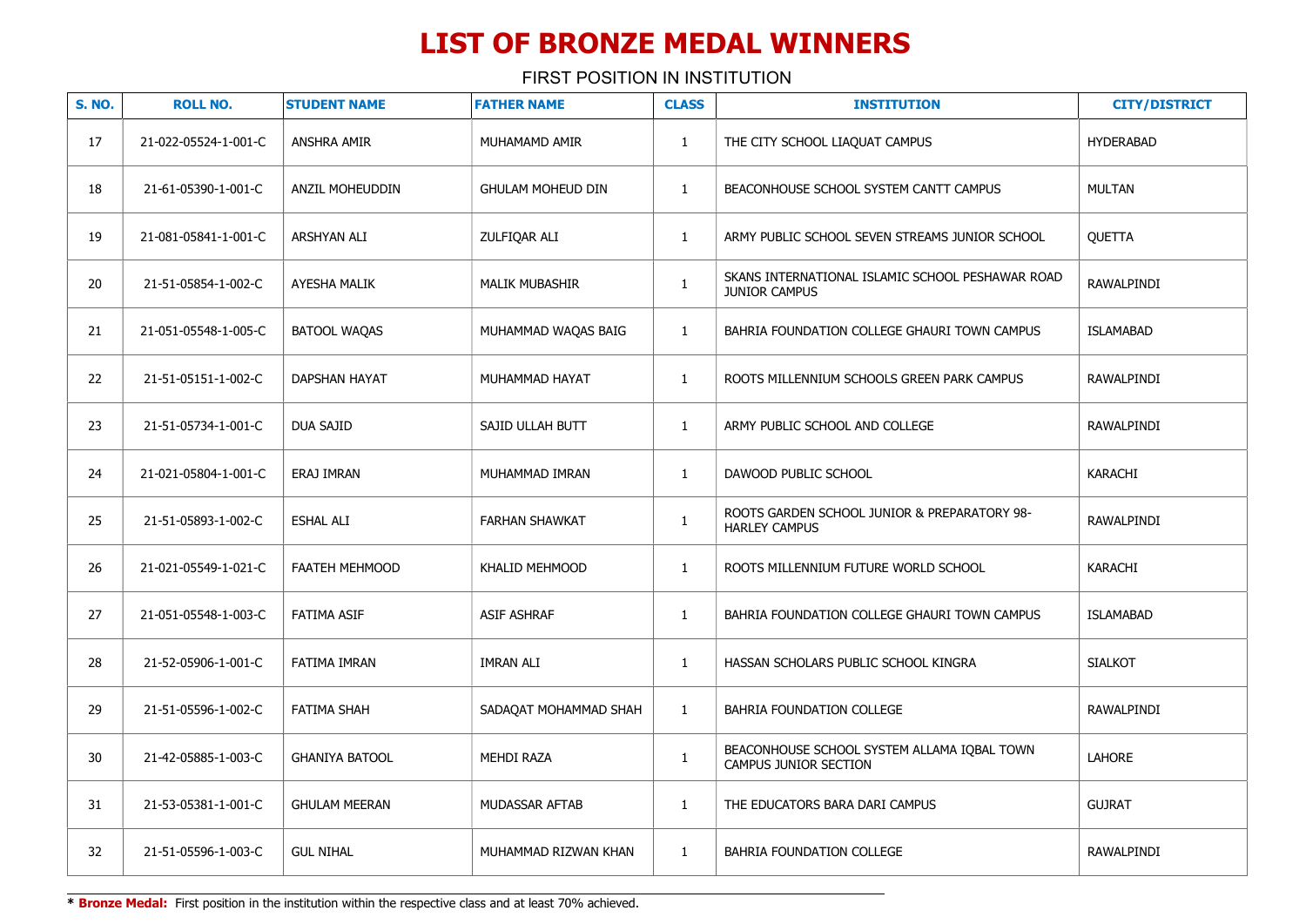| <b>S. NO.</b>   | <b>ROLL NO.</b>      | <b>STUDENT NAME</b>   | <b>FATHER NAME</b>       | <b>CLASS</b> | <b>INSTITUTION</b>                                                       | <b>CITY/DISTRICT</b> |
|-----------------|----------------------|-----------------------|--------------------------|--------------|--------------------------------------------------------------------------|----------------------|
| 17              | 21-022-05524-1-001-C | ANSHRA AMIR           | MUHAMAMD AMIR            | $\mathbf{1}$ | THE CITY SCHOOL LIAQUAT CAMPUS                                           | <b>HYDERABAD</b>     |
| 18              | 21-61-05390-1-001-C  | ANZIL MOHEUDDIN       | <b>GHULAM MOHEUD DIN</b> | $\mathbf{1}$ | BEACONHOUSE SCHOOL SYSTEM CANTT CAMPUS                                   | <b>MULTAN</b>        |
| 19              | 21-081-05841-1-001-C | ARSHYAN ALI           | ZULFIQAR ALI             | $\mathbf{1}$ | ARMY PUBLIC SCHOOL SEVEN STREAMS JUNIOR SCHOOL                           | <b>OUETTA</b>        |
| 20              | 21-51-05854-1-002-C  | <b>AYESHA MALIK</b>   | <b>MALIK MUBASHIR</b>    | $\mathbf{1}$ | SKANS INTERNATIONAL ISLAMIC SCHOOL PESHAWAR ROAD<br><b>JUNIOR CAMPUS</b> | RAWALPINDI           |
| 21              | 21-051-05548-1-005-C | BATOOL WAQAS          | MUHAMMAD WAQAS BAIG      | $\mathbf{1}$ | BAHRIA FOUNDATION COLLEGE GHAURI TOWN CAMPUS                             | <b>ISLAMABAD</b>     |
| 22              | 21-51-05151-1-002-C  | DAPSHAN HAYAT         | MUHAMMAD HAYAT           | $\mathbf{1}$ | ROOTS MILLENNIUM SCHOOLS GREEN PARK CAMPUS                               | RAWALPINDI           |
| 23              | 21-51-05734-1-001-C  | <b>DUA SAJID</b>      | SAJID ULLAH BUTT         | $\mathbf{1}$ | ARMY PUBLIC SCHOOL AND COLLEGE                                           | RAWALPINDI           |
| 24              | 21-021-05804-1-001-C | ERAJ IMRAN            | MUHAMMAD IMRAN           | $\mathbf{1}$ | DAWOOD PUBLIC SCHOOL                                                     | KARACHI              |
| 25              | 21-51-05893-1-002-C  | <b>ESHAL ALI</b>      | <b>FARHAN SHAWKAT</b>    | $\mathbf{1}$ | ROOTS GARDEN SCHOOL JUNIOR & PREPARATORY 98-<br><b>HARLEY CAMPUS</b>     | RAWALPINDI           |
| 26              | 21-021-05549-1-021-C | FAATEH MEHMOOD        | KHALID MEHMOOD           | $\mathbf{1}$ | ROOTS MILLENNIUM FUTURE WORLD SCHOOL                                     | <b>KARACHI</b>       |
| 27              | 21-051-05548-1-003-C | <b>FATIMA ASIF</b>    | <b>ASIF ASHRAF</b>       | $\mathbf{1}$ | BAHRIA FOUNDATION COLLEGE GHAURI TOWN CAMPUS                             | <b>ISLAMABAD</b>     |
| 28              | 21-52-05906-1-001-C  | <b>FATIMA IMRAN</b>   | <b>IMRAN ALI</b>         | $\mathbf{1}$ | HASSAN SCHOLARS PUBLIC SCHOOL KINGRA                                     | <b>SIALKOT</b>       |
| 29              | 21-51-05596-1-002-C  | <b>FATIMA SHAH</b>    | SADAQAT MOHAMMAD SHAH    | $\mathbf{1}$ | BAHRIA FOUNDATION COLLEGE                                                | RAWALPINDI           |
| 30 <sup>°</sup> | 21-42-05885-1-003-C  | <b>GHANIYA BATOOL</b> | <b>MEHDI RAZA</b>        | $\mathbf{1}$ | BEACONHOUSE SCHOOL SYSTEM ALLAMA IQBAL TOWN<br>CAMPUS JUNIOR SECTION     | <b>LAHORE</b>        |
| 31              | 21-53-05381-1-001-C  | <b>GHULAM MEERAN</b>  | MUDASSAR AFTAB           | $\mathbf{1}$ | THE EDUCATORS BARA DARI CAMPUS                                           | <b>GUJRAT</b>        |
| 32              | 21-51-05596-1-003-C  | <b>GUL NIHAL</b>      | MUHAMMAD RIZWAN KHAN     | $\mathbf{1}$ | BAHRIA FOUNDATION COLLEGE                                                | RAWALPINDI           |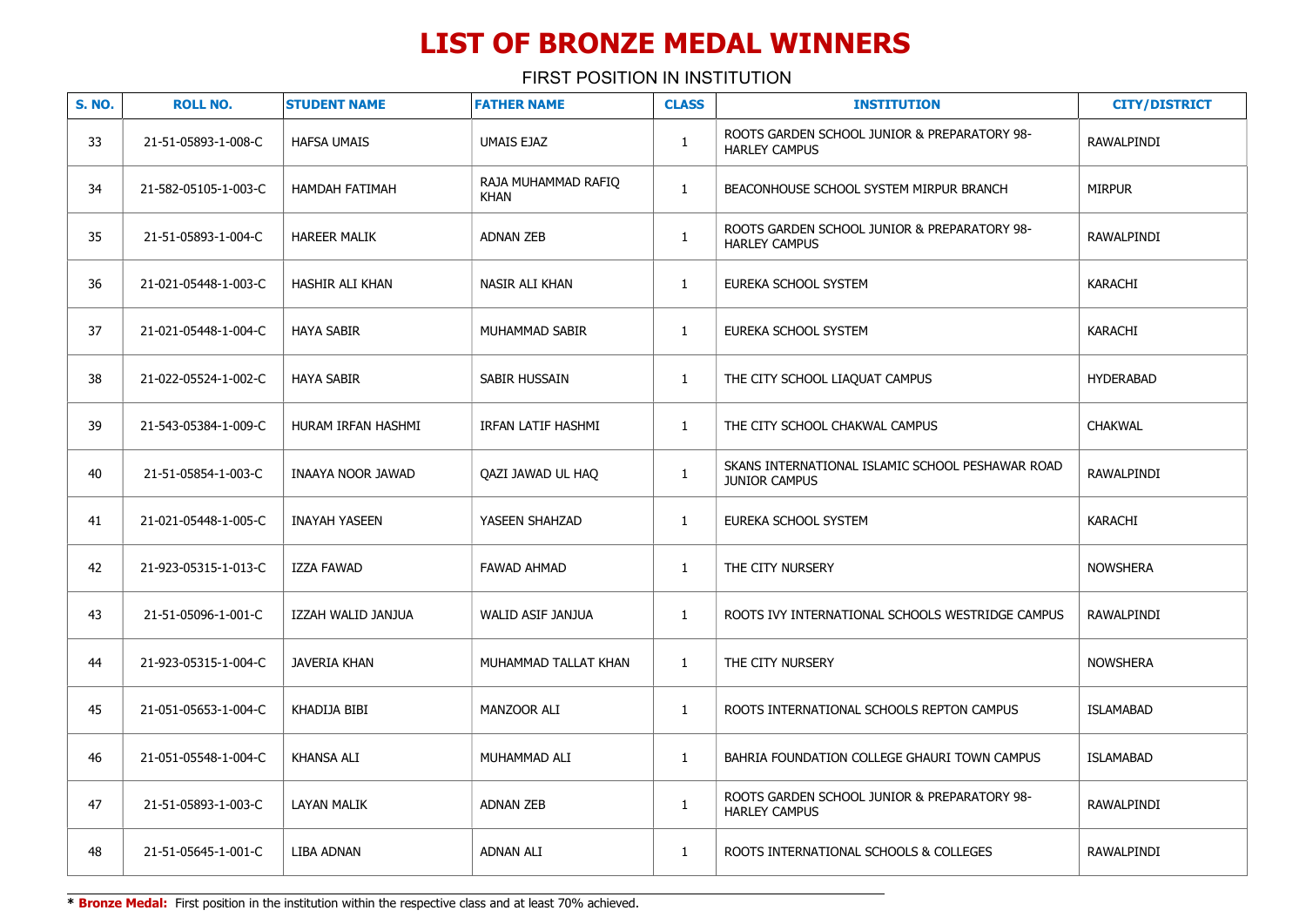FIRST POSITION IN INSTITUTION

| <b>S. NO.</b> | <b>ROLL NO.</b>      | <b>STUDENT NAME</b>  | <b>FATHER NAME</b>                 | <b>CLASS</b> | <b>INSTITUTION</b>                                                       | <b>CITY/DISTRICT</b> |
|---------------|----------------------|----------------------|------------------------------------|--------------|--------------------------------------------------------------------------|----------------------|
| 33            | 21-51-05893-1-008-C  | <b>HAFSA UMAIS</b>   | UMAIS EJAZ                         | $\mathbf{1}$ | ROOTS GARDEN SCHOOL JUNIOR & PREPARATORY 98-<br><b>HARLEY CAMPUS</b>     | RAWALPINDI           |
| 34            | 21-582-05105-1-003-C | HAMDAH FATIMAH       | RAJA MUHAMMAD RAFIQ<br><b>KHAN</b> | $\mathbf{1}$ | BEACONHOUSE SCHOOL SYSTEM MIRPUR BRANCH                                  | <b>MIRPUR</b>        |
| 35            | 21-51-05893-1-004-C  | <b>HAREER MALIK</b>  | ADNAN ZEB                          | $\mathbf{1}$ | ROOTS GARDEN SCHOOL JUNIOR & PREPARATORY 98-<br><b>HARLEY CAMPUS</b>     | RAWALPINDI           |
| 36            | 21-021-05448-1-003-C | HASHIR ALI KHAN      | NASIR ALI KHAN                     | $\mathbf{1}$ | EUREKA SCHOOL SYSTEM                                                     | KARACHI              |
| 37            | 21-021-05448-1-004-C | <b>HAYA SABIR</b>    | MUHAMMAD SABIR                     | $\mathbf{1}$ | EUREKA SCHOOL SYSTEM                                                     | KARACHI              |
| 38            | 21-022-05524-1-002-C | <b>HAYA SABIR</b>    | SABIR HUSSAIN                      | $\mathbf{1}$ | THE CITY SCHOOL LIAQUAT CAMPUS                                           | <b>HYDERABAD</b>     |
| 39            | 21-543-05384-1-009-C | HURAM IRFAN HASHMI   | IRFAN LATIF HASHMI                 | $\mathbf{1}$ | THE CITY SCHOOL CHAKWAL CAMPUS                                           | <b>CHAKWAL</b>       |
| 40            | 21-51-05854-1-003-C  | INAAYA NOOR JAWAD    | QAZI JAWAD UL HAQ                  | $\mathbf{1}$ | SKANS INTERNATIONAL ISLAMIC SCHOOL PESHAWAR ROAD<br><b>JUNIOR CAMPUS</b> | RAWALPINDI           |
| 41            | 21-021-05448-1-005-C | <b>INAYAH YASEEN</b> | YASEEN SHAHZAD                     | $\mathbf{1}$ | EUREKA SCHOOL SYSTEM                                                     | KARACHI              |
| 42            | 21-923-05315-1-013-C | IZZA FAWAD           | <b>FAWAD AHMAD</b>                 | $\mathbf{1}$ | THE CITY NURSERY                                                         | <b>NOWSHERA</b>      |
| 43            | 21-51-05096-1-001-C  | IZZAH WALID JANJUA   | WALID ASIF JANJUA                  | $\mathbf{1}$ | ROOTS IVY INTERNATIONAL SCHOOLS WESTRIDGE CAMPUS                         | RAWALPINDI           |
| 44            | 21-923-05315-1-004-C | <b>JAVERIA KHAN</b>  | MUHAMMAD TALLAT KHAN               | $\mathbf{1}$ | THE CITY NURSERY                                                         | <b>NOWSHERA</b>      |
| 45            | 21-051-05653-1-004-C | KHADIJA BIBI         | MANZOOR ALI                        | $\mathbf{1}$ | ROOTS INTERNATIONAL SCHOOLS REPTON CAMPUS                                | <b>ISLAMABAD</b>     |
| 46            | 21-051-05548-1-004-C | <b>KHANSA ALI</b>    | MUHAMMAD ALI                       | $\mathbf{1}$ | BAHRIA FOUNDATION COLLEGE GHAURI TOWN CAMPUS                             | <b>ISLAMABAD</b>     |
| 47            | 21-51-05893-1-003-C  | <b>LAYAN MALIK</b>   | ADNAN ZEB                          | $\mathbf{1}$ | ROOTS GARDEN SCHOOL JUNIOR & PREPARATORY 98-<br><b>HARLEY CAMPUS</b>     | RAWALPINDI           |
| 48            | 21-51-05645-1-001-C  | LIBA ADNAN           | <b>ADNAN ALI</b>                   | $\mathbf{1}$ | ROOTS INTERNATIONAL SCHOOLS & COLLEGES                                   | <b>RAWALPINDI</b>    |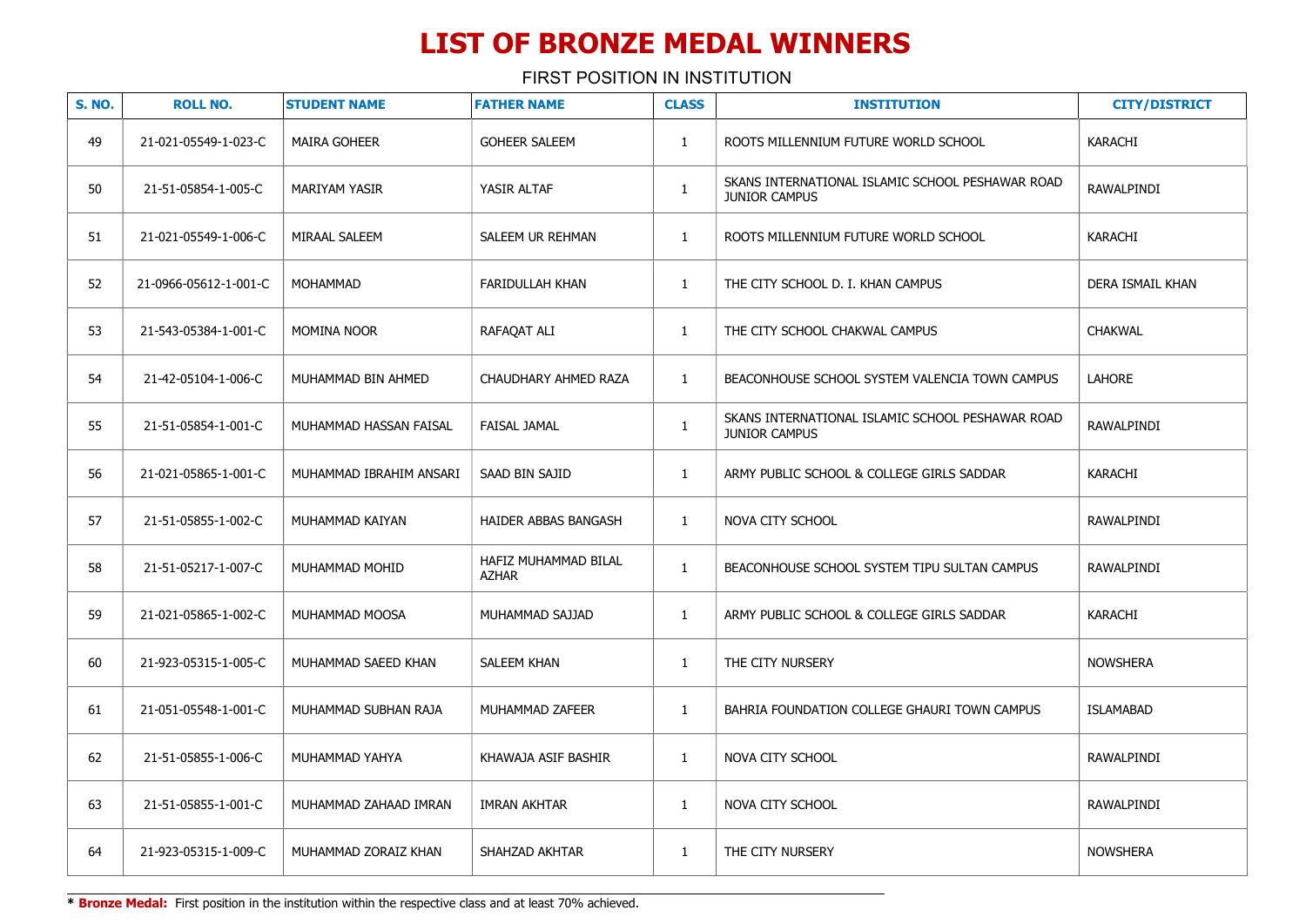FIRST POSITION IN INSTITUTION

| <b>S. NO.</b> | <b>ROLL NO.</b>       | <b>STUDENT NAME</b>     | <b>FATHER NAME</b>                   | <b>CLASS</b> | <b>INSTITUTION</b>                                                       | <b>CITY/DISTRICT</b> |
|---------------|-----------------------|-------------------------|--------------------------------------|--------------|--------------------------------------------------------------------------|----------------------|
| 49            | 21-021-05549-1-023-C  | <b>MAIRA GOHEER</b>     | <b>GOHEER SALEEM</b>                 | $\mathbf{1}$ | ROOTS MILLENNIUM FUTURE WORLD SCHOOL                                     | <b>KARACHI</b>       |
| 50            | 21-51-05854-1-005-C   | <b>MARIYAM YASIR</b>    | YASIR ALTAF                          | $\mathbf{1}$ | SKANS INTERNATIONAL ISLAMIC SCHOOL PESHAWAR ROAD<br><b>JUNIOR CAMPUS</b> | RAWALPINDI           |
| 51            | 21-021-05549-1-006-C  | MIRAAL SALEEM           | SALEEM UR REHMAN                     | $\mathbf{1}$ | ROOTS MILLENNIUM FUTURE WORLD SCHOOL                                     | KARACHI              |
| 52            | 21-0966-05612-1-001-C | MOHAMMAD                | FARIDULLAH KHAN                      | $\mathbf{1}$ | THE CITY SCHOOL D. I. KHAN CAMPUS                                        | DERA ISMAIL KHAN     |
| 53            | 21-543-05384-1-001-C  | <b>MOMINA NOOR</b>      | RAFAQAT ALI                          | $\mathbf{1}$ | THE CITY SCHOOL CHAKWAL CAMPUS                                           | <b>CHAKWAL</b>       |
| 54            | 21-42-05104-1-006-C   | MUHAMMAD BIN AHMED      | CHAUDHARY AHMED RAZA                 | $\mathbf{1}$ | BEACONHOUSE SCHOOL SYSTEM VALENCIA TOWN CAMPUS                           | <b>LAHORE</b>        |
| 55            | 21-51-05854-1-001-C   | MUHAMMAD HASSAN FAISAL  | <b>FAISAL JAMAL</b>                  | $\mathbf{1}$ | SKANS INTERNATIONAL ISLAMIC SCHOOL PESHAWAR ROAD<br><b>JUNIOR CAMPUS</b> | RAWALPINDI           |
| 56            | 21-021-05865-1-001-C  | MUHAMMAD IBRAHIM ANSARI | SAAD BIN SAJID                       | $\mathbf{1}$ | ARMY PUBLIC SCHOOL & COLLEGE GIRLS SADDAR                                | <b>KARACHI</b>       |
| 57            | 21-51-05855-1-002-C   | MUHAMMAD KAIYAN         | HAIDER ABBAS BANGASH                 | $\mathbf{1}$ | NOVA CITY SCHOOL                                                         | RAWALPINDI           |
| 58            | 21-51-05217-1-007-C   | MUHAMMAD MOHID          | HAFIZ MUHAMMAD BILAL<br><b>AZHAR</b> | $\mathbf{1}$ | BEACONHOUSE SCHOOL SYSTEM TIPU SULTAN CAMPUS                             | RAWALPINDI           |
| 59            | 21-021-05865-1-002-C  | MUHAMMAD MOOSA          | MUHAMMAD SAJJAD                      | $\mathbf{1}$ | ARMY PUBLIC SCHOOL & COLLEGE GIRLS SADDAR                                | KARACHI              |
| 60            | 21-923-05315-1-005-C  | MUHAMMAD SAEED KHAN     | SALEEM KHAN                          | $\mathbf{1}$ | THE CITY NURSERY                                                         | <b>NOWSHERA</b>      |
| 61            | 21-051-05548-1-001-C  | MUHAMMAD SUBHAN RAJA    | MUHAMMAD ZAFEER                      | $\mathbf{1}$ | BAHRIA FOUNDATION COLLEGE GHAURI TOWN CAMPUS                             | <b>ISLAMABAD</b>     |
| 62            | 21-51-05855-1-006-C   | MUHAMMAD YAHYA          | KHAWAJA ASIF BASHIR                  | $\mathbf{1}$ | NOVA CITY SCHOOL                                                         | RAWALPINDI           |
| 63            | 21-51-05855-1-001-C   | MUHAMMAD ZAHAAD IMRAN   | IMRAN AKHTAR                         | $\mathbf{1}$ | NOVA CITY SCHOOL                                                         | RAWALPINDI           |
| 64            | 21-923-05315-1-009-C  | MUHAMMAD ZORAIZ KHAN    | SHAHZAD AKHTAR                       | $\mathbf{1}$ | THE CITY NURSERY                                                         | <b>NOWSHERA</b>      |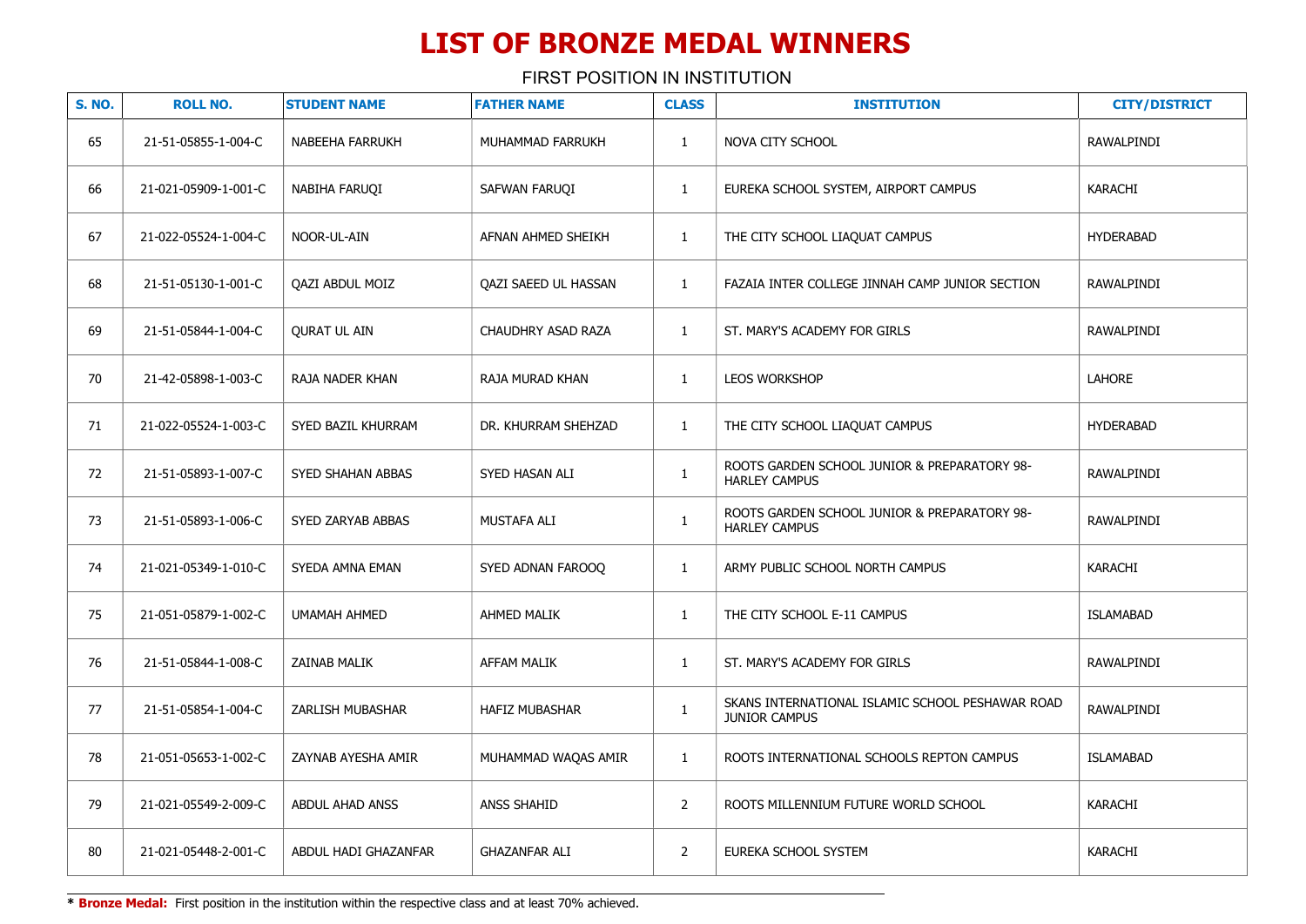FIRST POSITION IN INSTITUTION

| <b>S. NO.</b> | <b>ROLL NO.</b>      | <b>STUDENT NAME</b>    | <b>FATHER NAME</b>          | <b>CLASS</b>   | <b>INSTITUTION</b>                                                       | <b>CITY/DISTRICT</b> |
|---------------|----------------------|------------------------|-----------------------------|----------------|--------------------------------------------------------------------------|----------------------|
| 65            | 21-51-05855-1-004-C  | <b>NABEEHA FARRUKH</b> | MUHAMMAD FARRUKH            | $\mathbf{1}$   | NOVA CITY SCHOOL                                                         | <b>RAWALPINDI</b>    |
| 66            | 21-021-05909-1-001-C | NABIHA FARUQI          | SAFWAN FARUQI               | $\mathbf{1}$   | EUREKA SCHOOL SYSTEM, AIRPORT CAMPUS                                     | <b>KARACHI</b>       |
| 67            | 21-022-05524-1-004-C | NOOR-UL-AIN            | AFNAN AHMED SHEIKH          | $\mathbf{1}$   | THE CITY SCHOOL LIAQUAT CAMPUS                                           | <b>HYDERABAD</b>     |
| 68            | 21-51-05130-1-001-C  | <b>OAZI ABDUL MOIZ</b> | <b>OAZI SAEED UL HASSAN</b> | $\mathbf{1}$   | FAZAIA INTER COLLEGE JINNAH CAMP JUNIOR SECTION                          | RAWALPINDI           |
| 69            | 21-51-05844-1-004-C  | <b>QURAT UL AIN</b>    | CHAUDHRY ASAD RAZA          | $\mathbf{1}$   | ST. MARY'S ACADEMY FOR GIRLS                                             | RAWALPINDI           |
| 70            | 21-42-05898-1-003-C  | RAJA NADER KHAN        | RAJA MURAD KHAN             | $\mathbf{1}$   | LEOS WORKSHOP                                                            | LAHORE               |
| 71            | 21-022-05524-1-003-C | SYED BAZIL KHURRAM     | DR. KHURRAM SHEHZAD         | $\mathbf{1}$   | THE CITY SCHOOL LIAQUAT CAMPUS                                           | <b>HYDERABAD</b>     |
| 72            | 21-51-05893-1-007-C  | SYED SHAHAN ABBAS      | SYED HASAN ALI              | $\mathbf{1}$   | ROOTS GARDEN SCHOOL JUNIOR & PREPARATORY 98-<br><b>HARLEY CAMPUS</b>     | RAWALPINDI           |
| 73            | 21-51-05893-1-006-C  | SYED ZARYAB ABBAS      | MUSTAFA ALI                 | $\mathbf{1}$   | ROOTS GARDEN SCHOOL JUNIOR & PREPARATORY 98-<br><b>HARLEY CAMPUS</b>     | RAWALPINDI           |
| 74            | 21-021-05349-1-010-C | SYEDA AMNA EMAN        | SYED ADNAN FAROOQ           | $\mathbf{1}$   | ARMY PUBLIC SCHOOL NORTH CAMPUS                                          | KARACHI              |
| 75            | 21-051-05879-1-002-C | <b>UMAMAH AHMED</b>    | <b>AHMED MALIK</b>          | $\mathbf{1}$   | THE CITY SCHOOL E-11 CAMPUS                                              | <b>ISLAMABAD</b>     |
| 76            | 21-51-05844-1-008-C  | <b>ZAINAB MALIK</b>    | <b>AFFAM MALIK</b>          | $\mathbf{1}$   | ST. MARY'S ACADEMY FOR GIRLS                                             | RAWALPINDI           |
| 77            | 21-51-05854-1-004-C  | ZARLISH MUBASHAR       | <b>HAFIZ MUBASHAR</b>       | $\mathbf{1}$   | SKANS INTERNATIONAL ISLAMIC SCHOOL PESHAWAR ROAD<br><b>JUNIOR CAMPUS</b> | <b>RAWALPINDI</b>    |
| 78            | 21-051-05653-1-002-C | ZAYNAB AYESHA AMIR     | MUHAMMAD WAQAS AMIR         | $\mathbf{1}$   | ROOTS INTERNATIONAL SCHOOLS REPTON CAMPUS                                | <b>ISLAMABAD</b>     |
| 79            | 21-021-05549-2-009-C | <b>ABDUL AHAD ANSS</b> | <b>ANSS SHAHID</b>          | $\overline{2}$ | ROOTS MILLENNIUM FUTURE WORLD SCHOOL                                     | KARACHI              |
| 80            | 21-021-05448-2-001-C | ABDUL HADI GHAZANFAR   | <b>GHAZANFAR ALI</b>        | $\overline{2}$ | EUREKA SCHOOL SYSTEM                                                     | KARACHI              |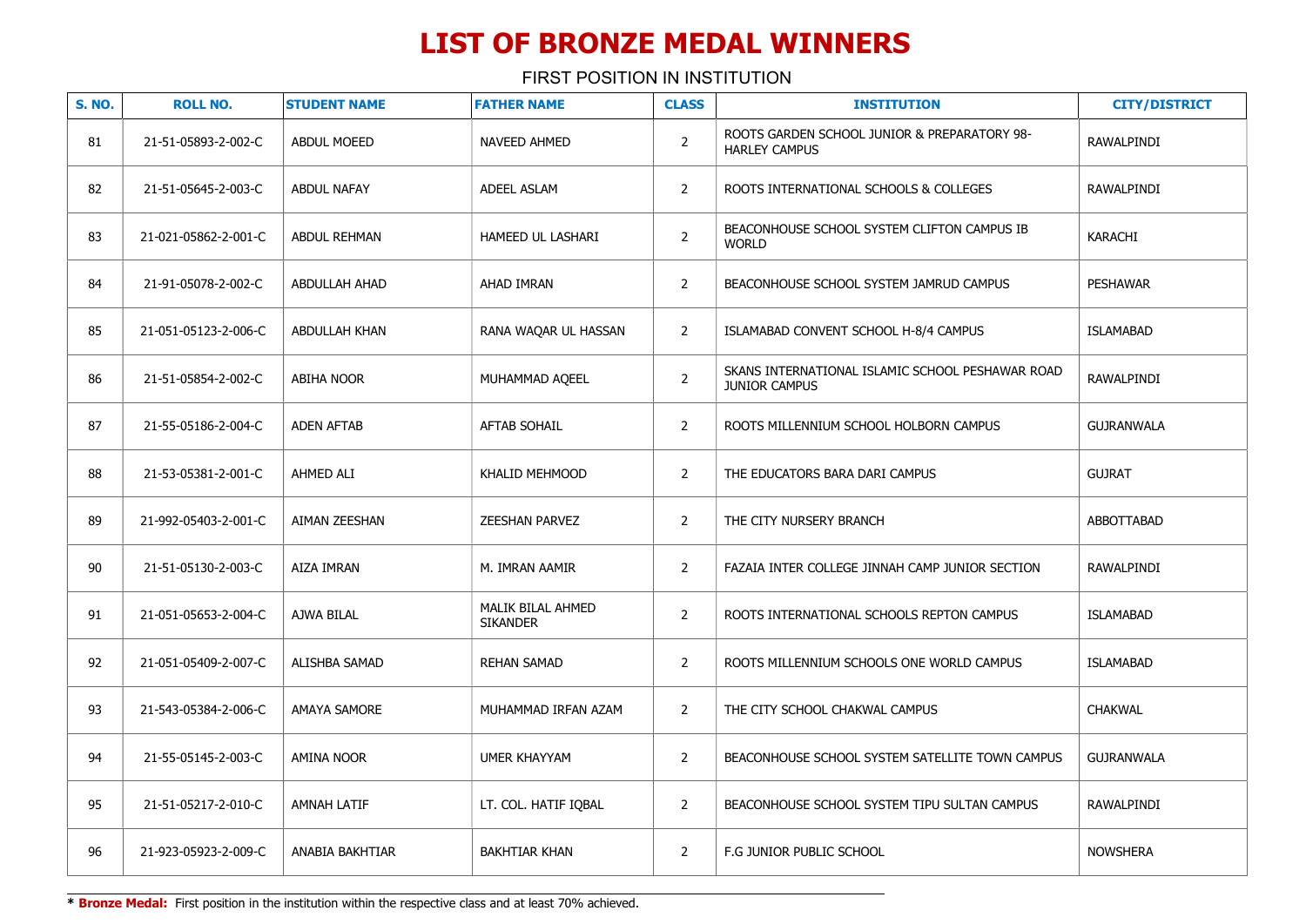FIRST POSITION IN INSTITUTION

| <b>S. NO.</b> | <b>ROLL NO.</b>      | <b>STUDENT NAME</b>  | <b>FATHER NAME</b>                   | <b>CLASS</b>   | <b>INSTITUTION</b>                                                   | <b>CITY/DISTRICT</b> |
|---------------|----------------------|----------------------|--------------------------------------|----------------|----------------------------------------------------------------------|----------------------|
| 81            | 21-51-05893-2-002-C  | <b>ABDUL MOEED</b>   | NAVEED AHMED                         | $\overline{2}$ | ROOTS GARDEN SCHOOL JUNIOR & PREPARATORY 98-<br><b>HARLEY CAMPUS</b> | RAWALPINDI           |
| 82            | 21-51-05645-2-003-C  | <b>ABDUL NAFAY</b>   | ADEEL ASLAM                          | $\overline{2}$ | ROOTS INTERNATIONAL SCHOOLS & COLLEGES                               | RAWALPINDI           |
| 83            | 21-021-05862-2-001-C | <b>ABDUL REHMAN</b>  | HAMEED UL LASHARI                    | $\overline{2}$ | BEACONHOUSE SCHOOL SYSTEM CLIFTON CAMPUS IB<br><b>WORLD</b>          | KARACHI              |
| 84            | 21-91-05078-2-002-C  | <b>ABDULLAH AHAD</b> | AHAD IMRAN                           | $\overline{2}$ | BEACONHOUSE SCHOOL SYSTEM JAMRUD CAMPUS                              | <b>PESHAWAR</b>      |
| 85            | 21-051-05123-2-006-C | <b>ABDULLAH KHAN</b> | RANA WAQAR UL HASSAN                 | $\overline{2}$ | ISLAMABAD CONVENT SCHOOL H-8/4 CAMPUS                                | <b>ISLAMABAD</b>     |
| 86            | 21-51-05854-2-002-C  | <b>ABIHA NOOR</b>    | MUHAMMAD AQEEL                       | $\overline{2}$ | SKANS INTERNATIONAL ISLAMIC SCHOOL PESHAWAR ROAD<br>JUNIOR CAMPUS    | RAWALPINDI           |
| 87            | 21-55-05186-2-004-C  | <b>ADEN AFTAB</b>    | <b>AFTAB SOHAIL</b>                  | $\overline{2}$ | ROOTS MILLENNIUM SCHOOL HOLBORN CAMPUS                               | <b>GUJRANWALA</b>    |
| 88            | 21-53-05381-2-001-C  | AHMED ALI            | KHALID MEHMOOD                       | $\overline{2}$ | THE EDUCATORS BARA DARI CAMPUS                                       | <b>GUJRAT</b>        |
| 89            | 21-992-05403-2-001-C | AIMAN ZEESHAN        | <b>ZEESHAN PARVEZ</b>                | $\overline{2}$ | THE CITY NURSERY BRANCH                                              | ABBOTTABAD           |
| 90            | 21-51-05130-2-003-C  | AIZA IMRAN           | M. IMRAN AAMIR                       | $\overline{2}$ | FAZAIA INTER COLLEGE JINNAH CAMP JUNIOR SECTION                      | RAWALPINDI           |
| 91            | 21-051-05653-2-004-C | AJWA BILAL           | MALIK BILAL AHMED<br><b>SIKANDER</b> | $\overline{2}$ | ROOTS INTERNATIONAL SCHOOLS REPTON CAMPUS                            | <b>ISLAMABAD</b>     |
| 92            | 21-051-05409-2-007-C | ALISHBA SAMAD        | <b>REHAN SAMAD</b>                   | $\overline{2}$ | ROOTS MILLENNIUM SCHOOLS ONE WORLD CAMPUS                            | <b>ISLAMABAD</b>     |
| 93            | 21-543-05384-2-006-C | <b>AMAYA SAMORE</b>  | MUHAMMAD IRFAN AZAM                  | $\overline{2}$ | THE CITY SCHOOL CHAKWAL CAMPUS                                       | <b>CHAKWAL</b>       |
| 94            | 21-55-05145-2-003-C  | <b>AMINA NOOR</b>    | <b>UMER KHAYYAM</b>                  | $\overline{2}$ | BEACONHOUSE SCHOOL SYSTEM SATELLITE TOWN CAMPUS                      | <b>GUJRANWALA</b>    |
| 95            | 21-51-05217-2-010-C  | <b>AMNAH LATIF</b>   | LT. COL. HATIF IOBAL                 | $\overline{2}$ | BEACONHOUSE SCHOOL SYSTEM TIPU SULTAN CAMPUS                         | RAWALPINDI           |
| 96            | 21-923-05923-2-009-C | ANABIA BAKHTIAR      | <b>BAKHTIAR KHAN</b>                 | $\overline{2}$ | F.G JUNIOR PUBLIC SCHOOL                                             | <b>NOWSHERA</b>      |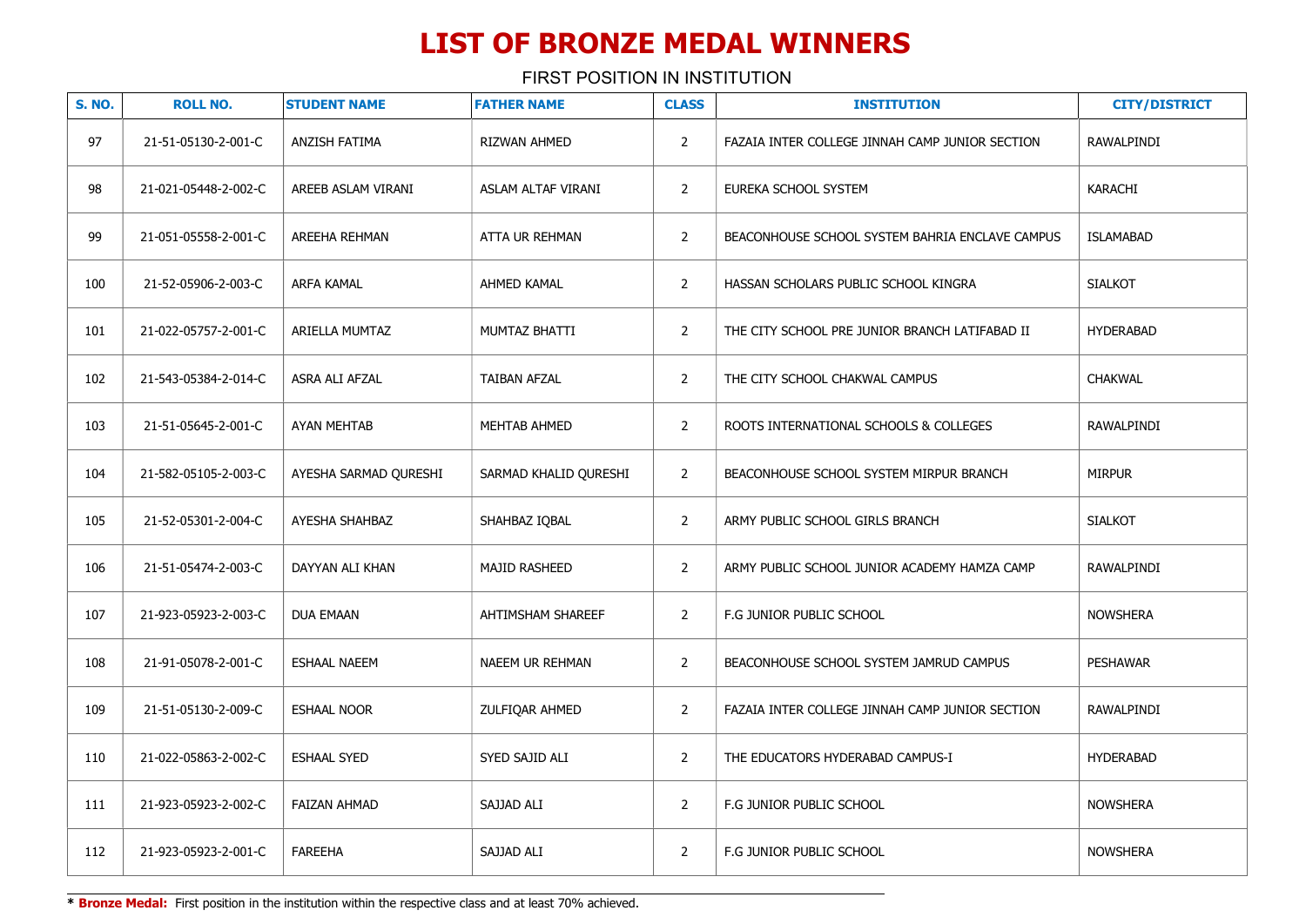FIRST POSITION IN INSTITUTION

| <b>S. NO.</b> | <b>ROLL NO.</b>      | <b>STUDENT NAME</b>   | <b>FATHER NAME</b>    | <b>CLASS</b>   | <b>INSTITUTION</b>                              | <b>CITY/DISTRICT</b> |
|---------------|----------------------|-----------------------|-----------------------|----------------|-------------------------------------------------|----------------------|
| 97            | 21-51-05130-2-001-C  | ANZISH FATIMA         | RIZWAN AHMED          | $\overline{2}$ | FAZAIA INTER COLLEGE JINNAH CAMP JUNIOR SECTION | RAWALPINDI           |
| 98            | 21-021-05448-2-002-C | AREEB ASLAM VIRANI    | ASLAM ALTAF VIRANI    | $\overline{2}$ | EUREKA SCHOOL SYSTEM                            | KARACHI              |
| 99            | 21-051-05558-2-001-C | AREEHA REHMAN         | ATTA UR REHMAN        | $\overline{2}$ | BEACONHOUSE SCHOOL SYSTEM BAHRIA ENCLAVE CAMPUS | <b>ISLAMABAD</b>     |
| 100           | 21-52-05906-2-003-C  | <b>ARFA KAMAL</b>     | AHMED KAMAL           | $\overline{2}$ | HASSAN SCHOLARS PUBLIC SCHOOL KINGRA            | <b>SIALKOT</b>       |
| 101           | 21-022-05757-2-001-C | ARIELLA MUMTAZ        | MUMTAZ BHATTI         | $\overline{2}$ | THE CITY SCHOOL PRE JUNIOR BRANCH LATIFABAD II  | <b>HYDERABAD</b>     |
| 102           | 21-543-05384-2-014-C | ASRA ALI AFZAL        | <b>TAIBAN AFZAL</b>   | $\overline{2}$ | THE CITY SCHOOL CHAKWAL CAMPUS                  | <b>CHAKWAL</b>       |
| 103           | 21-51-05645-2-001-C  | <b>AYAN MEHTAB</b>    | MEHTAB AHMED          | $\overline{2}$ | ROOTS INTERNATIONAL SCHOOLS & COLLEGES          | RAWALPINDI           |
| 104           | 21-582-05105-2-003-C | AYESHA SARMAD QURESHI | SARMAD KHALID QURESHI | $\overline{2}$ | BEACONHOUSE SCHOOL SYSTEM MIRPUR BRANCH         | <b>MIRPUR</b>        |
| 105           | 21-52-05301-2-004-C  | AYESHA SHAHBAZ        | SHAHBAZ IQBAL         | $\overline{2}$ | ARMY PUBLIC SCHOOL GIRLS BRANCH                 | <b>SIALKOT</b>       |
| 106           | 21-51-05474-2-003-C  | DAYYAN ALI KHAN       | <b>MAJID RASHEED</b>  | $\overline{2}$ | ARMY PUBLIC SCHOOL JUNIOR ACADEMY HAMZA CAMP    | RAWALPINDI           |
| 107           | 21-923-05923-2-003-C | <b>DUA EMAAN</b>      | AHTIMSHAM SHAREEF     | $\overline{2}$ | F.G JUNIOR PUBLIC SCHOOL                        | <b>NOWSHERA</b>      |
| 108           | 21-91-05078-2-001-C  | <b>ESHAAL NAEEM</b>   | NAEEM UR REHMAN       | $\overline{2}$ | BEACONHOUSE SCHOOL SYSTEM JAMRUD CAMPUS         | <b>PESHAWAR</b>      |
| 109           | 21-51-05130-2-009-C  | <b>ESHAAL NOOR</b>    | ZULFIQAR AHMED        | $\overline{2}$ | FAZAIA INTER COLLEGE JINNAH CAMP JUNIOR SECTION | RAWALPINDI           |
| 110           | 21-022-05863-2-002-C | <b>ESHAAL SYED</b>    | SYED SAJID ALI        | $\overline{2}$ | THE EDUCATORS HYDERABAD CAMPUS-I                | <b>HYDERABAD</b>     |
| 111           | 21-923-05923-2-002-C | <b>FAIZAN AHMAD</b>   | SAJJAD ALI            | $\overline{2}$ | F.G JUNIOR PUBLIC SCHOOL                        | <b>NOWSHERA</b>      |
| 112           | 21-923-05923-2-001-C | <b>FAREEHA</b>        | SAJJAD ALI            | $\overline{2}$ | F.G JUNIOR PUBLIC SCHOOL                        | <b>NOWSHERA</b>      |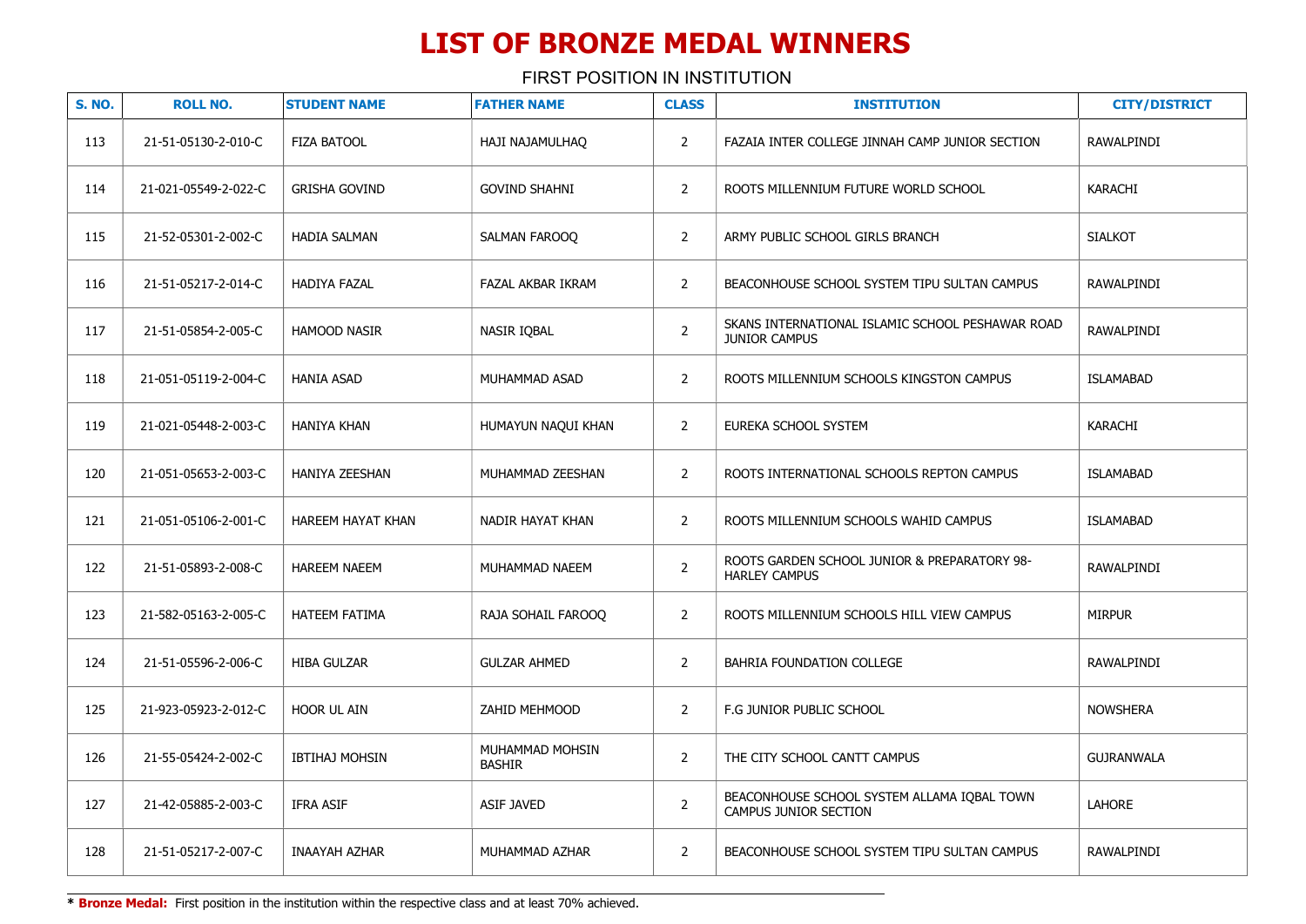| <b>S. NO.</b> | <b>ROLL NO.</b>      | <b>STUDENT NAME</b>   | <b>FATHER NAME</b>        | <b>CLASS</b>   | <b>INSTITUTION</b>                                                       | <b>CITY/DISTRICT</b> |
|---------------|----------------------|-----------------------|---------------------------|----------------|--------------------------------------------------------------------------|----------------------|
| 113           | 21-51-05130-2-010-C  | FIZA BATOOL           | HAJI NAJAMULHAQ           | $\overline{2}$ | FAZAIA INTER COLLEGE JINNAH CAMP JUNIOR SECTION                          | RAWALPINDI           |
| 114           | 21-021-05549-2-022-C | <b>GRISHA GOVIND</b>  | <b>GOVIND SHAHNI</b>      | $\overline{2}$ | ROOTS MILLENNIUM FUTURE WORLD SCHOOL                                     | <b>KARACHI</b>       |
| 115           | 21-52-05301-2-002-C  | <b>HADIA SALMAN</b>   | SALMAN FAROOO             | $\overline{2}$ | ARMY PUBLIC SCHOOL GIRLS BRANCH                                          | <b>SIALKOT</b>       |
| 116           | 21-51-05217-2-014-C  | <b>HADIYA FAZAL</b>   | FAZAL AKBAR IKRAM         | $\overline{2}$ | BEACONHOUSE SCHOOL SYSTEM TIPU SULTAN CAMPUS                             | RAWALPINDI           |
| 117           | 21-51-05854-2-005-C  | <b>HAMOOD NASIR</b>   | NASIR IOBAL               | $\overline{2}$ | SKANS INTERNATIONAL ISLAMIC SCHOOL PESHAWAR ROAD<br><b>JUNIOR CAMPUS</b> | RAWALPINDI           |
| 118           | 21-051-05119-2-004-C | <b>HANIA ASAD</b>     | MUHAMMAD ASAD             | $\overline{2}$ | ROOTS MILLENNIUM SCHOOLS KINGSTON CAMPUS                                 | <b>ISLAMABAD</b>     |
| 119           | 21-021-05448-2-003-C | <b>HANIYA KHAN</b>    | HUMAYUN NAQUI KHAN        | $\overline{2}$ | EUREKA SCHOOL SYSTEM                                                     | <b>KARACHI</b>       |
| 120           | 21-051-05653-2-003-C | <b>HANIYA ZEESHAN</b> | MUHAMMAD ZEESHAN          | $\overline{2}$ | ROOTS INTERNATIONAL SCHOOLS REPTON CAMPUS                                | <b>ISLAMABAD</b>     |
| 121           | 21-051-05106-2-001-C | HAREEM HAYAT KHAN     | NADIR HAYAT KHAN          | $\overline{2}$ | ROOTS MILLENNIUM SCHOOLS WAHID CAMPUS                                    | <b>ISLAMABAD</b>     |
| 122           | 21-51-05893-2-008-C  | <b>HAREEM NAEEM</b>   | MUHAMMAD NAEEM            | $\overline{2}$ | ROOTS GARDEN SCHOOL JUNIOR & PREPARATORY 98-<br><b>HARLEY CAMPUS</b>     | RAWALPINDI           |
| 123           | 21-582-05163-2-005-C | <b>HATEEM FATIMA</b>  | RAJA SOHAIL FAROOQ        | $\overline{2}$ | ROOTS MILLENNIUM SCHOOLS HILL VIEW CAMPUS                                | <b>MIRPUR</b>        |
| 124           | 21-51-05596-2-006-C  | <b>HIBA GULZAR</b>    | <b>GULZAR AHMED</b>       | $\overline{2}$ | BAHRIA FOUNDATION COLLEGE                                                | RAWALPINDI           |
| 125           | 21-923-05923-2-012-C | HOOR UL AIN           | ZAHID MEHMOOD             | $\overline{2}$ | F.G JUNIOR PUBLIC SCHOOL                                                 | <b>NOWSHERA</b>      |
| 126           | 21-55-05424-2-002-C  | <b>IBTIHAJ MOHSIN</b> | MUHAMMAD MOHSIN<br>BASHIR | $\overline{2}$ | THE CITY SCHOOL CANTT CAMPUS                                             | <b>GUJRANWALA</b>    |
| 127           | 21-42-05885-2-003-C  | <b>IFRA ASIF</b>      | <b>ASIF JAVED</b>         | $\overline{2}$ | BEACONHOUSE SCHOOL SYSTEM ALLAMA IQBAL TOWN<br>CAMPUS JUNIOR SECTION     | LAHORE               |
| 128           | 21-51-05217-2-007-C  | INAAYAH AZHAR         | MUHAMMAD AZHAR            | $\overline{2}$ | BEACONHOUSE SCHOOL SYSTEM TIPU SULTAN CAMPUS                             | RAWALPINDI           |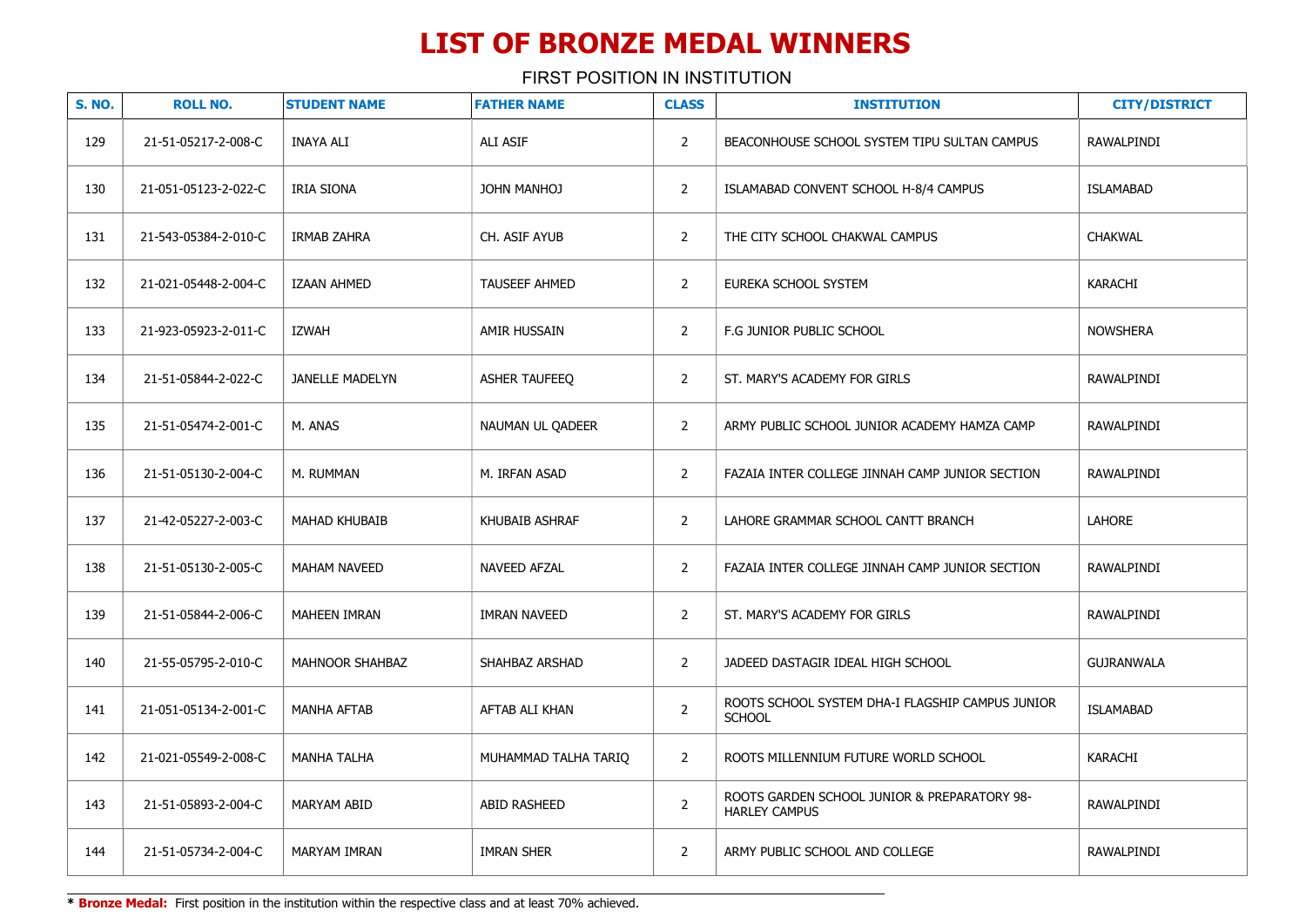FIRST POSITION IN INSTITUTION

| <b>S. NO.</b> | <b>ROLL NO.</b>      | <b>STUDENT NAME</b>    | <b>FATHER NAME</b>   | <b>CLASS</b>   | <b>INSTITUTION</b>                                                   | <b>CITY/DISTRICT</b> |
|---------------|----------------------|------------------------|----------------------|----------------|----------------------------------------------------------------------|----------------------|
| 129           | 21-51-05217-2-008-C  | <b>INAYA ALI</b>       | <b>ALI ASIF</b>      | $\overline{2}$ | BEACONHOUSE SCHOOL SYSTEM TIPU SULTAN CAMPUS                         | RAWALPINDI           |
| 130           | 21-051-05123-2-022-C | IRIA SIONA             | JOHN MANHOJ          | $\overline{2}$ | ISLAMABAD CONVENT SCHOOL H-8/4 CAMPUS                                | <b>ISLAMABAD</b>     |
| 131           | 21-543-05384-2-010-C | <b>IRMAB ZAHRA</b>     | CH. ASIF AYUB        | $\overline{2}$ | THE CITY SCHOOL CHAKWAL CAMPUS                                       | <b>CHAKWAL</b>       |
| 132           | 21-021-05448-2-004-C | <b>IZAAN AHMED</b>     | TAUSEEF AHMED        | $\overline{2}$ | EUREKA SCHOOL SYSTEM                                                 | KARACHI              |
| 133           | 21-923-05923-2-011-C | <b>IZWAH</b>           | AMIR HUSSAIN         | $\overline{2}$ | F.G JUNIOR PUBLIC SCHOOL                                             | <b>NOWSHERA</b>      |
| 134           | 21-51-05844-2-022-C  | <b>JANELLE MADELYN</b> | ASHER TAUFEEQ        | $\overline{2}$ | ST. MARY'S ACADEMY FOR GIRLS                                         | RAWALPINDI           |
| 135           | 21-51-05474-2-001-C  | M. ANAS                | NAUMAN UL QADEER     | $\overline{2}$ | ARMY PUBLIC SCHOOL JUNIOR ACADEMY HAMZA CAMP                         | RAWALPINDI           |
| 136           | 21-51-05130-2-004-C  | M. RUMMAN              | M. IRFAN ASAD        | $\overline{2}$ | FAZAIA INTER COLLEGE JINNAH CAMP JUNIOR SECTION                      | RAWALPINDI           |
| 137           | 21-42-05227-2-003-C  | <b>MAHAD KHUBAIB</b>   | KHUBAIB ASHRAF       | $\overline{2}$ | LAHORE GRAMMAR SCHOOL CANTT BRANCH                                   | LAHORE               |
| 138           | 21-51-05130-2-005-C  | <b>MAHAM NAVEED</b>    | <b>NAVEED AFZAL</b>  | $\overline{2}$ | FAZAIA INTER COLLEGE JINNAH CAMP JUNIOR SECTION                      | <b>RAWALPINDI</b>    |
| 139           | 21-51-05844-2-006-C  | <b>MAHEEN IMRAN</b>    | <b>IMRAN NAVEED</b>  | $\overline{2}$ | ST. MARY'S ACADEMY FOR GIRLS                                         | <b>RAWALPINDI</b>    |
| 140           | 21-55-05795-2-010-C  | MAHNOOR SHAHBAZ        | SHAHBAZ ARSHAD       | $\overline{2}$ | JADEED DASTAGIR IDEAL HIGH SCHOOL                                    | <b>GUJRANWALA</b>    |
| 141           | 21-051-05134-2-001-C | <b>MANHA AFTAB</b>     | AFTAB ALI KHAN       | $\overline{2}$ | ROOTS SCHOOL SYSTEM DHA-I FLAGSHIP CAMPUS JUNIOR<br><b>SCHOOL</b>    | <b>ISLAMABAD</b>     |
| 142           | 21-021-05549-2-008-C | <b>MANHA TALHA</b>     | MUHAMMAD TALHA TARIO | $\overline{2}$ | ROOTS MILLENNIUM FUTURE WORLD SCHOOL                                 | KARACHI              |
| 143           | 21-51-05893-2-004-C  | <b>MARYAM ABID</b>     | ABID RASHEED         | $\overline{2}$ | ROOTS GARDEN SCHOOL JUNIOR & PREPARATORY 98-<br><b>HARLEY CAMPUS</b> | <b>RAWALPINDI</b>    |
| 144           | 21-51-05734-2-004-C  | MARYAM IMRAN           | <b>IMRAN SHER</b>    | $\overline{2}$ | ARMY PUBLIC SCHOOL AND COLLEGE                                       | RAWALPINDI           |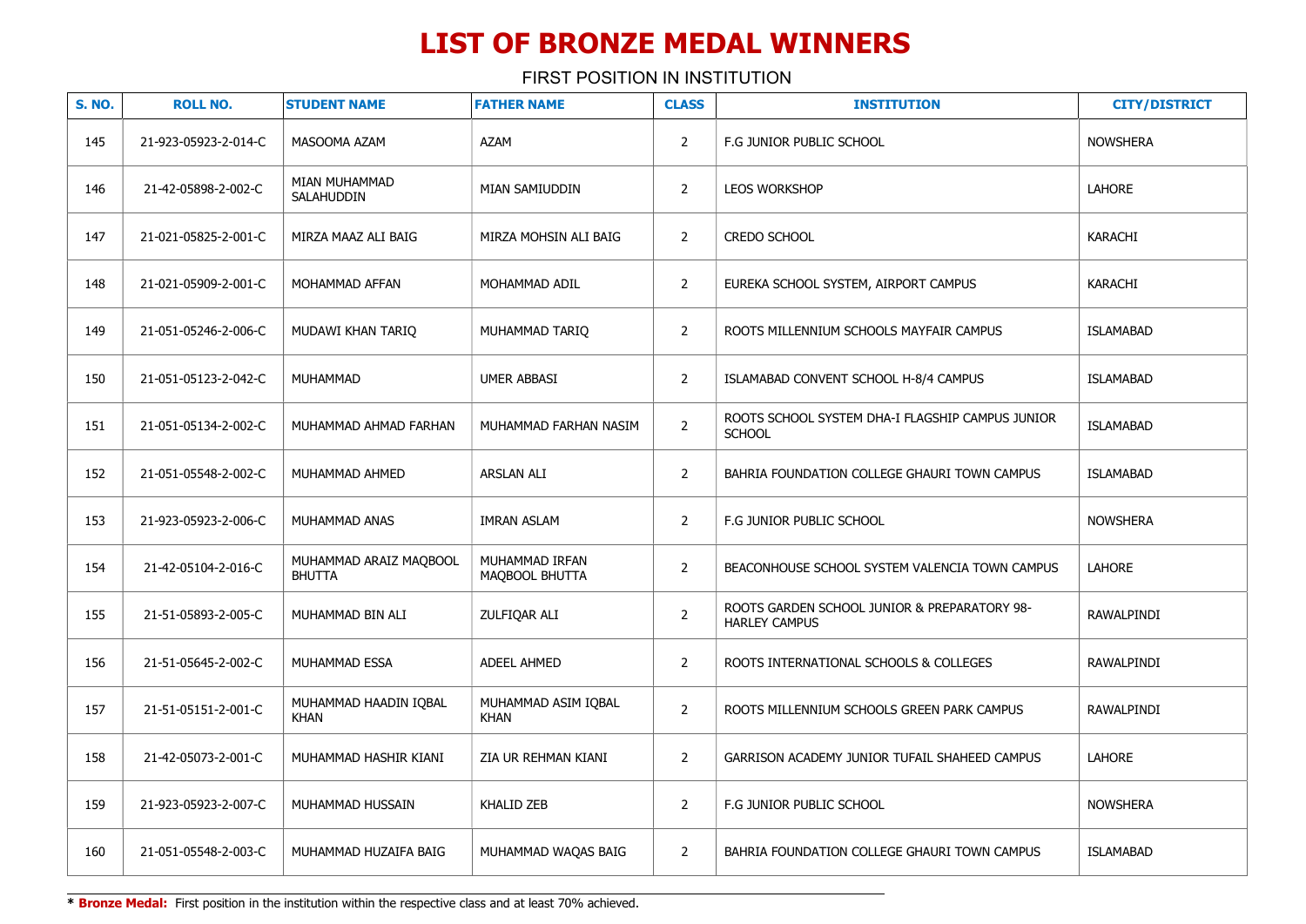| <b>S. NO.</b> | <b>ROLL NO.</b>      | <b>STUDENT NAME</b>                     | <b>FATHER NAME</b>                 | <b>CLASS</b>   | <b>INSTITUTION</b>                                                   | <b>CITY/DISTRICT</b> |
|---------------|----------------------|-----------------------------------------|------------------------------------|----------------|----------------------------------------------------------------------|----------------------|
| 145           | 21-923-05923-2-014-C | MASOOMA AZAM                            | AZAM                               | $\overline{2}$ | F.G JUNIOR PUBLIC SCHOOL                                             | <b>NOWSHERA</b>      |
| 146           | 21-42-05898-2-002-C  | MIAN MUHAMMAD<br>SALAHUDDIN             | MIAN SAMIUDDIN                     | $\overline{2}$ | LEOS WORKSHOP                                                        | <b>LAHORE</b>        |
| 147           | 21-021-05825-2-001-C | MIRZA MAAZ ALI BAIG                     | MIRZA MOHSIN ALI BAIG              | $\overline{2}$ | <b>CREDO SCHOOL</b>                                                  | <b>KARACHI</b>       |
| 148           | 21-021-05909-2-001-C | MOHAMMAD AFFAN                          | MOHAMMAD ADIL                      | $\overline{2}$ | EUREKA SCHOOL SYSTEM, AIRPORT CAMPUS                                 | <b>KARACHI</b>       |
| 149           | 21-051-05246-2-006-C | MUDAWI KHAN TARIQ                       | MUHAMMAD TARIQ                     | $\overline{2}$ | ROOTS MILLENNIUM SCHOOLS MAYFAIR CAMPUS                              | <b>ISLAMABAD</b>     |
| 150           | 21-051-05123-2-042-C | MUHAMMAD                                | <b>UMER ABBASI</b>                 | $\overline{2}$ | ISLAMABAD CONVENT SCHOOL H-8/4 CAMPUS                                | <b>ISLAMABAD</b>     |
| 151           | 21-051-05134-2-002-C | MUHAMMAD AHMAD FARHAN                   | MUHAMMAD FARHAN NASIM              | $\overline{2}$ | ROOTS SCHOOL SYSTEM DHA-I FLAGSHIP CAMPUS JUNIOR<br><b>SCHOOL</b>    | <b>ISLAMABAD</b>     |
| 152           | 21-051-05548-2-002-C | MUHAMMAD AHMED                          | <b>ARSLAN ALI</b>                  | $\overline{2}$ | BAHRIA FOUNDATION COLLEGE GHAURI TOWN CAMPUS                         | <b>ISLAMABAD</b>     |
| 153           | 21-923-05923-2-006-C | MUHAMMAD ANAS                           | <b>IMRAN ASLAM</b>                 | $\overline{2}$ | F.G JUNIOR PUBLIC SCHOOL                                             | <b>NOWSHERA</b>      |
| 154           | 21-42-05104-2-016-C  | MUHAMMAD ARAIZ MAQBOOL<br><b>BHUTTA</b> | MUHAMMAD IRFAN<br>MAQBOOL BHUTTA   | $\overline{2}$ | BEACONHOUSE SCHOOL SYSTEM VALENCIA TOWN CAMPUS                       | <b>LAHORE</b>        |
| 155           | 21-51-05893-2-005-C  | MUHAMMAD BIN ALI                        | ZULFIQAR ALI                       | $\overline{2}$ | ROOTS GARDEN SCHOOL JUNIOR & PREPARATORY 98-<br><b>HARLEY CAMPUS</b> | RAWALPINDI           |
| 156           | 21-51-05645-2-002-C  | MUHAMMAD ESSA                           | <b>ADEEL AHMED</b>                 | $\overline{2}$ | ROOTS INTERNATIONAL SCHOOLS & COLLEGES                               | RAWALPINDI           |
| 157           | 21-51-05151-2-001-C  | MUHAMMAD HAADIN IQBAL<br><b>KHAN</b>    | MUHAMMAD ASIM IQBAL<br><b>KHAN</b> | $\overline{2}$ | ROOTS MILLENNIUM SCHOOLS GREEN PARK CAMPUS                           | RAWALPINDI           |
| 158           | 21-42-05073-2-001-C  | MUHAMMAD HASHIR KIANI                   | ZIA UR REHMAN KIANI                | $\overline{2}$ | GARRISON ACADEMY JUNIOR TUFAIL SHAHEED CAMPUS                        | LAHORE               |
| 159           | 21-923-05923-2-007-C | MUHAMMAD HUSSAIN                        | <b>KHALID ZEB</b>                  | $\overline{2}$ | F.G JUNIOR PUBLIC SCHOOL                                             | <b>NOWSHERA</b>      |
| 160           | 21-051-05548-2-003-C | MUHAMMAD HUZAIFA BAIG                   | MUHAMMAD WAQAS BAIG                | $\overline{2}$ | BAHRIA FOUNDATION COLLEGE GHAURI TOWN CAMPUS                         | <b>ISLAMABAD</b>     |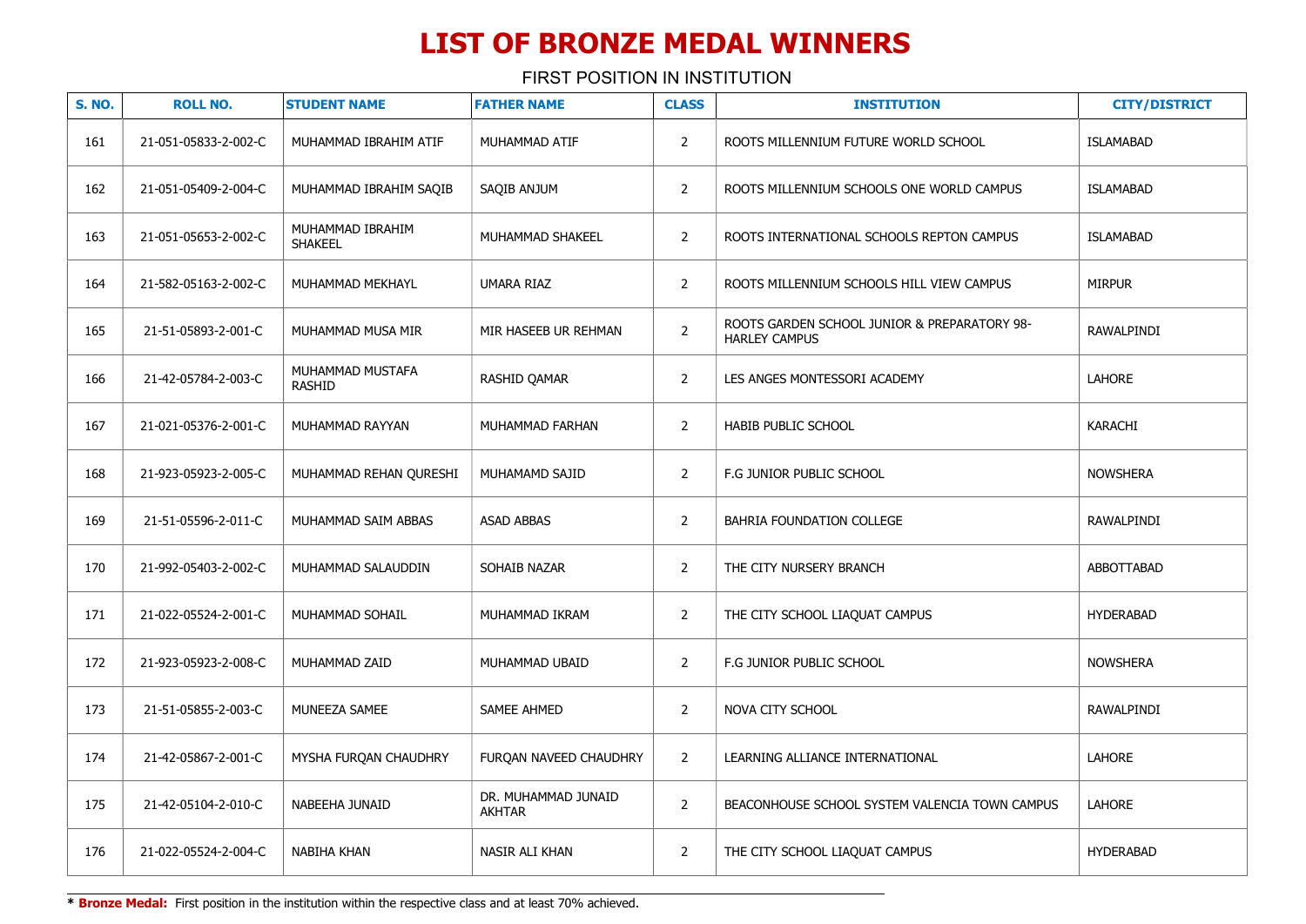FIRST POSITION IN INSTITUTION

| <b>S. NO.</b> | <b>ROLL NO.</b>      | <b>STUDENT NAME</b>                | <b>FATHER NAME</b>                   | <b>CLASS</b>   | <b>INSTITUTION</b>                                                   | <b>CITY/DISTRICT</b> |
|---------------|----------------------|------------------------------------|--------------------------------------|----------------|----------------------------------------------------------------------|----------------------|
| 161           | 21-051-05833-2-002-C | MUHAMMAD IBRAHIM ATIF              | MUHAMMAD ATIF                        | $\overline{2}$ | ROOTS MILLENNIUM FUTURE WORLD SCHOOL                                 | <b>ISLAMABAD</b>     |
| 162           | 21-051-05409-2-004-C | MUHAMMAD IBRAHIM SAQIB             | SAQIB ANJUM                          | $\overline{2}$ | ROOTS MILLENNIUM SCHOOLS ONE WORLD CAMPUS                            | <b>ISLAMABAD</b>     |
| 163           | 21-051-05653-2-002-C | MUHAMMAD IBRAHIM<br><b>SHAKEEL</b> | MUHAMMAD SHAKEEL                     | $\overline{2}$ | ROOTS INTERNATIONAL SCHOOLS REPTON CAMPUS                            | <b>ISLAMABAD</b>     |
| 164           | 21-582-05163-2-002-C | MUHAMMAD MEKHAYL                   | UMARA RIAZ                           | $\overline{2}$ | ROOTS MILLENNIUM SCHOOLS HILL VIEW CAMPUS                            | <b>MIRPUR</b>        |
| 165           | 21-51-05893-2-001-C  | MUHAMMAD MUSA MIR                  | MIR HASEEB UR REHMAN                 | $\overline{2}$ | ROOTS GARDEN SCHOOL JUNIOR & PREPARATORY 98-<br><b>HARLEY CAMPUS</b> | RAWALPINDI           |
| 166           | 21-42-05784-2-003-C  | MUHAMMAD MUSTAFA<br><b>RASHID</b>  | RASHID QAMAR                         | $\overline{2}$ | LES ANGES MONTESSORI ACADEMY                                         | LAHORE               |
| 167           | 21-021-05376-2-001-C | MUHAMMAD RAYYAN                    | MUHAMMAD FARHAN                      | $\overline{2}$ | <b>HABIB PUBLIC SCHOOL</b>                                           | KARACHI              |
| 168           | 21-923-05923-2-005-C | MUHAMMAD REHAN QURESHI             | MUHAMAMD SAJID                       | $\overline{2}$ | F.G JUNIOR PUBLIC SCHOOL                                             | <b>NOWSHERA</b>      |
| 169           | 21-51-05596-2-011-C  | MUHAMMAD SAIM ABBAS                | <b>ASAD ABBAS</b>                    | $\overline{2}$ | BAHRIA FOUNDATION COLLEGE                                            | RAWALPINDI           |
| 170           | 21-992-05403-2-002-C | MUHAMMAD SALAUDDIN                 | SOHAIB NAZAR                         | $\overline{2}$ | THE CITY NURSERY BRANCH                                              | ABBOTTABAD           |
| 171           | 21-022-05524-2-001-C | MUHAMMAD SOHAIL                    | MUHAMMAD IKRAM                       | $\overline{2}$ | THE CITY SCHOOL LIAQUAT CAMPUS                                       | <b>HYDERABAD</b>     |
| 172           | 21-923-05923-2-008-C | MUHAMMAD ZAID                      | MUHAMMAD UBAID                       | $\overline{2}$ | F.G JUNIOR PUBLIC SCHOOL                                             | <b>NOWSHERA</b>      |
| 173           | 21-51-05855-2-003-C  | MUNEEZA SAMEE                      | SAMEE AHMED                          | $\overline{2}$ | NOVA CITY SCHOOL                                                     | RAWALPINDI           |
| 174           | 21-42-05867-2-001-C  | MYSHA FURQAN CHAUDHRY              | FURQAN NAVEED CHAUDHRY               | $\overline{2}$ | LEARNING ALLIANCE INTERNATIONAL                                      | LAHORE               |
| 175           | 21-42-05104-2-010-C  | NABEEHA JUNAID                     | DR. MUHAMMAD JUNAID<br><b>AKHTAR</b> | $\overline{2}$ | BEACONHOUSE SCHOOL SYSTEM VALENCIA TOWN CAMPUS                       | <b>LAHORE</b>        |
| 176           | 21-022-05524-2-004-C | NABIHA KHAN                        | NASIR ALI KHAN                       | $\overline{2}$ | THE CITY SCHOOL LIAQUAT CAMPUS                                       | <b>HYDERABAD</b>     |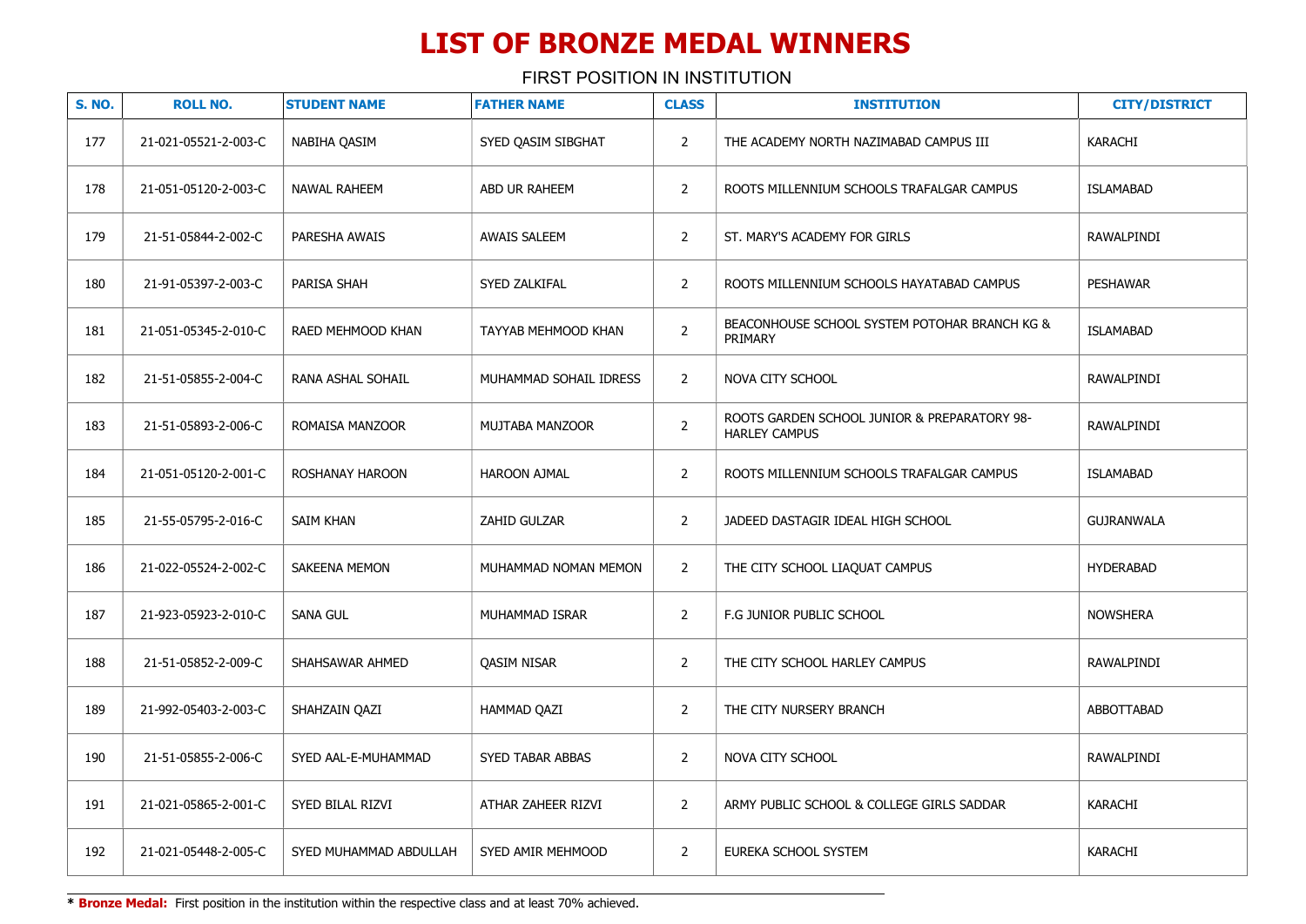| <b>S. NO.</b> | <b>ROLL NO.</b>      | <b>STUDENT NAME</b>    | <b>FATHER NAME</b>     | <b>CLASS</b>   | <b>INSTITUTION</b>                                                   | <b>CITY/DISTRICT</b> |
|---------------|----------------------|------------------------|------------------------|----------------|----------------------------------------------------------------------|----------------------|
| 177           | 21-021-05521-2-003-C | NABIHA QASIM           | SYED OASIM SIBGHAT     | $\overline{2}$ | THE ACADEMY NORTH NAZIMABAD CAMPUS III                               | KARACHI              |
| 178           | 21-051-05120-2-003-C | NAWAL RAHEEM           | ABD UR RAHEEM          | $\overline{2}$ | ROOTS MILLENNIUM SCHOOLS TRAFALGAR CAMPUS                            | <b>ISLAMABAD</b>     |
| 179           | 21-51-05844-2-002-C  | PARESHA AWAIS          | <b>AWAIS SALEEM</b>    | $\overline{2}$ | ST. MARY'S ACADEMY FOR GIRLS                                         | RAWALPINDI           |
| 180           | 21-91-05397-2-003-C  | PARISA SHAH            | SYED ZALKIFAL          | $\overline{2}$ | ROOTS MILLENNIUM SCHOOLS HAYATABAD CAMPUS                            | <b>PESHAWAR</b>      |
| 181           | 21-051-05345-2-010-C | RAED MEHMOOD KHAN      | TAYYAB MEHMOOD KHAN    | $\overline{2}$ | BEACONHOUSE SCHOOL SYSTEM POTOHAR BRANCH KG &<br>PRIMARY             | <b>ISLAMABAD</b>     |
| 182           | 21-51-05855-2-004-C  | RANA ASHAL SOHAIL      | MUHAMMAD SOHAIL IDRESS | $\overline{2}$ | NOVA CITY SCHOOL                                                     | RAWALPINDI           |
| 183           | 21-51-05893-2-006-C  | ROMAISA MANZOOR        | MUJTABA MANZOOR        | $\overline{2}$ | ROOTS GARDEN SCHOOL JUNIOR & PREPARATORY 98-<br><b>HARLEY CAMPUS</b> | RAWALPINDI           |
| 184           | 21-051-05120-2-001-C | ROSHANAY HAROON        | <b>HAROON AJMAL</b>    | $\overline{2}$ | ROOTS MILLENNIUM SCHOOLS TRAFALGAR CAMPUS                            | <b>ISLAMABAD</b>     |
| 185           | 21-55-05795-2-016-C  | SAIM KHAN              | ZAHID GULZAR           | $\overline{2}$ | JADEED DASTAGIR IDEAL HIGH SCHOOL                                    | GUJRANWALA           |
| 186           | 21-022-05524-2-002-C | SAKEENA MEMON          | MUHAMMAD NOMAN MEMON   | $\overline{2}$ | THE CITY SCHOOL LIAQUAT CAMPUS                                       | <b>HYDERABAD</b>     |
| 187           | 21-923-05923-2-010-C | <b>SANA GUL</b>        | MUHAMMAD ISRAR         | $\overline{2}$ | F.G JUNIOR PUBLIC SCHOOL                                             | <b>NOWSHERA</b>      |
| 188           | 21-51-05852-2-009-C  | SHAHSAWAR AHMED        | <b>QASIM NISAR</b>     | $\overline{2}$ | THE CITY SCHOOL HARLEY CAMPUS                                        | RAWALPINDI           |
| 189           | 21-992-05403-2-003-C | SHAHZAIN QAZI          | HAMMAD QAZI            | $\overline{2}$ | THE CITY NURSERY BRANCH                                              | ABBOTTABAD           |
| 190           | 21-51-05855-2-006-C  | SYED AAL-E-MUHAMMAD    | SYED TABAR ABBAS       | $\overline{2}$ | NOVA CITY SCHOOL                                                     | RAWALPINDI           |
| 191           | 21-021-05865-2-001-C | SYED BILAL RIZVI       | ATHAR ZAHEER RIZVI     | $\overline{2}$ | ARMY PUBLIC SCHOOL & COLLEGE GIRLS SADDAR                            | <b>KARACHI</b>       |
| 192           | 21-021-05448-2-005-C | SYED MUHAMMAD ABDULLAH | SYED AMIR MEHMOOD      | $\overline{2}$ | EUREKA SCHOOL SYSTEM                                                 | <b>KARACHI</b>       |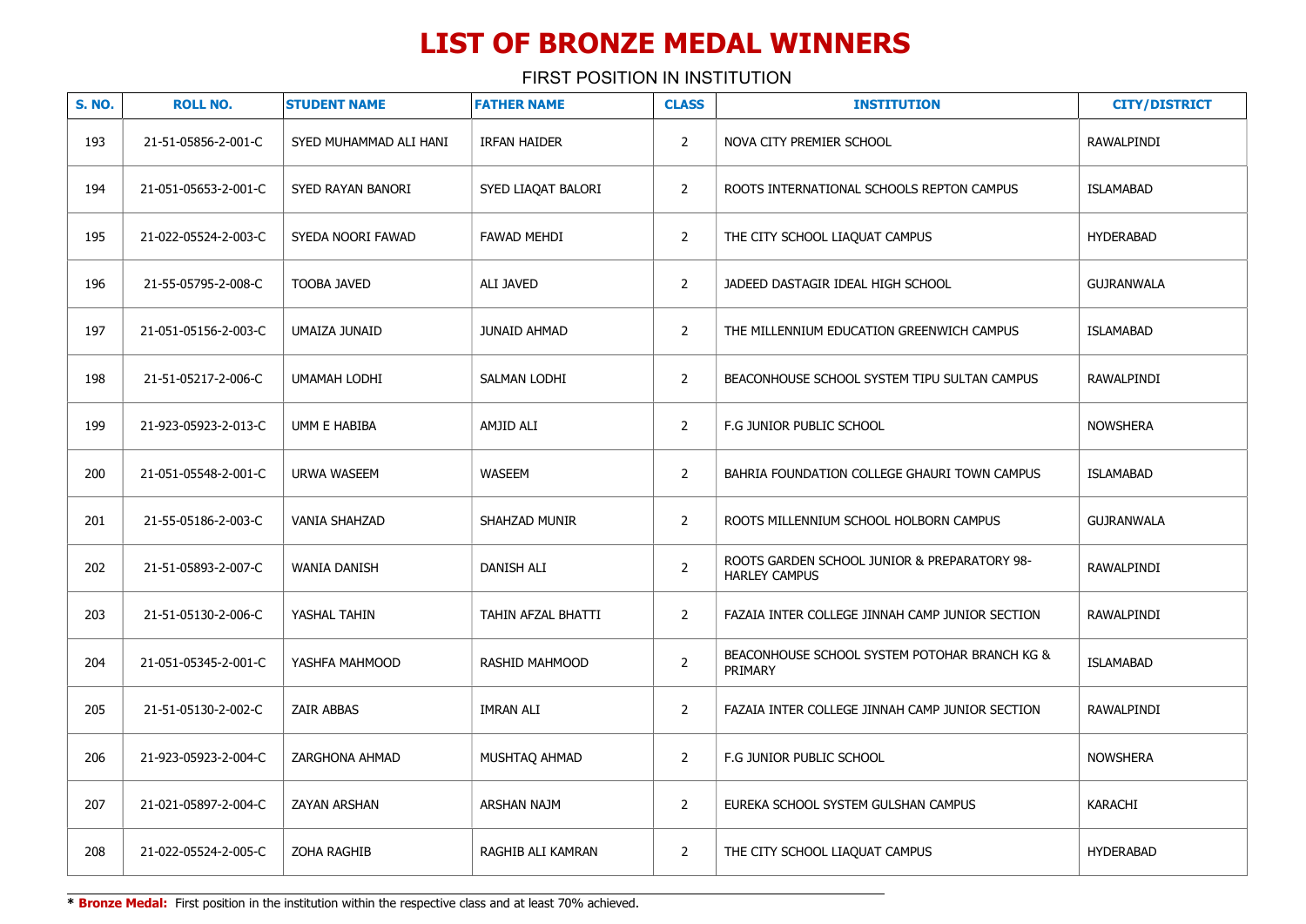FIRST POSITION IN INSTITUTION

| <b>S. NO.</b> | <b>ROLL NO.</b>      | <b>STUDENT NAME</b>    | <b>FATHER NAME</b>  | <b>CLASS</b>   | <b>INSTITUTION</b>                                                   | <b>CITY/DISTRICT</b> |
|---------------|----------------------|------------------------|---------------------|----------------|----------------------------------------------------------------------|----------------------|
| 193           | 21-51-05856-2-001-C  | SYED MUHAMMAD ALI HANI | <b>IRFAN HAIDER</b> | $\overline{2}$ | NOVA CITY PREMIER SCHOOL                                             | RAWALPINDI           |
| 194           | 21-051-05653-2-001-C | SYED RAYAN BANORI      | SYED LIAQAT BALORI  | $\overline{2}$ | ROOTS INTERNATIONAL SCHOOLS REPTON CAMPUS                            | <b>ISLAMABAD</b>     |
| 195           | 21-022-05524-2-003-C | SYEDA NOORI FAWAD      | <b>FAWAD MEHDI</b>  | $\overline{2}$ | THE CITY SCHOOL LIAQUAT CAMPUS                                       | <b>HYDERABAD</b>     |
| 196           | 21-55-05795-2-008-C  | <b>TOOBA JAVED</b>     | ALI JAVED           | $\overline{2}$ | JADEED DASTAGIR IDEAL HIGH SCHOOL                                    | <b>GUJRANWALA</b>    |
| 197           | 21-051-05156-2-003-C | UMAIZA JUNAID          | <b>JUNAID AHMAD</b> | $\overline{2}$ | THE MILLENNIUM EDUCATION GREENWICH CAMPUS                            | <b>ISLAMABAD</b>     |
| 198           | 21-51-05217-2-006-C  | UMAMAH LODHI           | SALMAN LODHI        | $\overline{2}$ | BEACONHOUSE SCHOOL SYSTEM TIPU SULTAN CAMPUS                         | RAWALPINDI           |
| 199           | 21-923-05923-2-013-C | UMM E HABIBA           | AMJID ALI           | $\overline{2}$ | F.G JUNIOR PUBLIC SCHOOL                                             | <b>NOWSHERA</b>      |
| 200           | 21-051-05548-2-001-C | <b>URWA WASEEM</b>     | <b>WASEEM</b>       | $\overline{2}$ | BAHRIA FOUNDATION COLLEGE GHAURI TOWN CAMPUS                         | <b>ISLAMABAD</b>     |
| 201           | 21-55-05186-2-003-C  | <b>VANIA SHAHZAD</b>   | SHAHZAD MUNIR       | $\overline{2}$ | ROOTS MILLENNIUM SCHOOL HOLBORN CAMPUS                               | <b>GUJRANWALA</b>    |
| 202           | 21-51-05893-2-007-C  | <b>WANIA DANISH</b>    | DANISH ALI          | $\overline{2}$ | ROOTS GARDEN SCHOOL JUNIOR & PREPARATORY 98-<br><b>HARLEY CAMPUS</b> | RAWALPINDI           |
| 203           | 21-51-05130-2-006-C  | YASHAL TAHIN           | TAHIN AFZAL BHATTI  | $\overline{2}$ | FAZAIA INTER COLLEGE JINNAH CAMP JUNIOR SECTION                      | RAWALPINDI           |
| 204           | 21-051-05345-2-001-C | YASHFA MAHMOOD         | RASHID MAHMOOD      | $\overline{2}$ | BEACONHOUSE SCHOOL SYSTEM POTOHAR BRANCH KG &<br>PRIMARY             | <b>ISLAMABAD</b>     |
| 205           | 21-51-05130-2-002-C  | <b>ZAIR ABBAS</b>      | <b>IMRAN ALI</b>    | $\overline{2}$ | FAZAIA INTER COLLEGE JINNAH CAMP JUNIOR SECTION                      | RAWALPINDI           |
| 206           | 21-923-05923-2-004-C | ZARGHONA AHMAD         | MUSHTAQ AHMAD       | $\overline{2}$ | F.G JUNIOR PUBLIC SCHOOL                                             | <b>NOWSHERA</b>      |
| 207           | 21-021-05897-2-004-C | ZAYAN ARSHAN           | <b>ARSHAN NAJM</b>  | $\overline{2}$ | EUREKA SCHOOL SYSTEM GULSHAN CAMPUS                                  | KARACHI              |
| 208           | 21-022-05524-2-005-C | ZOHA RAGHIB            | RAGHIB ALI KAMRAN   | $\overline{2}$ | THE CITY SCHOOL LIAQUAT CAMPUS                                       | <b>HYDERABAD</b>     |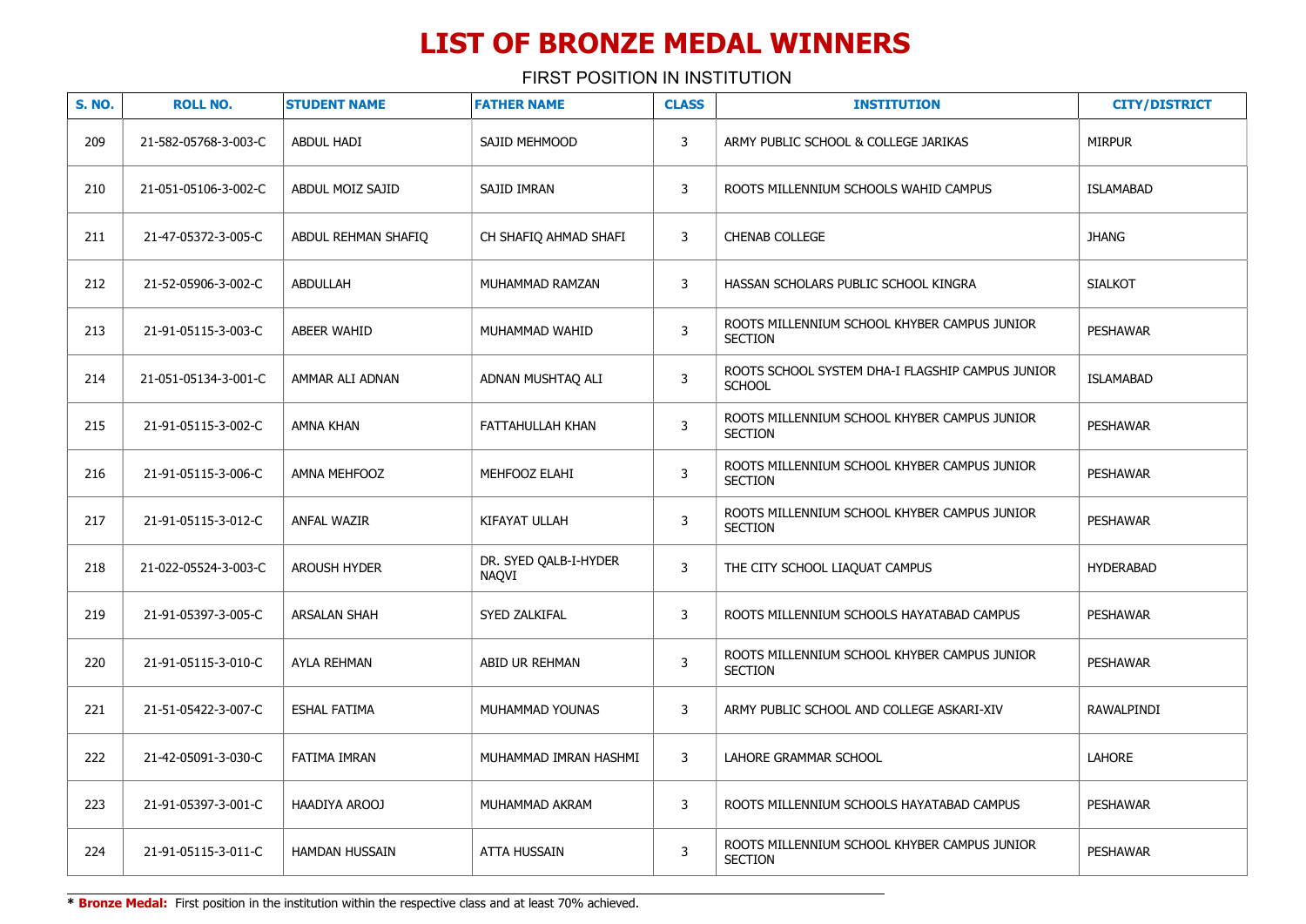FIRST POSITION IN INSTITUTION

| <b>S. NO.</b> | <b>ROLL NO.</b>      | <b>STUDENT NAME</b>   | <b>FATHER NAME</b>             | <b>CLASS</b>   | <b>INSTITUTION</b>                                                | <b>CITY/DISTRICT</b> |
|---------------|----------------------|-----------------------|--------------------------------|----------------|-------------------------------------------------------------------|----------------------|
| 209           | 21-582-05768-3-003-C | <b>ABDUL HADI</b>     | SAJID MEHMOOD                  | 3              | ARMY PUBLIC SCHOOL & COLLEGE JARIKAS                              | <b>MIRPUR</b>        |
| 210           | 21-051-05106-3-002-C | ABDUL MOIZ SAJID      | SAJID IMRAN                    | 3              | ROOTS MILLENNIUM SCHOOLS WAHID CAMPUS                             | <b>ISLAMABAD</b>     |
| 211           | 21-47-05372-3-005-C  | ABDUL REHMAN SHAFIQ   | CH SHAFIQ AHMAD SHAFI          | 3              | <b>CHENAB COLLEGE</b>                                             | <b>JHANG</b>         |
| 212           | 21-52-05906-3-002-C  | <b>ABDULLAH</b>       | MUHAMMAD RAMZAN                | 3              | HASSAN SCHOLARS PUBLIC SCHOOL KINGRA                              | <b>SIALKOT</b>       |
| 213           | 21-91-05115-3-003-C  | <b>ABEER WAHID</b>    | MUHAMMAD WAHID                 | 3              | ROOTS MILLENNIUM SCHOOL KHYBER CAMPUS JUNIOR<br><b>SECTION</b>    | <b>PESHAWAR</b>      |
| 214           | 21-051-05134-3-001-C | AMMAR ALI ADNAN       | ADNAN MUSHTAQ ALI              | 3              | ROOTS SCHOOL SYSTEM DHA-I FLAGSHIP CAMPUS JUNIOR<br><b>SCHOOL</b> | <b>ISLAMABAD</b>     |
| 215           | 21-91-05115-3-002-C  | AMNA KHAN             | FATTAHULLAH KHAN               | 3              | ROOTS MILLENNIUM SCHOOL KHYBER CAMPUS JUNIOR<br><b>SECTION</b>    | <b>PESHAWAR</b>      |
| 216           | 21-91-05115-3-006-C  | AMNA MEHFOOZ          | MEHFOOZ ELAHI                  | $\mathbf{3}$   | ROOTS MILLENNIUM SCHOOL KHYBER CAMPUS JUNIOR<br><b>SECTION</b>    | <b>PESHAWAR</b>      |
| 217           | 21-91-05115-3-012-C  | <b>ANFAL WAZIR</b>    | KIFAYAT ULLAH                  | $\mathbf{3}$   | ROOTS MILLENNIUM SCHOOL KHYBER CAMPUS JUNIOR<br><b>SECTION</b>    | <b>PESHAWAR</b>      |
| 218           | 21-022-05524-3-003-C | <b>AROUSH HYDER</b>   | DR. SYED OALB-I-HYDER<br>NAOVI | $\mathbf{3}$   | THE CITY SCHOOL LIAQUAT CAMPUS                                    | <b>HYDERABAD</b>     |
| 219           | 21-91-05397-3-005-C  | <b>ARSALAN SHAH</b>   | SYED ZALKIFAL                  | 3              | ROOTS MILLENNIUM SCHOOLS HAYATABAD CAMPUS                         | <b>PESHAWAR</b>      |
| 220           | 21-91-05115-3-010-C  | AYLA REHMAN           | ABID UR REHMAN                 | 3              | ROOTS MILLENNIUM SCHOOL KHYBER CAMPUS JUNIOR<br><b>SECTION</b>    | <b>PESHAWAR</b>      |
| 221           | 21-51-05422-3-007-C  | <b>ESHAL FATIMA</b>   | MUHAMMAD YOUNAS                | 3              | ARMY PUBLIC SCHOOL AND COLLEGE ASKARI-XIV                         | RAWALPINDI           |
| 222           | 21-42-05091-3-030-C  | FATIMA IMRAN          | MUHAMMAD IMRAN HASHMI          | 3              | LAHORE GRAMMAR SCHOOL                                             | LAHORE               |
| 223           | 21-91-05397-3-001-C  | HAADIYA AROOJ         | MUHAMMAD AKRAM                 | 3              | ROOTS MILLENNIUM SCHOOLS HAYATABAD CAMPUS                         | <b>PESHAWAR</b>      |
| 224           | 21-91-05115-3-011-C  | <b>HAMDAN HUSSAIN</b> | <b>ATTA HUSSAIN</b>            | $\overline{3}$ | ROOTS MILLENNIUM SCHOOL KHYBER CAMPUS JUNIOR<br><b>SECTION</b>    | <b>PESHAWAR</b>      |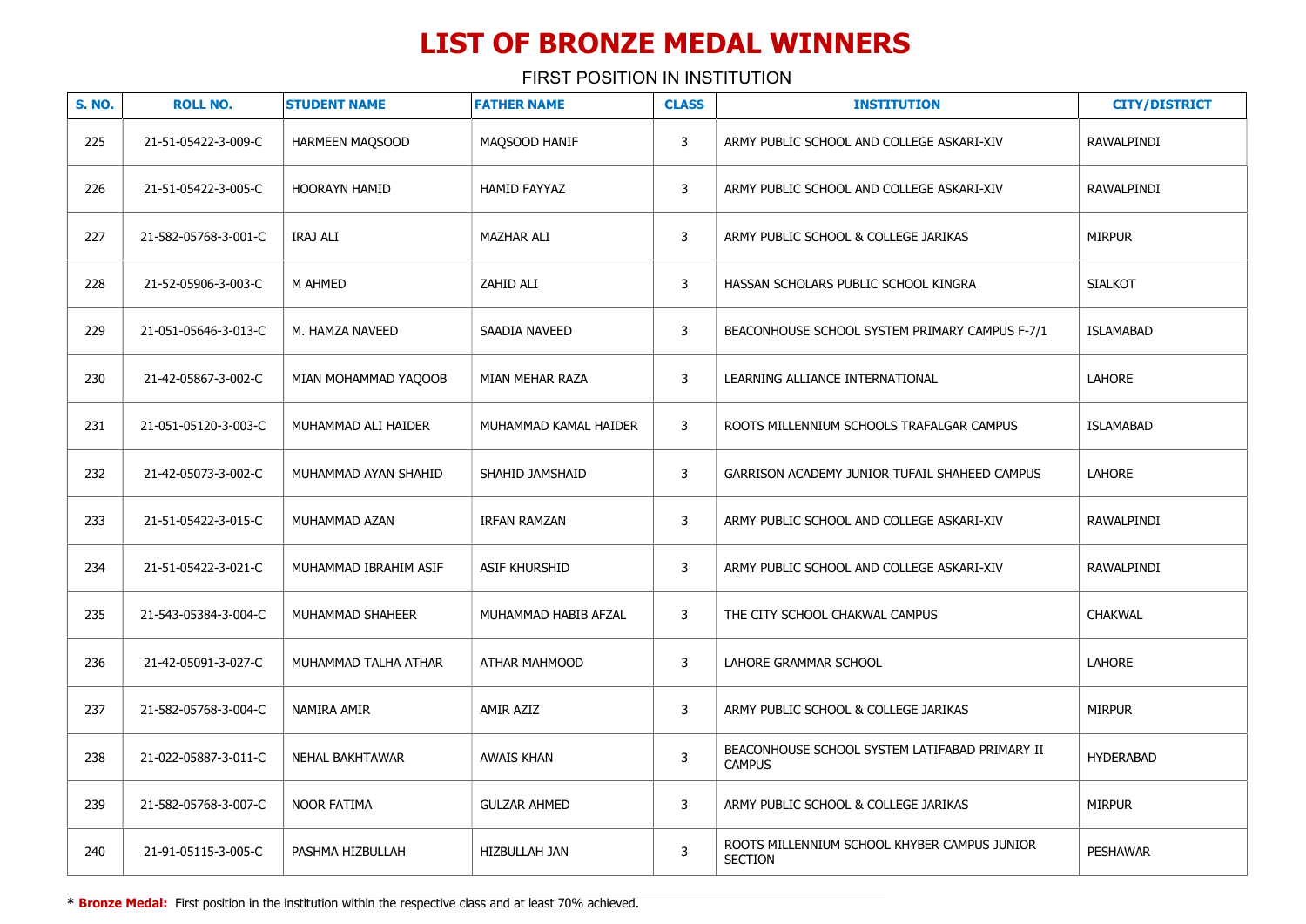| <b>S. NO.</b> | <b>ROLL NO.</b>      | <b>STUDENT NAME</b>    | <b>FATHER NAME</b>    | <b>CLASS</b> | <b>INSTITUTION</b>                                              | <b>CITY/DISTRICT</b> |
|---------------|----------------------|------------------------|-----------------------|--------------|-----------------------------------------------------------------|----------------------|
| 225           | 21-51-05422-3-009-C  | HARMEEN MAQSOOD        | MAQSOOD HANIF         | 3            | ARMY PUBLIC SCHOOL AND COLLEGE ASKARI-XIV                       | RAWALPINDI           |
| 226           | 21-51-05422-3-005-C  | HOORAYN HAMID          | HAMID FAYYAZ          | 3            | ARMY PUBLIC SCHOOL AND COLLEGE ASKARI-XIV                       | RAWALPINDI           |
| 227           | 21-582-05768-3-001-C | IRAJ ALI               | MAZHAR ALI            | 3            | ARMY PUBLIC SCHOOL & COLLEGE JARIKAS                            | <b>MIRPUR</b>        |
| 228           | 21-52-05906-3-003-C  | M AHMED                | ZAHID ALI             | $\mathbf{3}$ | HASSAN SCHOLARS PUBLIC SCHOOL KINGRA                            | <b>SIALKOT</b>       |
| 229           | 21-051-05646-3-013-C | M. HAMZA NAVEED        | SAADIA NAVEED         | 3            | BEACONHOUSE SCHOOL SYSTEM PRIMARY CAMPUS F-7/1                  | <b>ISLAMABAD</b>     |
| 230           | 21-42-05867-3-002-C  | MIAN MOHAMMAD YAQOOB   | MIAN MEHAR RAZA       | 3            | LEARNING ALLIANCE INTERNATIONAL                                 | LAHORE               |
| 231           | 21-051-05120-3-003-C | MUHAMMAD ALI HAIDER    | MUHAMMAD KAMAL HAIDER | 3            | ROOTS MILLENNIUM SCHOOLS TRAFALGAR CAMPUS                       | ISLAMABAD            |
| 232           | 21-42-05073-3-002-C  | MUHAMMAD AYAN SHAHID   | SHAHID JAMSHAID       | 3            | GARRISON ACADEMY JUNIOR TUFAIL SHAHEED CAMPUS                   | <b>LAHORE</b>        |
| 233           | 21-51-05422-3-015-C  | MUHAMMAD AZAN          | <b>IRFAN RAMZAN</b>   | 3            | ARMY PUBLIC SCHOOL AND COLLEGE ASKARI-XIV                       | RAWALPINDI           |
| 234           | 21-51-05422-3-021-C  | MUHAMMAD IBRAHIM ASIF  | ASIF KHURSHID         | 3            | ARMY PUBLIC SCHOOL AND COLLEGE ASKARI-XIV                       | RAWALPINDI           |
| 235           | 21-543-05384-3-004-C | MUHAMMAD SHAHEER       | MUHAMMAD HABIB AFZAL  | 3            | THE CITY SCHOOL CHAKWAL CAMPUS                                  | <b>CHAKWAL</b>       |
| 236           | 21-42-05091-3-027-C  | MUHAMMAD TALHA ATHAR   | ATHAR MAHMOOD         | $\mathsf{3}$ | LAHORE GRAMMAR SCHOOL                                           | <b>LAHORE</b>        |
| 237           | 21-582-05768-3-004-C | NAMIRA AMIR            | AMIR AZIZ             | 3            | ARMY PUBLIC SCHOOL & COLLEGE JARIKAS                            | <b>MIRPUR</b>        |
| 238           | 21-022-05887-3-011-C | <b>NEHAL BAKHTAWAR</b> | <b>AWAIS KHAN</b>     | $\mathsf{3}$ | BEACONHOUSE SCHOOL SYSTEM LATIFABAD PRIMARY II<br><b>CAMPUS</b> | <b>HYDERABAD</b>     |
| 239           | 21-582-05768-3-007-C | <b>NOOR FATIMA</b>     | <b>GULZAR AHMED</b>   | 3            | ARMY PUBLIC SCHOOL & COLLEGE JARIKAS                            | <b>MIRPUR</b>        |
| 240           | 21-91-05115-3-005-C  | PASHMA HIZBULLAH       | HIZBULLAH JAN         | 3            | ROOTS MILLENNIUM SCHOOL KHYBER CAMPUS JUNIOR<br><b>SECTION</b>  | <b>PESHAWAR</b>      |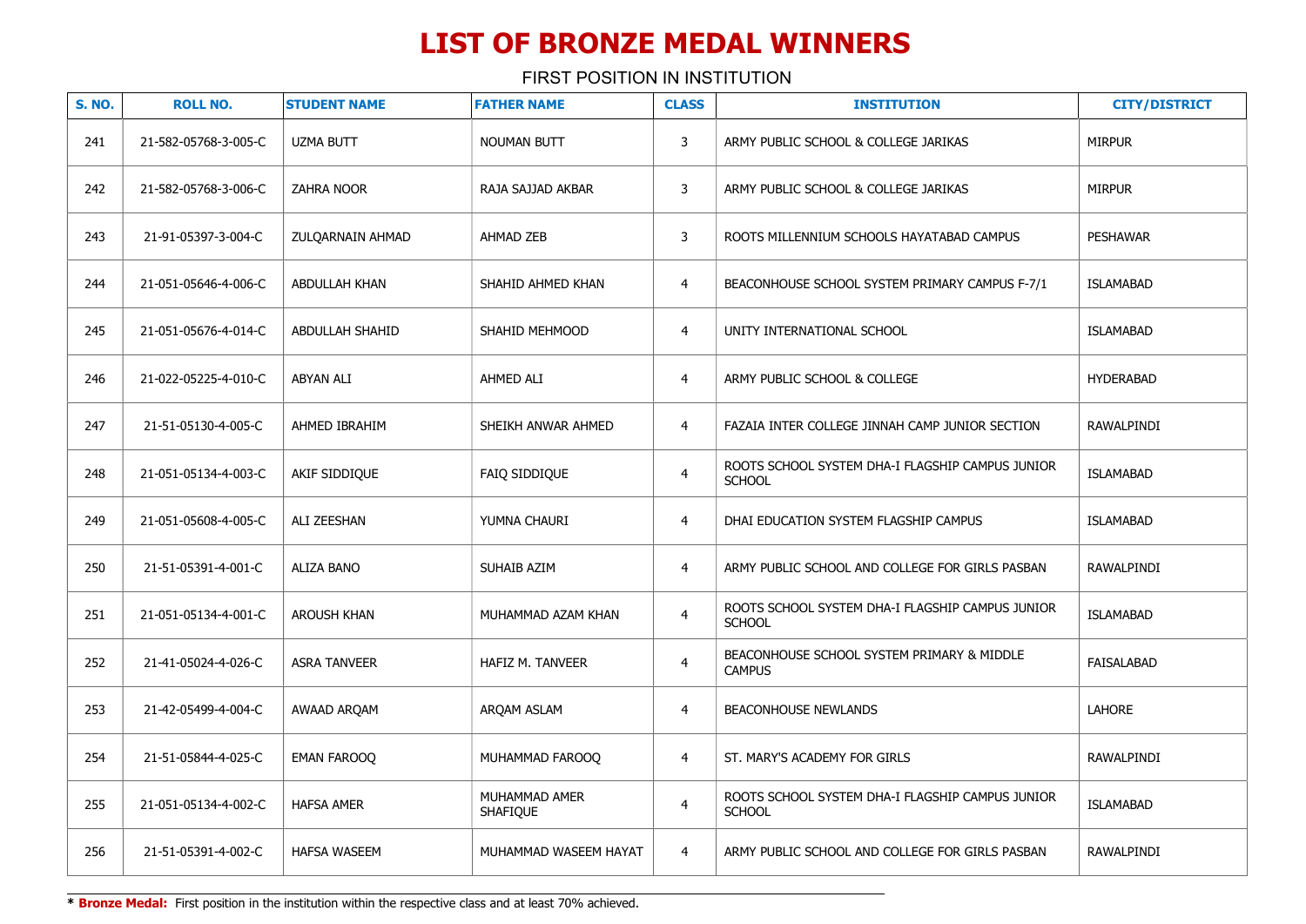| <b>S. NO.</b> | <b>ROLL NO.</b>      | <b>STUDENT NAME</b>    | <b>FATHER NAME</b>               | <b>CLASS</b>   | <b>INSTITUTION</b>                                                | <b>CITY/DISTRICT</b> |
|---------------|----------------------|------------------------|----------------------------------|----------------|-------------------------------------------------------------------|----------------------|
| 241           | 21-582-05768-3-005-C | <b>UZMA BUTT</b>       | <b>NOUMAN BUTT</b>               | 3              | ARMY PUBLIC SCHOOL & COLLEGE JARIKAS                              | <b>MIRPUR</b>        |
| 242           | 21-582-05768-3-006-C | ZAHRA NOOR             | RAJA SAJJAD AKBAR                | 3              | ARMY PUBLIC SCHOOL & COLLEGE JARIKAS                              | <b>MIRPUR</b>        |
| 243           | 21-91-05397-3-004-C  | ZULQARNAIN AHMAD       | AHMAD ZEB                        | 3              | ROOTS MILLENNIUM SCHOOLS HAYATABAD CAMPUS                         | <b>PESHAWAR</b>      |
| 244           | 21-051-05646-4-006-C | ABDULLAH KHAN          | SHAHID AHMED KHAN                | 4              | BEACONHOUSE SCHOOL SYSTEM PRIMARY CAMPUS F-7/1                    | <b>ISLAMABAD</b>     |
| 245           | 21-051-05676-4-014-C | <b>ABDULLAH SHAHID</b> | SHAHID MEHMOOD                   | 4              | UNITY INTERNATIONAL SCHOOL                                        | <b>ISLAMABAD</b>     |
| 246           | 21-022-05225-4-010-C | ABYAN ALI              | AHMED ALI                        | 4              | ARMY PUBLIC SCHOOL & COLLEGE                                      | <b>HYDERABAD</b>     |
| 247           | 21-51-05130-4-005-C  | AHMED IBRAHIM          | SHEIKH ANWAR AHMED               | 4              | FAZAIA INTER COLLEGE JINNAH CAMP JUNIOR SECTION                   | RAWALPINDI           |
| 248           | 21-051-05134-4-003-C | AKIF SIDDIQUE          | FAIQ SIDDIQUE                    | $\overline{4}$ | ROOTS SCHOOL SYSTEM DHA-I FLAGSHIP CAMPUS JUNIOR<br><b>SCHOOL</b> | <b>ISLAMABAD</b>     |
| 249           | 21-051-05608-4-005-C | <b>ALI ZEESHAN</b>     | YUMNA CHAURI                     | $\overline{4}$ | DHAI EDUCATION SYSTEM FLAGSHIP CAMPUS                             | <b>ISLAMABAD</b>     |
| 250           | 21-51-05391-4-001-C  | <b>ALIZA BANO</b>      | SUHAIB AZIM                      | 4              | ARMY PUBLIC SCHOOL AND COLLEGE FOR GIRLS PASBAN                   | RAWALPINDI           |
| 251           | 21-051-05134-4-001-C | <b>AROUSH KHAN</b>     | MUHAMMAD AZAM KHAN               | 4              | ROOTS SCHOOL SYSTEM DHA-I FLAGSHIP CAMPUS JUNIOR<br><b>SCHOOL</b> | <b>ISLAMABAD</b>     |
| 252           | 21-41-05024-4-026-C  | <b>ASRA TANVEER</b>    | <b>HAFIZ M. TANVEER</b>          | $\overline{4}$ | BEACONHOUSE SCHOOL SYSTEM PRIMARY & MIDDLE<br><b>CAMPUS</b>       | <b>FAISALABAD</b>    |
| 253           | 21-42-05499-4-004-C  | AWAAD ARQAM            | ARQAM ASLAM                      | 4              | <b>BEACONHOUSE NEWLANDS</b>                                       | LAHORE               |
| 254           | 21-51-05844-4-025-C  | EMAN FAROOQ            | MUHAMMAD FAROOQ                  | 4              | ST. MARY'S ACADEMY FOR GIRLS                                      | RAWALPINDI           |
| 255           | 21-051-05134-4-002-C | <b>HAFSA AMER</b>      | MUHAMMAD AMER<br><b>SHAFIQUE</b> | $\overline{4}$ | ROOTS SCHOOL SYSTEM DHA-I FLAGSHIP CAMPUS JUNIOR<br><b>SCHOOL</b> | <b>ISLAMABAD</b>     |
| 256           | 21-51-05391-4-002-C  | <b>HAFSA WASEEM</b>    | MUHAMMAD WASEEM HAYAT            | $\overline{4}$ | ARMY PUBLIC SCHOOL AND COLLEGE FOR GIRLS PASBAN                   | RAWALPINDI           |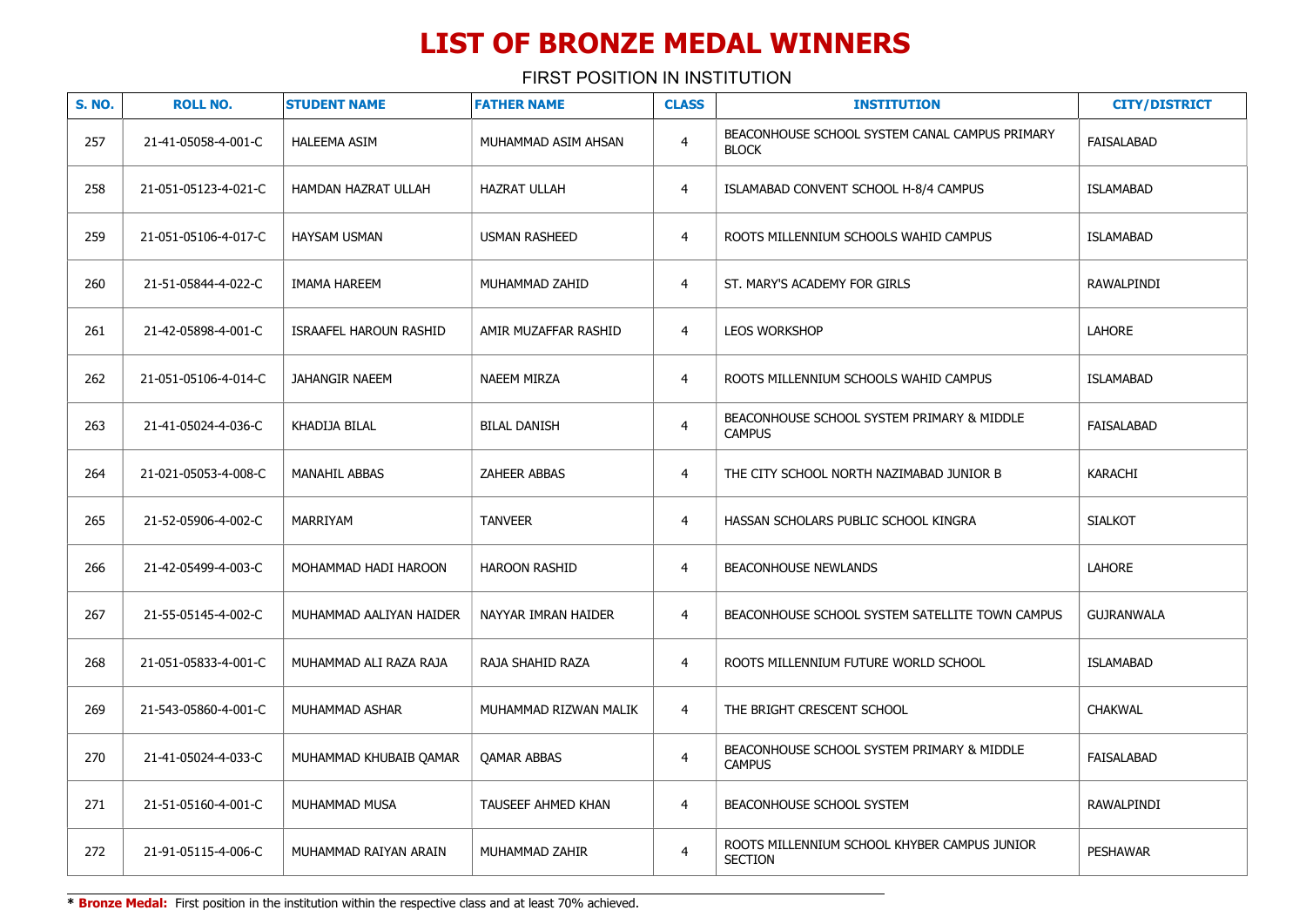| <b>S. NO.</b> | <b>ROLL NO.</b>      | <b>STUDENT NAME</b>           | <b>FATHER NAME</b>    | <b>CLASS</b>   | <b>INSTITUTION</b>                                             | <b>CITY/DISTRICT</b> |
|---------------|----------------------|-------------------------------|-----------------------|----------------|----------------------------------------------------------------|----------------------|
| 257           | 21-41-05058-4-001-C  | HALEEMA ASIM                  | MUHAMMAD ASIM AHSAN   | $\overline{4}$ | BEACONHOUSE SCHOOL SYSTEM CANAL CAMPUS PRIMARY<br><b>BLOCK</b> | <b>FAISALABAD</b>    |
| 258           | 21-051-05123-4-021-C | HAMDAN HAZRAT ULLAH           | <b>HAZRAT ULLAH</b>   | $\overline{4}$ | ISLAMABAD CONVENT SCHOOL H-8/4 CAMPUS                          | <b>ISLAMABAD</b>     |
| 259           | 21-051-05106-4-017-C | <b>HAYSAM USMAN</b>           | <b>USMAN RASHEED</b>  | $\overline{4}$ | ROOTS MILLENNIUM SCHOOLS WAHID CAMPUS                          | <b>ISLAMABAD</b>     |
| 260           | 21-51-05844-4-022-C  | <b>IMAMA HAREEM</b>           | MUHAMMAD ZAHID        | $\overline{4}$ | ST. MARY'S ACADEMY FOR GIRLS                                   | RAWALPINDI           |
| 261           | 21-42-05898-4-001-C  | <b>ISRAAFEL HAROUN RASHID</b> | AMIR MUZAFFAR RASHID  | $\overline{4}$ | LEOS WORKSHOP                                                  | <b>LAHORE</b>        |
| 262           | 21-051-05106-4-014-C | JAHANGIR NAEEM                | <b>NAEEM MIRZA</b>    | $\overline{4}$ | ROOTS MILLENNIUM SCHOOLS WAHID CAMPUS                          | <b>ISLAMABAD</b>     |
| 263           | 21-41-05024-4-036-C  | KHADIJA BILAL                 | <b>BILAL DANISH</b>   | $\overline{4}$ | BEACONHOUSE SCHOOL SYSTEM PRIMARY & MIDDLE<br><b>CAMPUS</b>    | FAISALABAD           |
| 264           | 21-021-05053-4-008-C | MANAHIL ABBAS                 | <b>ZAHEER ABBAS</b>   | $\overline{4}$ | THE CITY SCHOOL NORTH NAZIMABAD JUNIOR B                       | KARACHI              |
| 265           | 21-52-05906-4-002-C  | MARRIYAM                      | <b>TANVEER</b>        | $\overline{4}$ | HASSAN SCHOLARS PUBLIC SCHOOL KINGRA                           | <b>SIALKOT</b>       |
| 266           | 21-42-05499-4-003-C  | MOHAMMAD HADI HAROON          | HAROON RASHID         | 4              | <b>BEACONHOUSE NEWLANDS</b>                                    | LAHORE               |
| 267           | 21-55-05145-4-002-C  | MUHAMMAD AALIYAN HAIDER       | NAYYAR IMRAN HAIDER   | 4              | BEACONHOUSE SCHOOL SYSTEM SATELLITE TOWN CAMPUS                | <b>GUJRANWALA</b>    |
| 268           | 21-051-05833-4-001-C | MUHAMMAD ALI RAZA RAJA        | RAJA SHAHID RAZA      | $\overline{4}$ | ROOTS MILLENNIUM FUTURE WORLD SCHOOL                           | ISLAMABAD            |
| 269           | 21-543-05860-4-001-C | MUHAMMAD ASHAR                | MUHAMMAD RIZWAN MALIK | 4              | THE BRIGHT CRESCENT SCHOOL                                     | <b>CHAKWAL</b>       |
| 270           | 21-41-05024-4-033-C  | MUHAMMAD KHUBAIB QAMAR        | QAMAR ABBAS           | $\overline{4}$ | BEACONHOUSE SCHOOL SYSTEM PRIMARY & MIDDLE<br><b>CAMPUS</b>    | FAISALABAD           |
| 271           | 21-51-05160-4-001-C  | MUHAMMAD MUSA                 | TAUSEEF AHMED KHAN    | 4              | BEACONHOUSE SCHOOL SYSTEM                                      | RAWALPINDI           |
| 272           | 21-91-05115-4-006-C  | MUHAMMAD RAIYAN ARAIN         | MUHAMMAD ZAHIR        | $\overline{4}$ | ROOTS MILLENNIUM SCHOOL KHYBER CAMPUS JUNIOR<br><b>SECTION</b> | <b>PESHAWAR</b>      |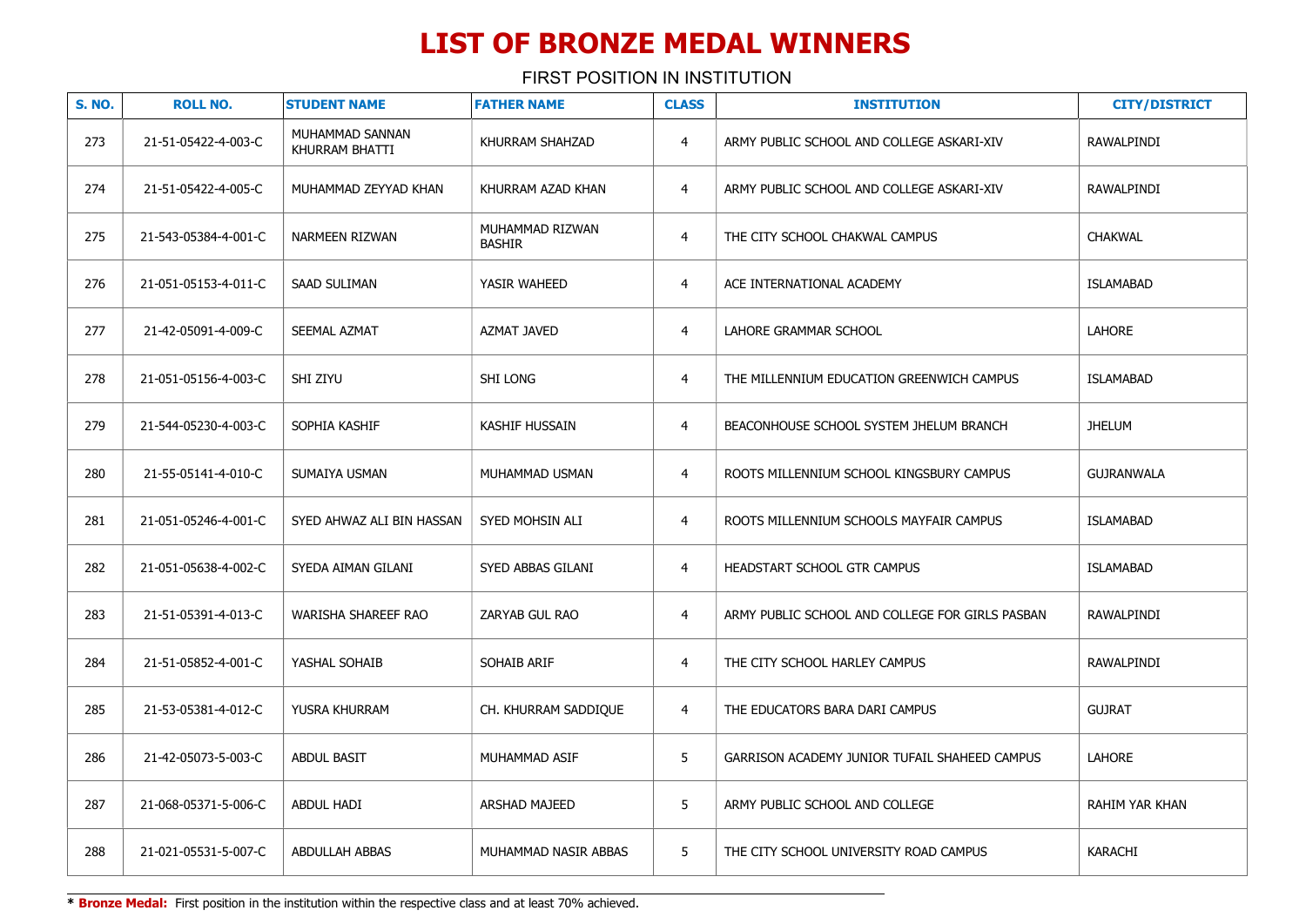FIRST POSITION IN INSTITUTION

| <b>S. NO.</b> | <b>ROLL NO.</b>      | <b>STUDENT NAME</b>               | <b>FATHER NAME</b>               | <b>CLASS</b>   | <b>INSTITUTION</b>                              | <b>CITY/DISTRICT</b> |
|---------------|----------------------|-----------------------------------|----------------------------------|----------------|-------------------------------------------------|----------------------|
| 273           | 21-51-05422-4-003-C  | MUHAMMAD SANNAN<br>KHURRAM BHATTI | KHURRAM SHAHZAD                  | 4              | ARMY PUBLIC SCHOOL AND COLLEGE ASKARI-XIV       | RAWALPINDI           |
| 274           | 21-51-05422-4-005-C  | MUHAMMAD ZEYYAD KHAN              | KHURRAM AZAD KHAN                | $\overline{4}$ | ARMY PUBLIC SCHOOL AND COLLEGE ASKARI-XIV       | RAWALPINDI           |
| 275           | 21-543-05384-4-001-C | NARMEEN RIZWAN                    | MUHAMMAD RIZWAN<br><b>BASHIR</b> | $\overline{4}$ | THE CITY SCHOOL CHAKWAL CAMPUS                  | <b>CHAKWAL</b>       |
| 276           | 21-051-05153-4-011-C | SAAD SULIMAN                      | YASIR WAHEED                     | $\overline{4}$ | ACE INTERNATIONAL ACADEMY                       | <b>ISLAMABAD</b>     |
| 277           | 21-42-05091-4-009-C  | SEEMAL AZMAT                      | AZMAT JAVED                      | $\overline{4}$ | LAHORE GRAMMAR SCHOOL                           | LAHORE               |
| 278           | 21-051-05156-4-003-C | SHI ZIYU                          | <b>SHI LONG</b>                  | $\overline{4}$ | THE MILLENNIUM EDUCATION GREENWICH CAMPUS       | <b>ISLAMABAD</b>     |
| 279           | 21-544-05230-4-003-C | SOPHIA KASHIF                     | <b>KASHIF HUSSAIN</b>            | $\overline{4}$ | BEACONHOUSE SCHOOL SYSTEM JHELUM BRANCH         | <b>JHELUM</b>        |
| 280           | 21-55-05141-4-010-C  | SUMAIYA USMAN                     | MUHAMMAD USMAN                   | $\overline{4}$ | ROOTS MILLENNIUM SCHOOL KINGSBURY CAMPUS        | <b>GUJRANWALA</b>    |
| 281           | 21-051-05246-4-001-C | SYED AHWAZ ALI BIN HASSAN         | SYED MOHSIN ALI                  | $\overline{4}$ | ROOTS MILLENNIUM SCHOOLS MAYFAIR CAMPUS         | <b>ISLAMABAD</b>     |
| 282           | 21-051-05638-4-002-C | SYEDA AIMAN GILANI                | SYED ABBAS GILANI                | $\overline{4}$ | HEADSTART SCHOOL GTR CAMPUS                     | <b>ISLAMABAD</b>     |
| 283           | 21-51-05391-4-013-C  | <b>WARISHA SHAREEF RAO</b>        | ZARYAB GUL RAO                   | $\overline{4}$ | ARMY PUBLIC SCHOOL AND COLLEGE FOR GIRLS PASBAN | RAWALPINDI           |
| 284           | 21-51-05852-4-001-C  | YASHAL SOHAIB                     | SOHAIB ARIF                      | $\overline{4}$ | THE CITY SCHOOL HARLEY CAMPUS                   | RAWALPINDI           |
| 285           | 21-53-05381-4-012-C  | YUSRA KHURRAM                     | CH. KHURRAM SADDIQUE             | 4              | THE EDUCATORS BARA DARI CAMPUS                  | <b>GUJRAT</b>        |
| 286           | 21-42-05073-5-003-C  | <b>ABDUL BASIT</b>                | MUHAMMAD ASIF                    | 5              | GARRISON ACADEMY JUNIOR TUFAIL SHAHEED CAMPUS   | LAHORE               |
| 287           | 21-068-05371-5-006-C | ABDUL HADI                        | ARSHAD MAJEED                    | 5              | ARMY PUBLIC SCHOOL AND COLLEGE                  | RAHIM YAR KHAN       |
| 288           | 21-021-05531-5-007-C | <b>ABDULLAH ABBAS</b>             | MUHAMMAD NASIR ABBAS             | 5              | THE CITY SCHOOL UNIVERSITY ROAD CAMPUS          | KARACHI              |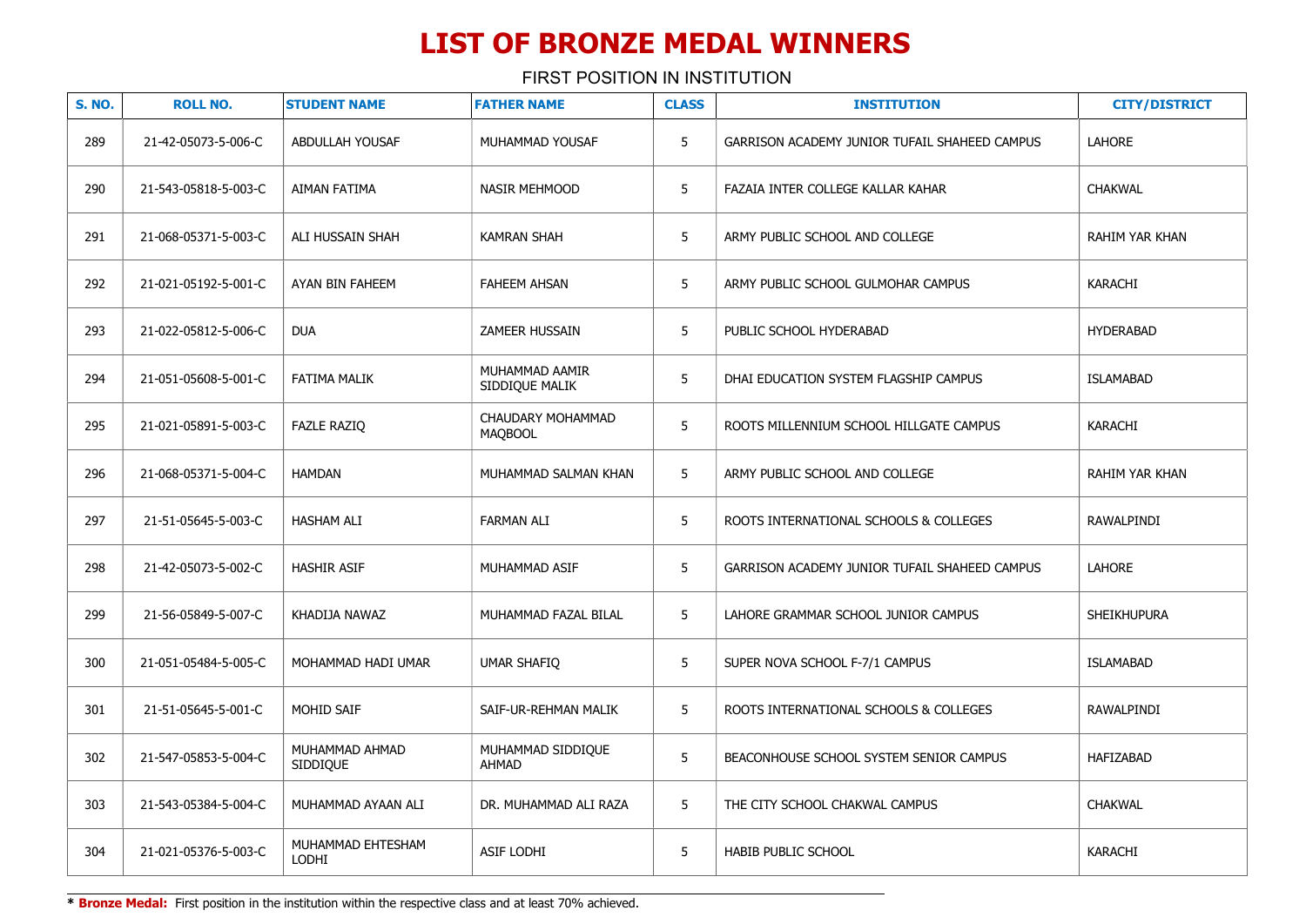FIRST POSITION IN INSTITUTION

| <b>S. NO.</b> | <b>ROLL NO.</b>      | <b>STUDENT NAME</b>               | <b>FATHER NAME</b>                  | <b>CLASS</b> | <b>INSTITUTION</b>                            | <b>CITY/DISTRICT</b> |
|---------------|----------------------|-----------------------------------|-------------------------------------|--------------|-----------------------------------------------|----------------------|
| 289           | 21-42-05073-5-006-C  | ABDULLAH YOUSAF                   | MUHAMMAD YOUSAF                     | 5            | GARRISON ACADEMY JUNIOR TUFAIL SHAHEED CAMPUS | <b>LAHORE</b>        |
| 290           | 21-543-05818-5-003-C | AIMAN FATIMA                      | <b>NASIR MEHMOOD</b>                | 5            | FAZAIA INTER COLLEGE KALLAR KAHAR             | <b>CHAKWAL</b>       |
| 291           | 21-068-05371-5-003-C | ALI HUSSAIN SHAH                  | <b>KAMRAN SHAH</b>                  | 5            | ARMY PUBLIC SCHOOL AND COLLEGE                | RAHIM YAR KHAN       |
| 292           | 21-021-05192-5-001-C | AYAN BIN FAHEEM                   | <b>FAHEEM AHSAN</b>                 | 5            | ARMY PUBLIC SCHOOL GULMOHAR CAMPUS            | <b>KARACHI</b>       |
| 293           | 21-022-05812-5-006-C | <b>DUA</b>                        | <b>ZAMEER HUSSAIN</b>               | 5            | PUBLIC SCHOOL HYDERABAD                       | <b>HYDERABAD</b>     |
| 294           | 21-051-05608-5-001-C | <b>FATIMA MALIK</b>               | MUHAMMAD AAMIR<br>SIDDIQUE MALIK    | 5            | DHAI EDUCATION SYSTEM FLAGSHIP CAMPUS         | <b>ISLAMABAD</b>     |
| 295           | 21-021-05891-5-003-C | <b>FAZLE RAZIO</b>                | CHAUDARY MOHAMMAD<br><b>MAQBOOL</b> | 5            | ROOTS MILLENNIUM SCHOOL HILLGATE CAMPUS       | <b>KARACHI</b>       |
| 296           | 21-068-05371-5-004-C | <b>HAMDAN</b>                     | MUHAMMAD SALMAN KHAN                | 5            | ARMY PUBLIC SCHOOL AND COLLEGE                | RAHIM YAR KHAN       |
| 297           | 21-51-05645-5-003-C  | <b>HASHAM ALI</b>                 | <b>FARMAN ALI</b>                   | 5            | ROOTS INTERNATIONAL SCHOOLS & COLLEGES        | <b>RAWALPINDI</b>    |
| 298           | 21-42-05073-5-002-C  | <b>HASHIR ASIF</b>                | MUHAMMAD ASIF                       | 5            | GARRISON ACADEMY JUNIOR TUFAIL SHAHEED CAMPUS | <b>LAHORE</b>        |
| 299           | 21-56-05849-5-007-C  | KHADIJA NAWAZ                     | MUHAMMAD FAZAL BILAL                | 5            | LAHORE GRAMMAR SCHOOL JUNIOR CAMPUS           | <b>SHEIKHUPURA</b>   |
| 300           | 21-051-05484-5-005-C | MOHAMMAD HADI UMAR                | <b>UMAR SHAFIO</b>                  | 5            | SUPER NOVA SCHOOL F-7/1 CAMPUS                | <b>ISLAMABAD</b>     |
| 301           | 21-51-05645-5-001-C  | MOHID SAIF                        | SAIF-UR-REHMAN MALIK                | 5            | ROOTS INTERNATIONAL SCHOOLS & COLLEGES        | RAWALPINDI           |
| 302           | 21-547-05853-5-004-C | MUHAMMAD AHMAD<br><b>SIDDIQUE</b> | MUHAMMAD SIDDIQUE<br><b>AHMAD</b>   | 5            | BEACONHOUSE SCHOOL SYSTEM SENIOR CAMPUS       | HAFIZABAD            |
| 303           | 21-543-05384-5-004-C | MUHAMMAD AYAAN ALI                | DR. MUHAMMAD ALI RAZA               | 5            | THE CITY SCHOOL CHAKWAL CAMPUS                | <b>CHAKWAL</b>       |
| 304           | 21-021-05376-5-003-C | MUHAMMAD EHTESHAM<br>LODHI        | <b>ASIF LODHI</b>                   | 5            | <b>HABIB PUBLIC SCHOOL</b>                    | <b>KARACHI</b>       |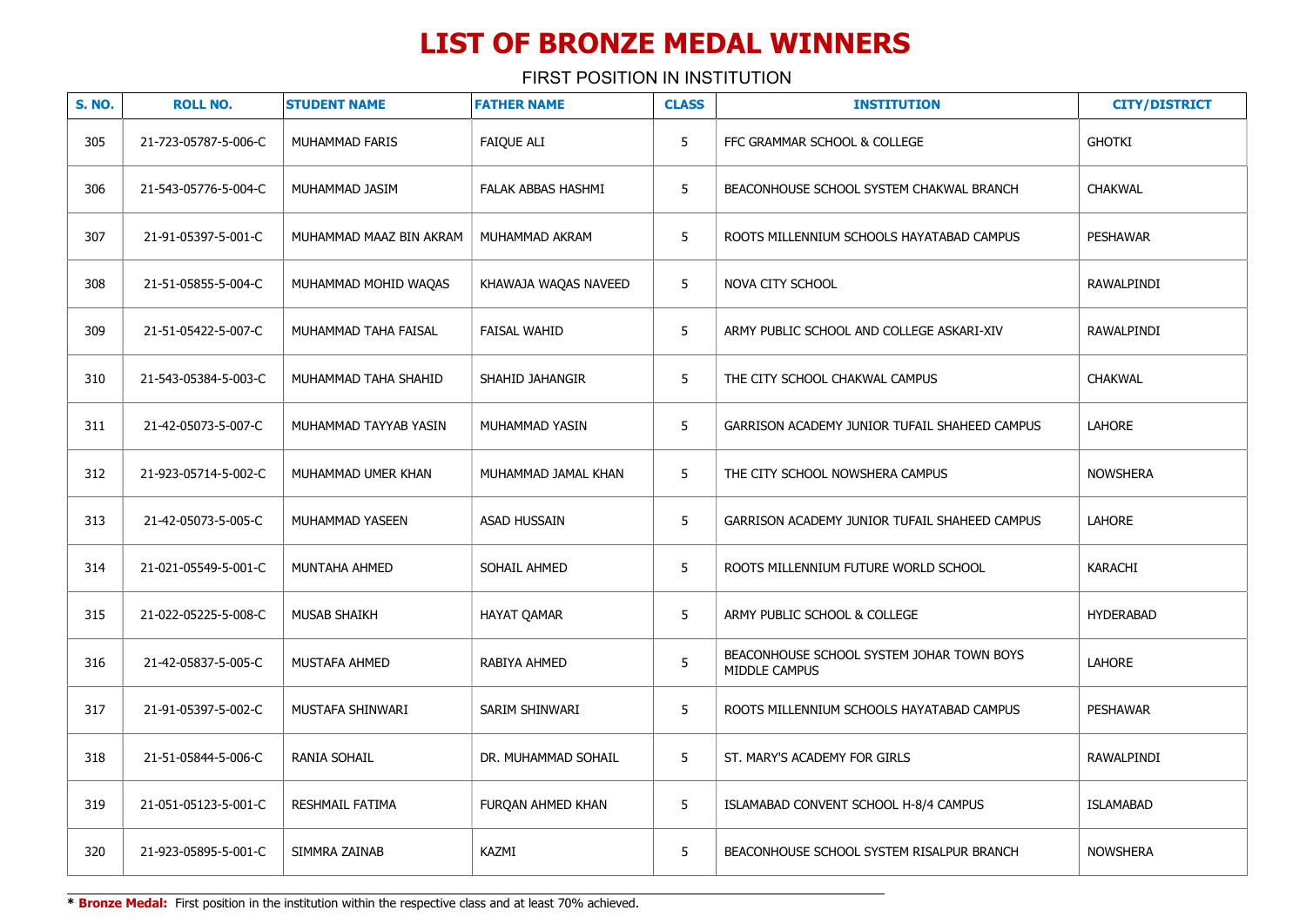FIRST POSITION IN INSTITUTION

| <b>S. NO.</b> | <b>ROLL NO.</b>      | <b>STUDENT NAME</b>     | <b>FATHER NAME</b>   | <b>CLASS</b> | <b>INSTITUTION</b>                                         | <b>CITY/DISTRICT</b> |
|---------------|----------------------|-------------------------|----------------------|--------------|------------------------------------------------------------|----------------------|
| 305           | 21-723-05787-5-006-C | MUHAMMAD FARIS          | <b>FAIQUE ALI</b>    | 5            | FFC GRAMMAR SCHOOL & COLLEGE                               | <b>GHOTKI</b>        |
| 306           | 21-543-05776-5-004-C | MUHAMMAD JASIM          | FALAK ABBAS HASHMI   | 5            | BEACONHOUSE SCHOOL SYSTEM CHAKWAL BRANCH                   | <b>CHAKWAL</b>       |
| 307           | 21-91-05397-5-001-C  | MUHAMMAD MAAZ BIN AKRAM | MUHAMMAD AKRAM       | 5            | ROOTS MILLENNIUM SCHOOLS HAYATABAD CAMPUS                  | <b>PESHAWAR</b>      |
| 308           | 21-51-05855-5-004-C  | MUHAMMAD MOHID WAQAS    | KHAWAJA WAQAS NAVEED | 5            | NOVA CITY SCHOOL                                           | RAWALPINDI           |
| 309           | 21-51-05422-5-007-C  | MUHAMMAD TAHA FAISAL    | <b>FAISAL WAHID</b>  | 5            | ARMY PUBLIC SCHOOL AND COLLEGE ASKARI-XIV                  | RAWALPINDI           |
| 310           | 21-543-05384-5-003-C | MUHAMMAD TAHA SHAHID    | SHAHID JAHANGIR      | 5            | THE CITY SCHOOL CHAKWAL CAMPUS                             | <b>CHAKWAL</b>       |
| 311           | 21-42-05073-5-007-C  | MUHAMMAD TAYYAB YASIN   | MUHAMMAD YASIN       | 5            | GARRISON ACADEMY JUNIOR TUFAIL SHAHEED CAMPUS              | LAHORE               |
| 312           | 21-923-05714-5-002-C | MUHAMMAD UMER KHAN      | MUHAMMAD JAMAL KHAN  | 5            | THE CITY SCHOOL NOWSHERA CAMPUS                            | <b>NOWSHERA</b>      |
| 313           | 21-42-05073-5-005-C  | MUHAMMAD YASEEN         | <b>ASAD HUSSAIN</b>  | 5            | GARRISON ACADEMY JUNIOR TUFAIL SHAHEED CAMPUS              | LAHORE               |
| 314           | 21-021-05549-5-001-C | MUNTAHA AHMED           | SOHAIL AHMED         | 5            | ROOTS MILLENNIUM FUTURE WORLD SCHOOL                       | <b>KARACHI</b>       |
| 315           | 21-022-05225-5-008-C | <b>MUSAB SHAIKH</b>     | HAYAT QAMAR          | 5            | ARMY PUBLIC SCHOOL & COLLEGE                               | <b>HYDERABAD</b>     |
| 316           | 21-42-05837-5-005-C  | MUSTAFA AHMED           | RABIYA AHMED         | 5            | BEACONHOUSE SCHOOL SYSTEM JOHAR TOWN BOYS<br>MIDDLE CAMPUS | LAHORE               |
| 317           | 21-91-05397-5-002-C  | MUSTAFA SHINWARI        | SARIM SHINWARI       | 5            | ROOTS MILLENNIUM SCHOOLS HAYATABAD CAMPUS                  | PESHAWAR             |
| 318           | 21-51-05844-5-006-C  | <b>RANIA SOHAIL</b>     | DR. MUHAMMAD SOHAIL  | 5            | ST. MARY'S ACADEMY FOR GIRLS                               | RAWALPINDI           |
| 319           | 21-051-05123-5-001-C | RESHMAIL FATIMA         | FURQAN AHMED KHAN    | 5            | ISLAMABAD CONVENT SCHOOL H-8/4 CAMPUS                      | <b>ISLAMABAD</b>     |
| 320           | 21-923-05895-5-001-C | SIMMRA ZAINAB           | KAZMI                | 5            | BEACONHOUSE SCHOOL SYSTEM RISALPUR BRANCH                  | <b>NOWSHERA</b>      |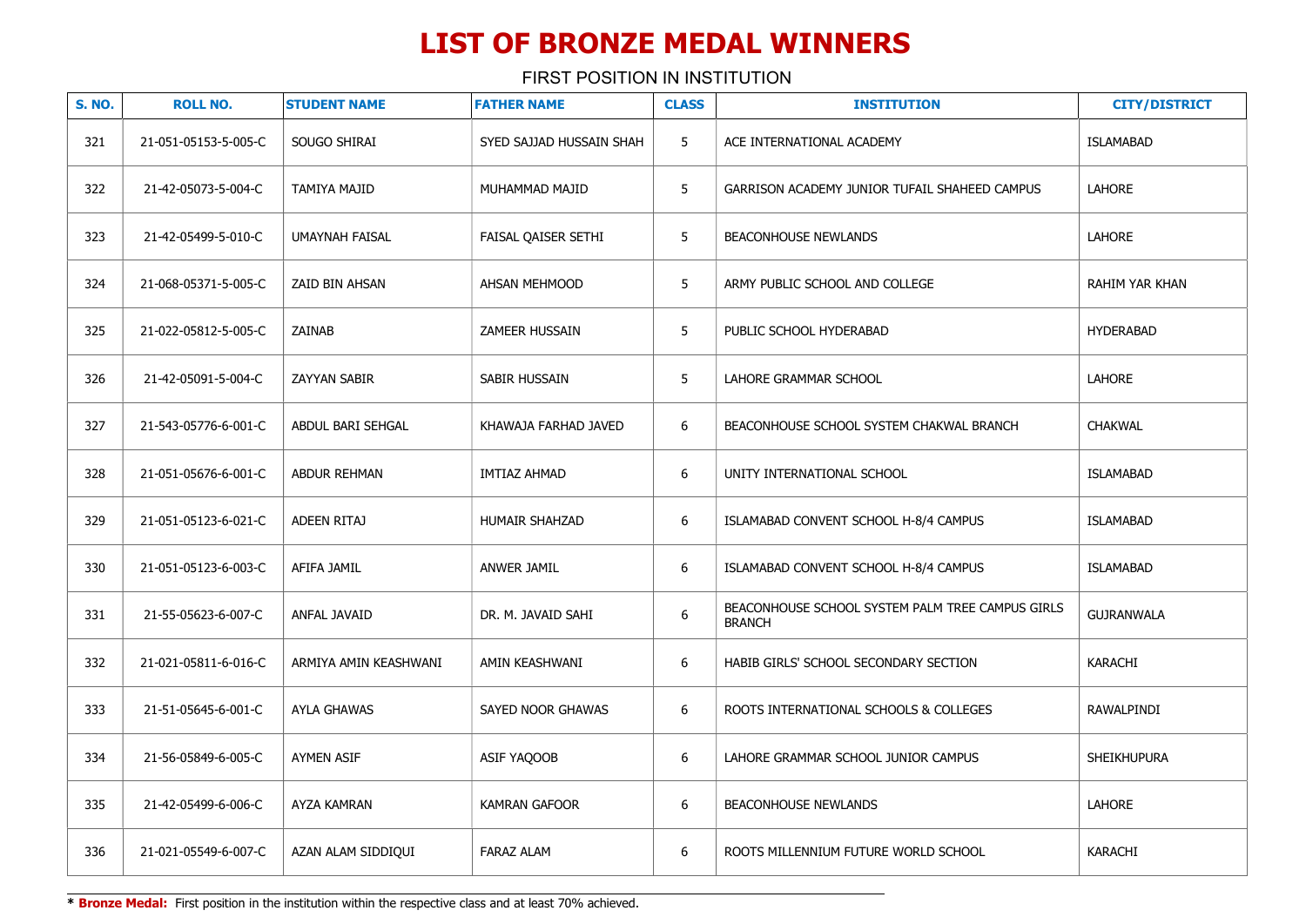FIRST POSITION IN INSTITUTION

| <b>S. NO.</b> | <b>ROLL NO.</b>      | <b>STUDENT NAME</b>   | <b>FATHER NAME</b>       | <b>CLASS</b> | <b>INSTITUTION</b>                                                | <b>CITY/DISTRICT</b> |
|---------------|----------------------|-----------------------|--------------------------|--------------|-------------------------------------------------------------------|----------------------|
| 321           | 21-051-05153-5-005-C | SOUGO SHIRAI          | SYED SAJJAD HUSSAIN SHAH | 5            | ACE INTERNATIONAL ACADEMY                                         | <b>ISLAMABAD</b>     |
| 322           | 21-42-05073-5-004-C  | <b>TAMIYA MAJID</b>   | MUHAMMAD MAJID           | 5            | GARRISON ACADEMY JUNIOR TUFAIL SHAHEED CAMPUS                     | <b>LAHORE</b>        |
| 323           | 21-42-05499-5-010-C  | <b>UMAYNAH FAISAL</b> | FAISAL QAISER SETHI      | 5            | <b>BEACONHOUSE NEWLANDS</b>                                       | <b>LAHORE</b>        |
| 324           | 21-068-05371-5-005-C | ZAID BIN AHSAN        | <b>AHSAN MEHMOOD</b>     | 5            | ARMY PUBLIC SCHOOL AND COLLEGE                                    | RAHIM YAR KHAN       |
| 325           | 21-022-05812-5-005-C | ZAINAB                | ZAMEER HUSSAIN           | 5            | PUBLIC SCHOOL HYDERABAD                                           | <b>HYDERABAD</b>     |
| 326           | 21-42-05091-5-004-C  | ZAYYAN SABIR          | SABIR HUSSAIN            | 5            | LAHORE GRAMMAR SCHOOL                                             | LAHORE               |
| 327           | 21-543-05776-6-001-C | ABDUL BARI SEHGAL     | KHAWAJA FARHAD JAVED     | 6            | BEACONHOUSE SCHOOL SYSTEM CHAKWAL BRANCH                          | <b>CHAKWAL</b>       |
| 328           | 21-051-05676-6-001-C | ABDUR REHMAN          | IMTIAZ AHMAD             | 6            | UNITY INTERNATIONAL SCHOOL                                        | <b>ISLAMABAD</b>     |
| 329           | 21-051-05123-6-021-C | <b>ADEEN RITAJ</b>    | HUMAIR SHAHZAD           | 6            | ISLAMABAD CONVENT SCHOOL H-8/4 CAMPUS                             | <b>ISLAMABAD</b>     |
| 330           | 21-051-05123-6-003-C | AFIFA JAMIL           | ANWER JAMIL              | 6            | ISLAMABAD CONVENT SCHOOL H-8/4 CAMPUS                             | <b>ISLAMABAD</b>     |
| 331           | 21-55-05623-6-007-C  | ANFAL JAVAID          | DR. M. JAVAID SAHI       | 6            | BEACONHOUSE SCHOOL SYSTEM PALM TREE CAMPUS GIRLS<br><b>BRANCH</b> | <b>GUJRANWALA</b>    |
| 332           | 21-021-05811-6-016-C | ARMIYA AMIN KEASHWANI | AMIN KEASHWANI           | 6            | HABIB GIRLS' SCHOOL SECONDARY SECTION                             | KARACHI              |
| 333           | 21-51-05645-6-001-C  | AYLA GHAWAS           | SAYED NOOR GHAWAS        | 6            | ROOTS INTERNATIONAL SCHOOLS & COLLEGES                            | RAWALPINDI           |
| 334           | 21-56-05849-6-005-C  | <b>AYMEN ASIF</b>     | ASIF YAQOOB              | 6            | LAHORE GRAMMAR SCHOOL JUNIOR CAMPUS                               | <b>SHEIKHUPURA</b>   |
| 335           | 21-42-05499-6-006-C  | AYZA KAMRAN           | KAMRAN GAFOOR            | 6            | <b>BEACONHOUSE NEWLANDS</b>                                       | LAHORE               |
| 336           | 21-021-05549-6-007-C | AZAN ALAM SIDDIQUI    | <b>FARAZ ALAM</b>        | 6            | ROOTS MILLENNIUM FUTURE WORLD SCHOOL                              | <b>KARACHI</b>       |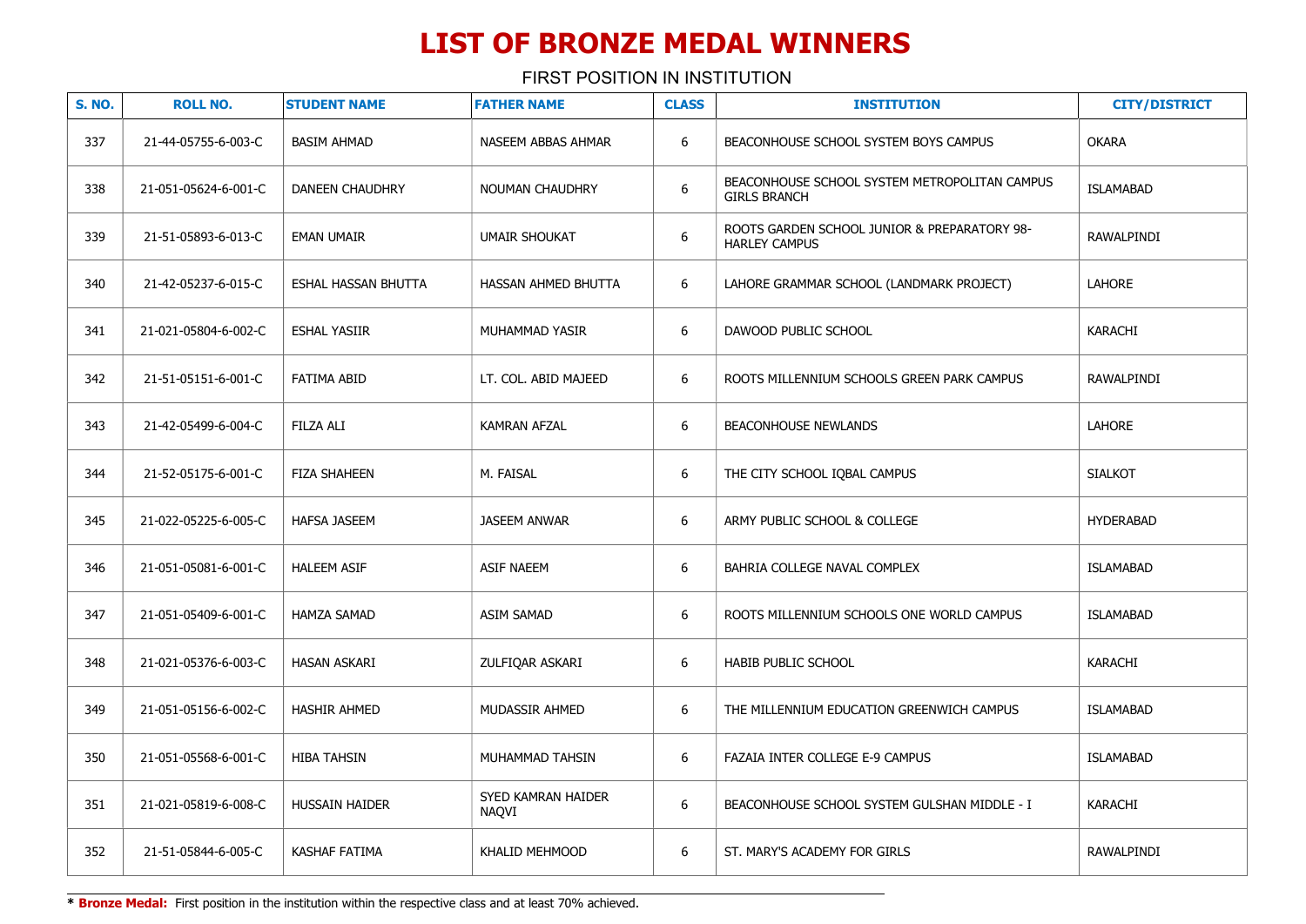| <b>S. NO.</b> | <b>ROLL NO.</b>      | <b>STUDENT NAME</b>        | <b>FATHER NAME</b>          | <b>CLASS</b> | <b>INSTITUTION</b>                                                   | <b>CITY/DISTRICT</b> |
|---------------|----------------------|----------------------------|-----------------------------|--------------|----------------------------------------------------------------------|----------------------|
| 337           | 21-44-05755-6-003-C  | <b>BASIM AHMAD</b>         | NASEEM ABBAS AHMAR          | 6            | BEACONHOUSE SCHOOL SYSTEM BOYS CAMPUS                                | <b>OKARA</b>         |
| 338           | 21-051-05624-6-001-C | DANEEN CHAUDHRY            | <b>NOUMAN CHAUDHRY</b>      | 6            | BEACONHOUSE SCHOOL SYSTEM METROPOLITAN CAMPUS<br><b>GIRLS BRANCH</b> | <b>ISLAMABAD</b>     |
| 339           | 21-51-05893-6-013-C  | <b>EMAN UMAIR</b>          | <b>UMAIR SHOUKAT</b>        | 6            | ROOTS GARDEN SCHOOL JUNIOR & PREPARATORY 98-<br><b>HARLEY CAMPUS</b> | <b>RAWALPINDI</b>    |
| 340           | 21-42-05237-6-015-C  | <b>ESHAL HASSAN BHUTTA</b> | HASSAN AHMED BHUTTA         | 6            | LAHORE GRAMMAR SCHOOL (LANDMARK PROJECT)                             | <b>LAHORE</b>        |
| 341           | 21-021-05804-6-002-C | <b>ESHAL YASIIR</b>        | MUHAMMAD YASIR              | 6            | DAWOOD PUBLIC SCHOOL                                                 | KARACHI              |
| 342           | 21-51-05151-6-001-C  | <b>FATIMA ABID</b>         | LT. COL. ABID MAJEED        | 6            | ROOTS MILLENNIUM SCHOOLS GREEN PARK CAMPUS                           | RAWALPINDI           |
| 343           | 21-42-05499-6-004-C  | <b>FILZA ALI</b>           | <b>KAMRAN AFZAL</b>         | 6            | <b>BEACONHOUSE NEWLANDS</b>                                          | LAHORE               |
| 344           | 21-52-05175-6-001-C  | <b>FIZA SHAHEEN</b>        | M. FAISAL                   | 6            | THE CITY SCHOOL IQBAL CAMPUS                                         | <b>SIALKOT</b>       |
| 345           | 21-022-05225-6-005-C | <b>HAFSA JASEEM</b>        | <b>JASEEM ANWAR</b>         | 6            | ARMY PUBLIC SCHOOL & COLLEGE                                         | <b>HYDERABAD</b>     |
| 346           | 21-051-05081-6-001-C | <b>HALEEM ASIF</b>         | <b>ASIF NAEEM</b>           | 6            | BAHRIA COLLEGE NAVAL COMPLEX                                         | <b>ISLAMABAD</b>     |
| 347           | 21-051-05409-6-001-C | <b>HAMZA SAMAD</b>         | <b>ASIM SAMAD</b>           | 6            | ROOTS MILLENNIUM SCHOOLS ONE WORLD CAMPUS                            | <b>ISLAMABAD</b>     |
| 348           | 21-021-05376-6-003-C | <b>HASAN ASKARI</b>        | ZULFIQAR ASKARI             | 6            | HABIB PUBLIC SCHOOL                                                  | <b>KARACHI</b>       |
| 349           | 21-051-05156-6-002-C | <b>HASHIR AHMED</b>        | MUDASSIR AHMED              | 6            | THE MILLENNIUM EDUCATION GREENWICH CAMPUS                            | ISLAMABAD            |
| 350           | 21-051-05568-6-001-C | <b>HIBA TAHSIN</b>         | MUHAMMAD TAHSIN             | 6            | FAZAIA INTER COLLEGE E-9 CAMPUS                                      | <b>ISLAMABAD</b>     |
| 351           | 21-021-05819-6-008-C | HUSSAIN HAIDER             | SYED KAMRAN HAIDER<br>NAQVI | 6            | BEACONHOUSE SCHOOL SYSTEM GULSHAN MIDDLE - I                         | KARACHI              |
| 352           | 21-51-05844-6-005-C  | KASHAF FATIMA              | KHALID MEHMOOD              | 6            | ST. MARY'S ACADEMY FOR GIRLS                                         | RAWALPINDI           |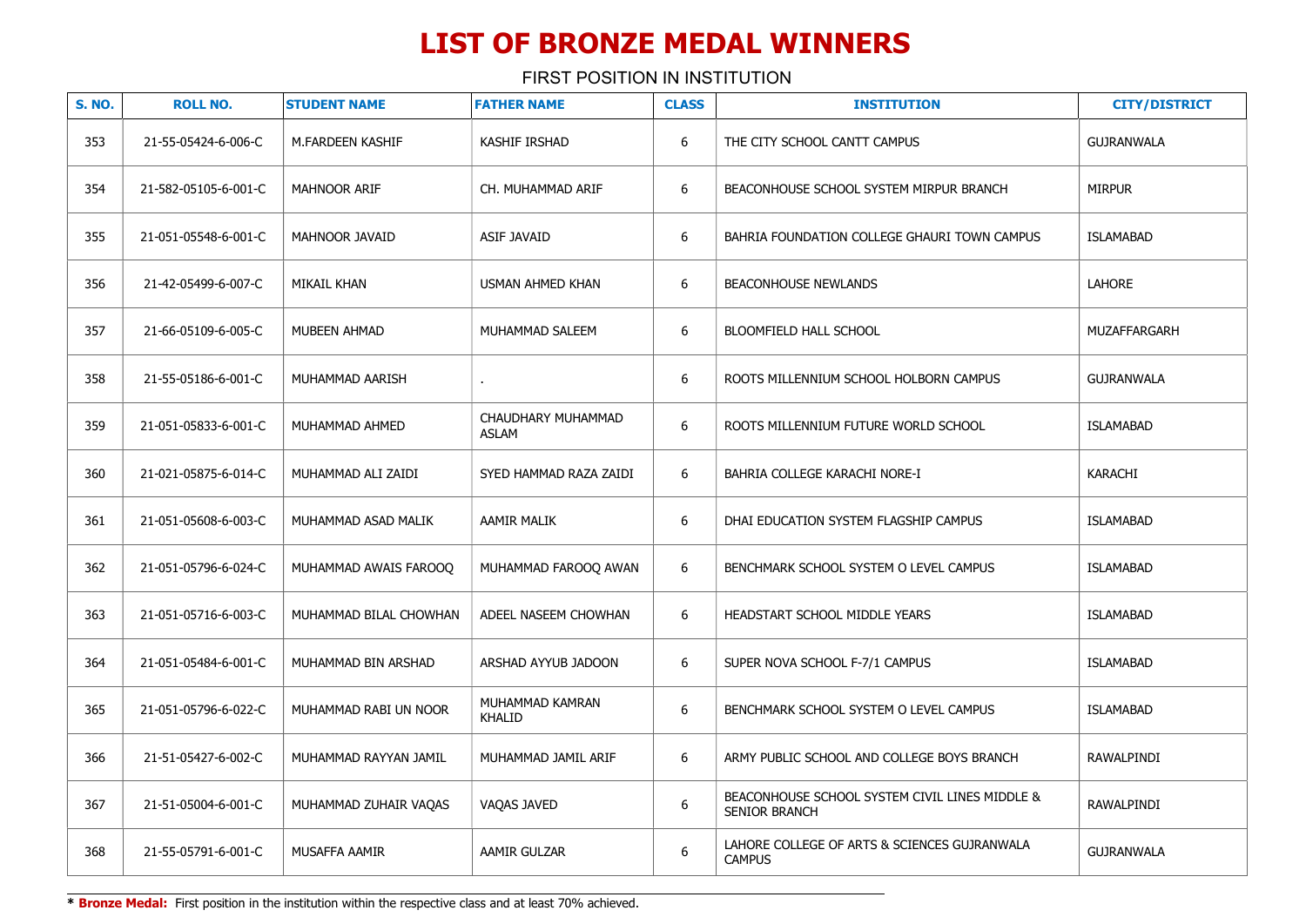| <b>S. NO.</b> | <b>ROLL NO.</b>      | <b>STUDENT NAME</b>    | <b>FATHER NAME</b>                 | <b>CLASS</b>     | <b>INSTITUTION</b>                                                     | <b>CITY/DISTRICT</b> |
|---------------|----------------------|------------------------|------------------------------------|------------------|------------------------------------------------------------------------|----------------------|
| 353           | 21-55-05424-6-006-C  | M.FARDEEN KASHIF       | <b>KASHIF IRSHAD</b>               | 6                | THE CITY SCHOOL CANTT CAMPUS                                           | <b>GUJRANWALA</b>    |
| 354           | 21-582-05105-6-001-C | <b>MAHNOOR ARIF</b>    | CH. MUHAMMAD ARIF                  | 6                | BEACONHOUSE SCHOOL SYSTEM MIRPUR BRANCH                                | <b>MIRPUR</b>        |
| 355           | 21-051-05548-6-001-C | <b>MAHNOOR JAVAID</b>  | <b>ASIF JAVAID</b>                 | 6                | BAHRIA FOUNDATION COLLEGE GHAURI TOWN CAMPUS                           | <b>ISLAMABAD</b>     |
| 356           | 21-42-05499-6-007-C  | <b>MIKAIL KHAN</b>     | <b>USMAN AHMED KHAN</b>            | 6                | <b>BEACONHOUSE NEWLANDS</b>                                            | <b>LAHORE</b>        |
| 357           | 21-66-05109-6-005-C  | <b>MUBEEN AHMAD</b>    | MUHAMMAD SALEEM                    | 6                | BLOOMFIELD HALL SCHOOL                                                 | MUZAFFARGARH         |
| 358           | 21-55-05186-6-001-C  | MUHAMMAD AARISH        |                                    | 6                | ROOTS MILLENNIUM SCHOOL HOLBORN CAMPUS                                 | <b>GUJRANWALA</b>    |
| 359           | 21-051-05833-6-001-C | MUHAMMAD AHMED         | CHAUDHARY MUHAMMAD<br><b>ASLAM</b> | 6                | ROOTS MILLENNIUM FUTURE WORLD SCHOOL                                   | <b>ISLAMABAD</b>     |
| 360           | 21-021-05875-6-014-C | MUHAMMAD ALI ZAIDI     | SYED HAMMAD RAZA ZAIDI             | 6                | BAHRIA COLLEGE KARACHI NORE-I                                          | <b>KARACHI</b>       |
| 361           | 21-051-05608-6-003-C | MUHAMMAD ASAD MALIK    | AAMIR MALIK                        | 6                | DHAI EDUCATION SYSTEM FLAGSHIP CAMPUS                                  | <b>ISLAMABAD</b>     |
| 362           | 21-051-05796-6-024-C | MUHAMMAD AWAIS FAROOQ  | MUHAMMAD FAROOQ AWAN               | 6                | BENCHMARK SCHOOL SYSTEM O LEVEL CAMPUS                                 | <b>ISLAMABAD</b>     |
| 363           | 21-051-05716-6-003-C | MUHAMMAD BILAL CHOWHAN | ADEEL NASEEM CHOWHAN               | 6                | HEADSTART SCHOOL MIDDLE YEARS                                          | <b>ISLAMABAD</b>     |
| 364           | 21-051-05484-6-001-C | MUHAMMAD BIN ARSHAD    | ARSHAD AYYUB JADOON                | 6                | SUPER NOVA SCHOOL F-7/1 CAMPUS                                         | <b>ISLAMABAD</b>     |
| 365           | 21-051-05796-6-022-C | MUHAMMAD RABI UN NOOR  | MUHAMMAD KAMRAN<br><b>KHALID</b>   | 6                | BENCHMARK SCHOOL SYSTEM O LEVEL CAMPUS                                 | <b>ISLAMABAD</b>     |
| 366           | 21-51-05427-6-002-C  | MUHAMMAD RAYYAN JAMIL  | MUHAMMAD JAMIL ARIF                | 6                | ARMY PUBLIC SCHOOL AND COLLEGE BOYS BRANCH                             | RAWALPINDI           |
| 367           | 21-51-05004-6-001-C  | MUHAMMAD ZUHAIR VAQAS  | VAQAS JAVED                        | $\boldsymbol{6}$ | BEACONHOUSE SCHOOL SYSTEM CIVIL LINES MIDDLE &<br><b>SENIOR BRANCH</b> | RAWALPINDI           |
| 368           | 21-55-05791-6-001-C  | MUSAFFA AAMIR          | AAMIR GULZAR                       | 6                | LAHORE COLLEGE OF ARTS & SCIENCES GUJRANWALA<br><b>CAMPUS</b>          | <b>GUJRANWALA</b>    |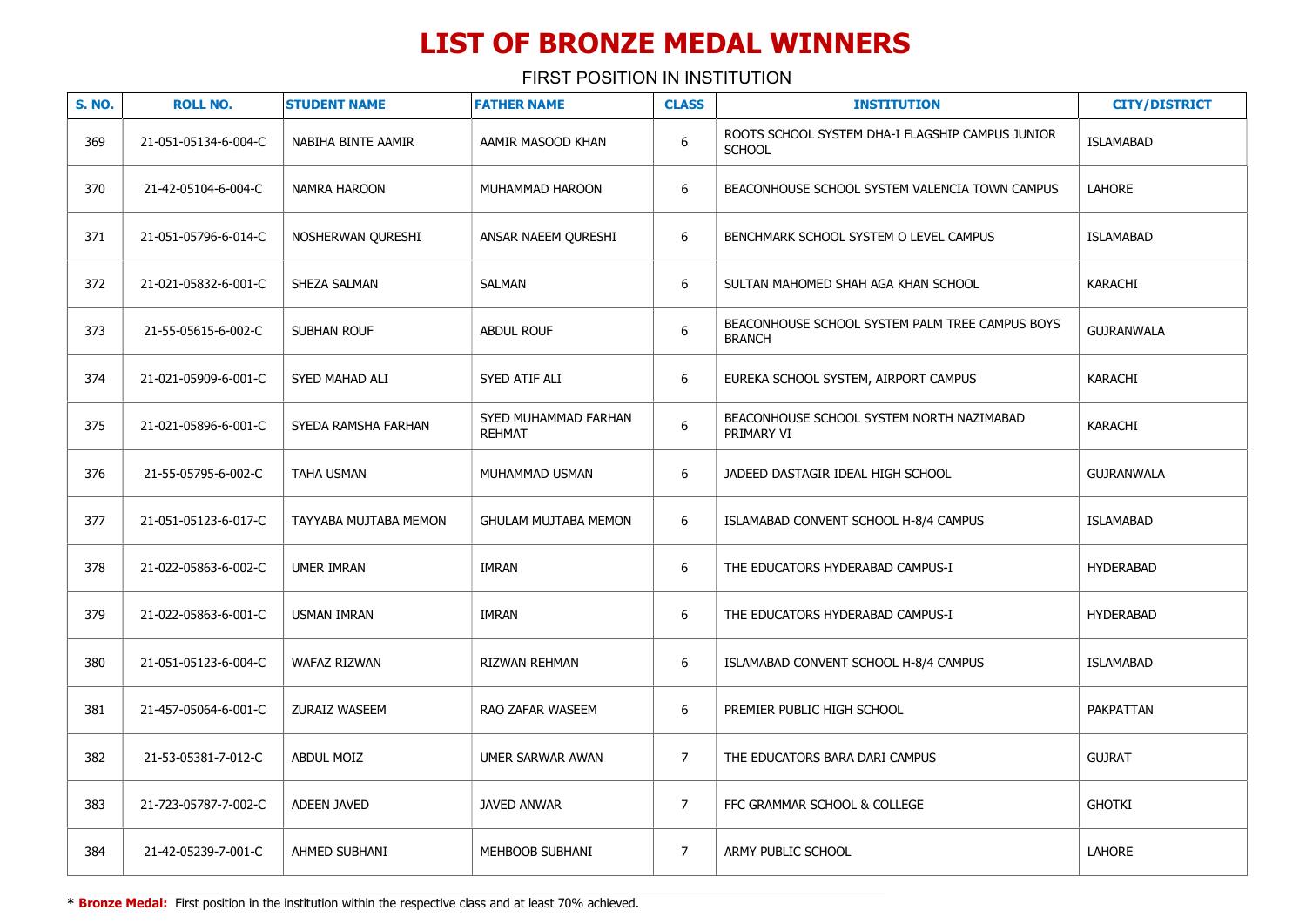FIRST POSITION IN INSTITUTION

| <b>S. NO.</b> | <b>ROLL NO.</b>      | <b>STUDENT NAME</b>   | <b>FATHER NAME</b>                    | <b>CLASS</b>     | <b>INSTITUTION</b>                                                | <b>CITY/DISTRICT</b> |
|---------------|----------------------|-----------------------|---------------------------------------|------------------|-------------------------------------------------------------------|----------------------|
| 369           | 21-051-05134-6-004-C | NABIHA BINTE AAMIR    | AAMIR MASOOD KHAN                     | $\boldsymbol{6}$ | ROOTS SCHOOL SYSTEM DHA-I FLAGSHIP CAMPUS JUNIOR<br><b>SCHOOL</b> | <b>ISLAMABAD</b>     |
| 370           | 21-42-05104-6-004-C  | NAMRA HAROON          | MUHAMMAD HAROON                       | 6                | BEACONHOUSE SCHOOL SYSTEM VALENCIA TOWN CAMPUS                    | LAHORE               |
| 371           | 21-051-05796-6-014-C | NOSHERWAN QURESHI     | ANSAR NAEEM QURESHI                   | 6                | BENCHMARK SCHOOL SYSTEM O LEVEL CAMPUS                            | <b>ISLAMABAD</b>     |
| 372           | 21-021-05832-6-001-C | SHEZA SALMAN          | SALMAN                                | 6                | SULTAN MAHOMED SHAH AGA KHAN SCHOOL                               | KARACHI              |
| 373           | 21-55-05615-6-002-C  | <b>SUBHAN ROUF</b>    | <b>ABDUL ROUF</b>                     | 6                | BEACONHOUSE SCHOOL SYSTEM PALM TREE CAMPUS BOYS<br><b>BRANCH</b>  | <b>GUJRANWALA</b>    |
| 374           | 21-021-05909-6-001-C | SYED MAHAD ALI        | SYED ATIF ALI                         | 6                | EUREKA SCHOOL SYSTEM, AIRPORT CAMPUS                              | KARACHI              |
| 375           | 21-021-05896-6-001-C | SYEDA RAMSHA FARHAN   | SYED MUHAMMAD FARHAN<br><b>REHMAT</b> | 6                | BEACONHOUSE SCHOOL SYSTEM NORTH NAZIMABAD<br>PRIMARY VI           | KARACHI              |
| 376           | 21-55-05795-6-002-C  | <b>TAHA USMAN</b>     | MUHAMMAD USMAN                        | 6                | JADEED DASTAGIR IDEAL HIGH SCHOOL                                 | <b>GUJRANWALA</b>    |
| 377           | 21-051-05123-6-017-C | TAYYABA MUJTABA MEMON | <b>GHULAM MUJTABA MEMON</b>           | 6                | ISLAMABAD CONVENT SCHOOL H-8/4 CAMPUS                             | <b>ISLAMABAD</b>     |
| 378           | 21-022-05863-6-002-C | UMER IMRAN            | <b>IMRAN</b>                          | $6\phantom{1}$   | THE EDUCATORS HYDERABAD CAMPUS-I                                  | <b>HYDERABAD</b>     |
| 379           | 21-022-05863-6-001-C | <b>USMAN IMRAN</b>    | <b>IMRAN</b>                          | 6                | THE EDUCATORS HYDERABAD CAMPUS-I                                  | <b>HYDERABAD</b>     |
| 380           | 21-051-05123-6-004-C | WAFAZ RIZWAN          | RIZWAN REHMAN                         | 6                | ISLAMABAD CONVENT SCHOOL H-8/4 CAMPUS                             | <b>ISLAMABAD</b>     |
| 381           | 21-457-05064-6-001-C | ZURAIZ WASEEM         | RAO ZAFAR WASEEM                      | 6                | PREMIER PUBLIC HIGH SCHOOL                                        | PAKPATTAN            |
| 382           | 21-53-05381-7-012-C  | <b>ABDUL MOIZ</b>     | UMER SARWAR AWAN                      | $\overline{7}$   | THE EDUCATORS BARA DARI CAMPUS                                    | <b>GUJRAT</b>        |
| 383           | 21-723-05787-7-002-C | <b>ADEEN JAVED</b>    | <b>JAVED ANWAR</b>                    | $\overline{7}$   | FFC GRAMMAR SCHOOL & COLLEGE                                      | <b>GHOTKI</b>        |
| 384           | 21-42-05239-7-001-C  | AHMED SUBHANI         | MEHBOOB SUBHANI                       | $\overline{7}$   | ARMY PUBLIC SCHOOL                                                | LAHORE               |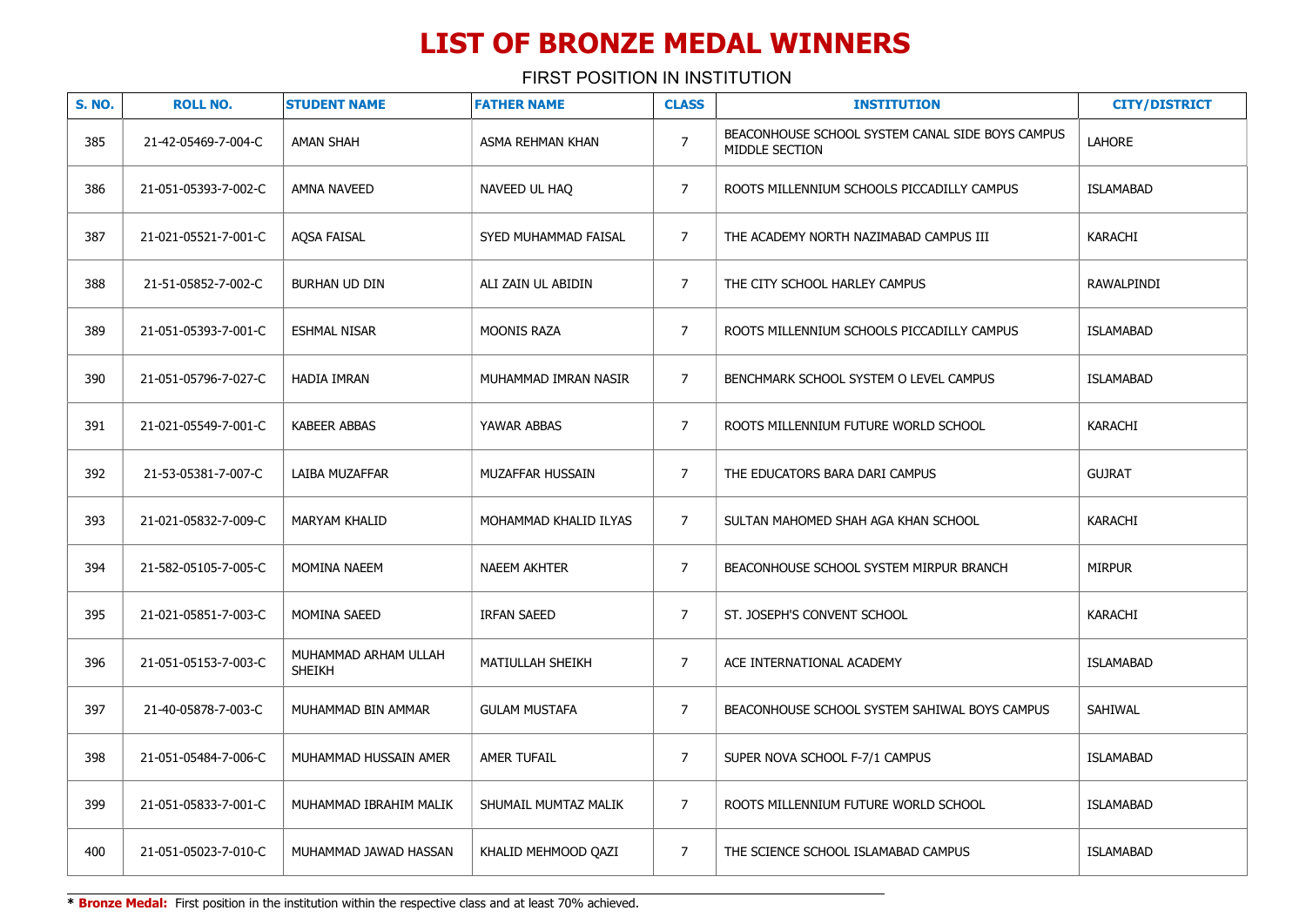FIRST POSITION IN INSTITUTION

| <b>S. NO.</b> | <b>ROLL NO.</b>      | <b>STUDENT NAME</b>                   | <b>FATHER NAME</b>    | <b>CLASS</b>   | <b>INSTITUTION</b>                                                 | <b>CITY/DISTRICT</b> |
|---------------|----------------------|---------------------------------------|-----------------------|----------------|--------------------------------------------------------------------|----------------------|
| 385           | 21-42-05469-7-004-C  | <b>AMAN SHAH</b>                      | ASMA REHMAN KHAN      | $\overline{7}$ | BEACONHOUSE SCHOOL SYSTEM CANAL SIDE BOYS CAMPUS<br>MIDDLE SECTION | <b>LAHORE</b>        |
| 386           | 21-051-05393-7-002-C | AMNA NAVEED                           | NAVEED UL HAQ         | $\overline{7}$ | ROOTS MILLENNIUM SCHOOLS PICCADILLY CAMPUS                         | <b>ISLAMABAD</b>     |
| 387           | 21-021-05521-7-001-C | <b>AQSA FAISAL</b>                    | SYED MUHAMMAD FAISAL  | $\overline{7}$ | THE ACADEMY NORTH NAZIMABAD CAMPUS III                             | KARACHI              |
| 388           | 21-51-05852-7-002-C  | BURHAN UD DIN                         | ALI ZAIN UL ABIDIN    | $\overline{7}$ | THE CITY SCHOOL HARLEY CAMPUS                                      | RAWALPINDI           |
| 389           | 21-051-05393-7-001-C | <b>ESHMAL NISAR</b>                   | <b>MOONIS RAZA</b>    | $\overline{7}$ | ROOTS MILLENNIUM SCHOOLS PICCADILLY CAMPUS                         | <b>ISLAMABAD</b>     |
| 390           | 21-051-05796-7-027-C | HADIA IMRAN                           | MUHAMMAD IMRAN NASIR  | $\overline{7}$ | BENCHMARK SCHOOL SYSTEM O LEVEL CAMPUS                             | <b>ISLAMABAD</b>     |
| 391           | 21-021-05549-7-001-C | <b>KABEER ABBAS</b>                   | YAWAR ABBAS           | $\overline{7}$ | ROOTS MILLENNIUM FUTURE WORLD SCHOOL                               | <b>KARACHI</b>       |
| 392           | 21-53-05381-7-007-C  | LAIBA MUZAFFAR                        | MUZAFFAR HUSSAIN      | $\overline{7}$ | THE EDUCATORS BARA DARI CAMPUS                                     | <b>GUJRAT</b>        |
| 393           | 21-021-05832-7-009-C | <b>MARYAM KHALID</b>                  | MOHAMMAD KHALID ILYAS | $\overline{7}$ | SULTAN MAHOMED SHAH AGA KHAN SCHOOL                                | KARACHI              |
| 394           | 21-582-05105-7-005-C | MOMINA NAEEM                          | NAEEM AKHTER          | $\overline{7}$ | BEACONHOUSE SCHOOL SYSTEM MIRPUR BRANCH                            | <b>MIRPUR</b>        |
| 395           | 21-021-05851-7-003-C | <b>MOMINA SAEED</b>                   | <b>IRFAN SAEED</b>    | $\overline{7}$ | ST. JOSEPH'S CONVENT SCHOOL                                        | KARACHI              |
| 396           | 21-051-05153-7-003-C | MUHAMMAD ARHAM ULLAH<br><b>SHEIKH</b> | MATIULLAH SHEIKH      | $\overline{7}$ | ACE INTERNATIONAL ACADEMY                                          | <b>ISLAMABAD</b>     |
| 397           | 21-40-05878-7-003-C  | MUHAMMAD BIN AMMAR                    | <b>GULAM MUSTAFA</b>  | $\overline{7}$ | BEACONHOUSE SCHOOL SYSTEM SAHIWAL BOYS CAMPUS                      | <b>SAHIWAL</b>       |
| 398           | 21-051-05484-7-006-C | MUHAMMAD HUSSAIN AMER                 | <b>AMER TUFAIL</b>    | $\overline{7}$ | SUPER NOVA SCHOOL F-7/1 CAMPUS                                     | <b>ISLAMABAD</b>     |
| 399           | 21-051-05833-7-001-C | MUHAMMAD IBRAHIM MALIK                | SHUMAIL MUMTAZ MALIK  | $\overline{7}$ | ROOTS MILLENNIUM FUTURE WORLD SCHOOL                               | <b>ISLAMABAD</b>     |
| 400           | 21-051-05023-7-010-C | MUHAMMAD JAWAD HASSAN                 | KHALID MEHMOOD QAZI   | $\overline{7}$ | THE SCIENCE SCHOOL ISLAMABAD CAMPUS                                | <b>ISLAMABAD</b>     |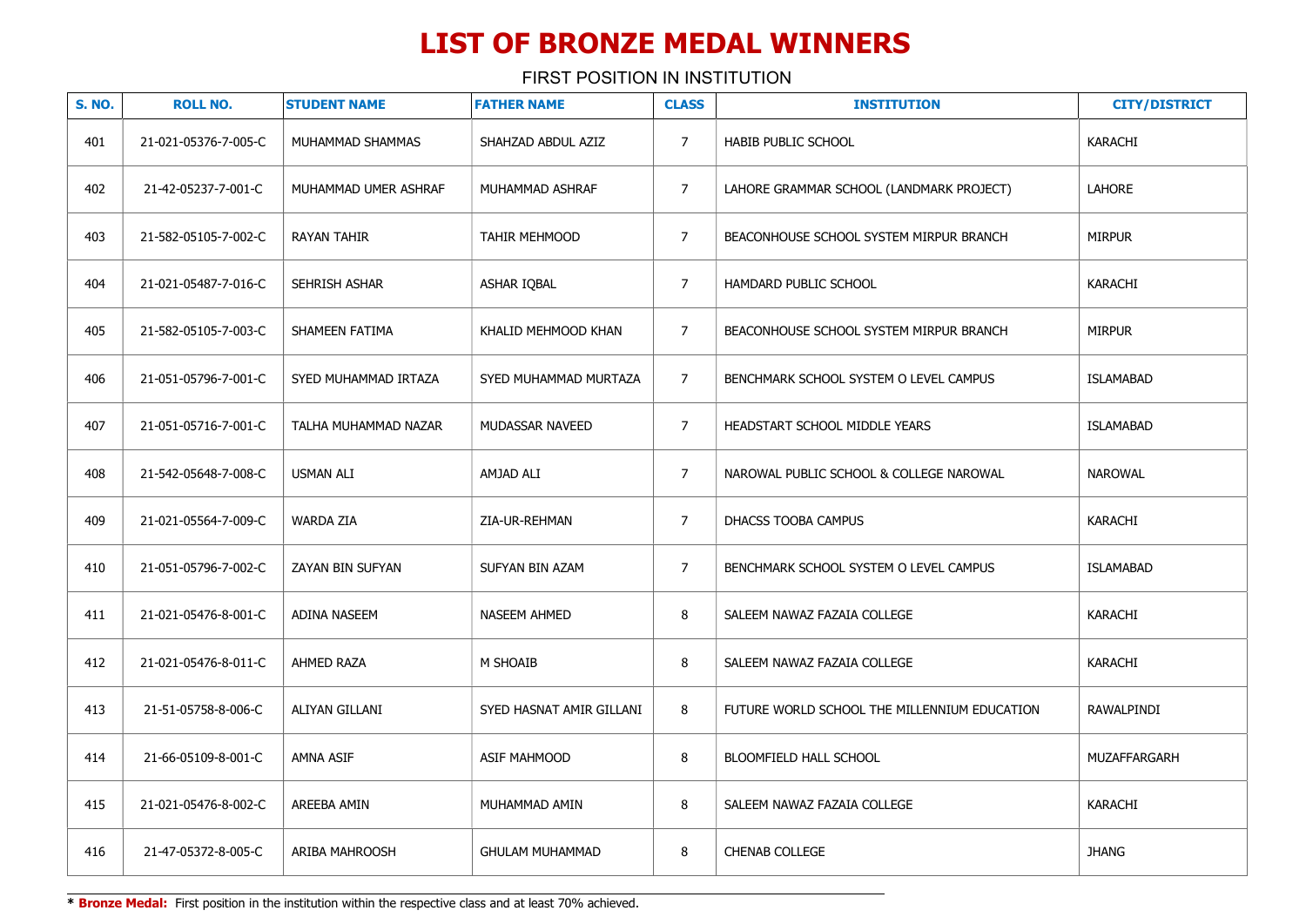FIRST POSITION IN INSTITUTION

| <b>S. NO.</b> | <b>ROLL NO.</b>      | <b>STUDENT NAME</b>  | <b>FATHER NAME</b>       | <b>CLASS</b>   | <b>INSTITUTION</b>                           | <b>CITY/DISTRICT</b> |
|---------------|----------------------|----------------------|--------------------------|----------------|----------------------------------------------|----------------------|
| 401           | 21-021-05376-7-005-C | MUHAMMAD SHAMMAS     | SHAHZAD ABDUL AZIZ       | $\overline{7}$ | <b>HABIB PUBLIC SCHOOL</b>                   | KARACHI              |
| 402           | 21-42-05237-7-001-C  | MUHAMMAD UMER ASHRAF | MUHAMMAD ASHRAF          | $\overline{7}$ | LAHORE GRAMMAR SCHOOL (LANDMARK PROJECT)     | LAHORE               |
| 403           | 21-582-05105-7-002-C | <b>RAYAN TAHIR</b>   | TAHIR MEHMOOD            | $\overline{7}$ | BEACONHOUSE SCHOOL SYSTEM MIRPUR BRANCH      | <b>MIRPUR</b>        |
| 404           | 21-021-05487-7-016-C | SEHRISH ASHAR        | ASHAR IQBAL              | $\overline{7}$ | HAMDARD PUBLIC SCHOOL                        | KARACHI              |
| 405           | 21-582-05105-7-003-C | SHAMEEN FATIMA       | KHALID MEHMOOD KHAN      | $\overline{7}$ | BEACONHOUSE SCHOOL SYSTEM MIRPUR BRANCH      | <b>MIRPUR</b>        |
| 406           | 21-051-05796-7-001-C | SYED MUHAMMAD IRTAZA | SYED MUHAMMAD MURTAZA    | $\overline{7}$ | BENCHMARK SCHOOL SYSTEM O LEVEL CAMPUS       | <b>ISLAMABAD</b>     |
| 407           | 21-051-05716-7-001-C | TALHA MUHAMMAD NAZAR | MUDASSAR NAVEED          | $\overline{7}$ | HEADSTART SCHOOL MIDDLE YEARS                | <b>ISLAMABAD</b>     |
| 408           | 21-542-05648-7-008-C | <b>USMAN ALI</b>     | AMJAD ALI                | $\overline{7}$ | NAROWAL PUBLIC SCHOOL & COLLEGE NAROWAL      | <b>NAROWAL</b>       |
| 409           | 21-021-05564-7-009-C | <b>WARDA ZIA</b>     | ZIA-UR-REHMAN            | $\overline{7}$ | DHACSS TOOBA CAMPUS                          | KARACHI              |
| 410           | 21-051-05796-7-002-C | ZAYAN BIN SUFYAN     | SUFYAN BIN AZAM          | $\overline{7}$ | BENCHMARK SCHOOL SYSTEM O LEVEL CAMPUS       | <b>ISLAMABAD</b>     |
| 411           | 21-021-05476-8-001-C | <b>ADINA NASEEM</b>  | <b>NASEEM AHMED</b>      | 8              | SALEEM NAWAZ FAZAIA COLLEGE                  | KARACHI              |
| 412           | 21-021-05476-8-011-C | AHMED RAZA           | M SHOAIB                 | 8              | SALEEM NAWAZ FAZAIA COLLEGE                  | KARACHI              |
| 413           | 21-51-05758-8-006-C  | ALIYAN GILLANI       | SYED HASNAT AMIR GILLANI | 8              | FUTURE WORLD SCHOOL THE MILLENNIUM EDUCATION | RAWALPINDI           |
| 414           | 21-66-05109-8-001-C  | AMNA ASIF            | ASIF MAHMOOD             | 8              | BLOOMFIELD HALL SCHOOL                       | MUZAFFARGARH         |
| 415           | 21-021-05476-8-002-C | AREEBA AMIN          | MUHAMMAD AMIN            | 8              | SALEEM NAWAZ FAZAIA COLLEGE                  | KARACHI              |
| 416           | 21-47-05372-8-005-C  | ARIBA MAHROOSH       | <b>GHULAM MUHAMMAD</b>   | 8              | <b>CHENAB COLLEGE</b>                        | <b>JHANG</b>         |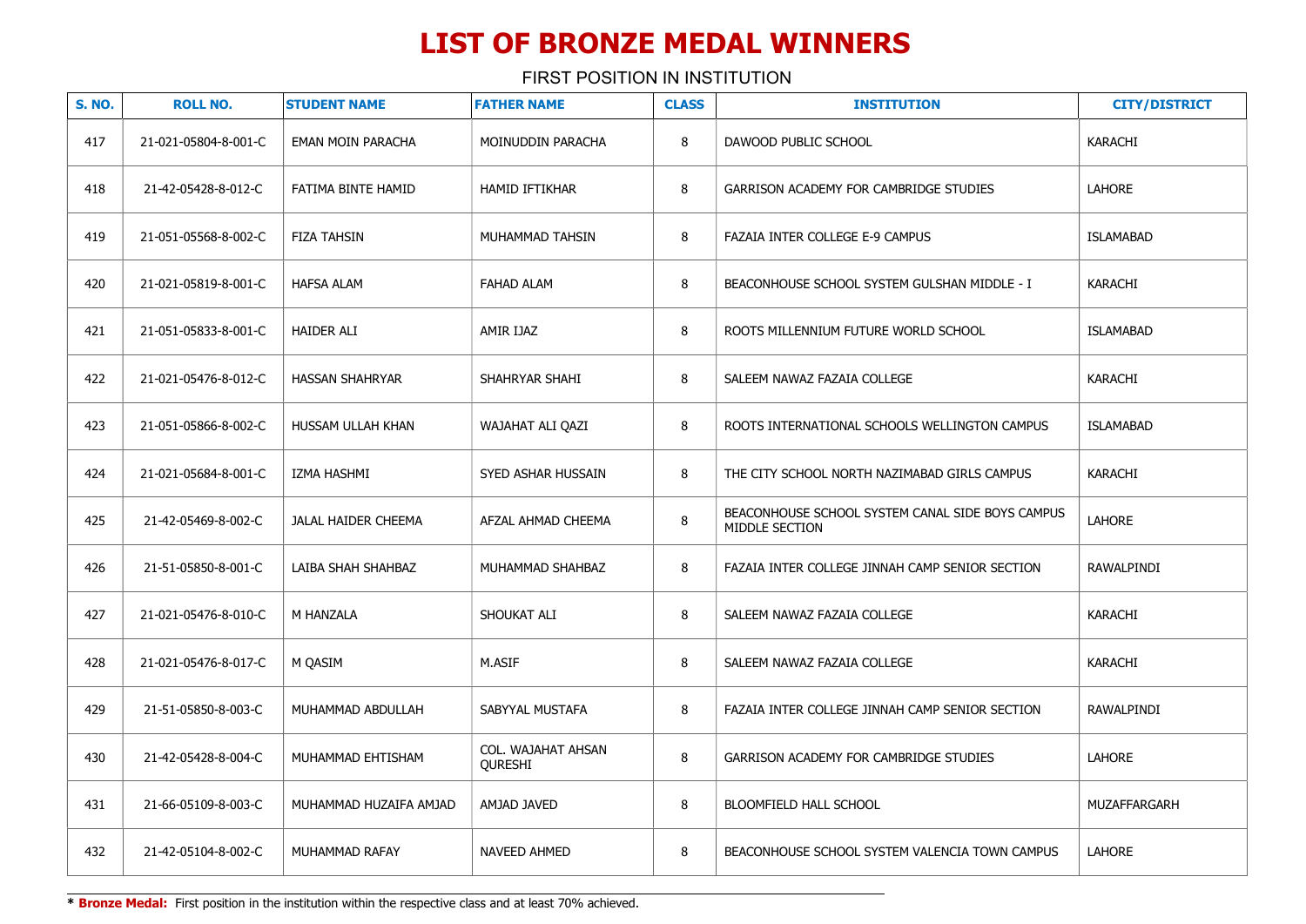FIRST POSITION IN INSTITUTION

| <b>S. NO.</b> | <b>ROLL NO.</b>      | <b>STUDENT NAME</b>    | <b>FATHER NAME</b>            | <b>CLASS</b> | <b>INSTITUTION</b>                                                 | <b>CITY/DISTRICT</b> |
|---------------|----------------------|------------------------|-------------------------------|--------------|--------------------------------------------------------------------|----------------------|
| 417           | 21-021-05804-8-001-C | EMAN MOIN PARACHA      | MOINUDDIN PARACHA             | 8            | DAWOOD PUBLIC SCHOOL                                               | KARACHI              |
| 418           | 21-42-05428-8-012-C  | FATIMA BINTE HAMID     | <b>HAMID IFTIKHAR</b>         | 8            | GARRISON ACADEMY FOR CAMBRIDGE STUDIES                             | <b>LAHORE</b>        |
| 419           | 21-051-05568-8-002-C | <b>FIZA TAHSIN</b>     | MUHAMMAD TAHSIN               | 8            | FAZAIA INTER COLLEGE E-9 CAMPUS                                    | <b>ISLAMABAD</b>     |
| 420           | 21-021-05819-8-001-C | <b>HAFSA ALAM</b>      | <b>FAHAD ALAM</b>             | 8            | BEACONHOUSE SCHOOL SYSTEM GULSHAN MIDDLE - I                       | KARACHI              |
| 421           | 21-051-05833-8-001-C | <b>HAIDER ALI</b>      | AMIR IJAZ                     | 8            | ROOTS MILLENNIUM FUTURE WORLD SCHOOL                               | <b>ISLAMABAD</b>     |
| 422           | 21-021-05476-8-012-C | HASSAN SHAHRYAR        | SHAHRYAR SHAHI                | 8            | SALEEM NAWAZ FAZAIA COLLEGE                                        | KARACHI              |
| 423           | 21-051-05866-8-002-C | HUSSAM ULLAH KHAN      | WAJAHAT ALI QAZI              | 8            | ROOTS INTERNATIONAL SCHOOLS WELLINGTON CAMPUS                      | <b>ISLAMABAD</b>     |
| 424           | 21-021-05684-8-001-C | IZMA HASHMI            | SYED ASHAR HUSSAIN            | 8            | THE CITY SCHOOL NORTH NAZIMABAD GIRLS CAMPUS                       | <b>KARACHI</b>       |
| 425           | 21-42-05469-8-002-C  | JALAL HAIDER CHEEMA    | AFZAL AHMAD CHEEMA            | 8            | BEACONHOUSE SCHOOL SYSTEM CANAL SIDE BOYS CAMPUS<br>MIDDLE SECTION | <b>LAHORE</b>        |
| 426           | 21-51-05850-8-001-C  | LAIBA SHAH SHAHBAZ     | MUHAMMAD SHAHBAZ              | 8            | FAZAIA INTER COLLEGE JINNAH CAMP SENIOR SECTION                    | RAWALPINDI           |
| 427           | 21-021-05476-8-010-C | M HANZALA              | SHOUKAT ALI                   | 8            | SALEEM NAWAZ FAZAIA COLLEGE                                        | KARACHI              |
| 428           | 21-021-05476-8-017-C | M QASIM                | M.ASIF                        | 8            | SALEEM NAWAZ FAZAIA COLLEGE                                        | KARACHI              |
| 429           | 21-51-05850-8-003-C  | MUHAMMAD ABDULLAH      | SABYYAL MUSTAFA               | 8            | FAZAIA INTER COLLEGE JINNAH CAMP SENIOR SECTION                    | RAWALPINDI           |
| 430           | 21-42-05428-8-004-C  | MUHAMMAD EHTISHAM      | COL. WAJAHAT AHSAN<br>QURESHI | 8            | GARRISON ACADEMY FOR CAMBRIDGE STUDIES                             | <b>LAHORE</b>        |
| 431           | 21-66-05109-8-003-C  | MUHAMMAD HUZAIFA AMJAD | AMJAD JAVED                   | 8            | BLOOMFIELD HALL SCHOOL                                             | MUZAFFARGARH         |
| 432           | 21-42-05104-8-002-C  | MUHAMMAD RAFAY         | NAVEED AHMED                  | 8            | BEACONHOUSE SCHOOL SYSTEM VALENCIA TOWN CAMPUS                     | <b>LAHORE</b>        |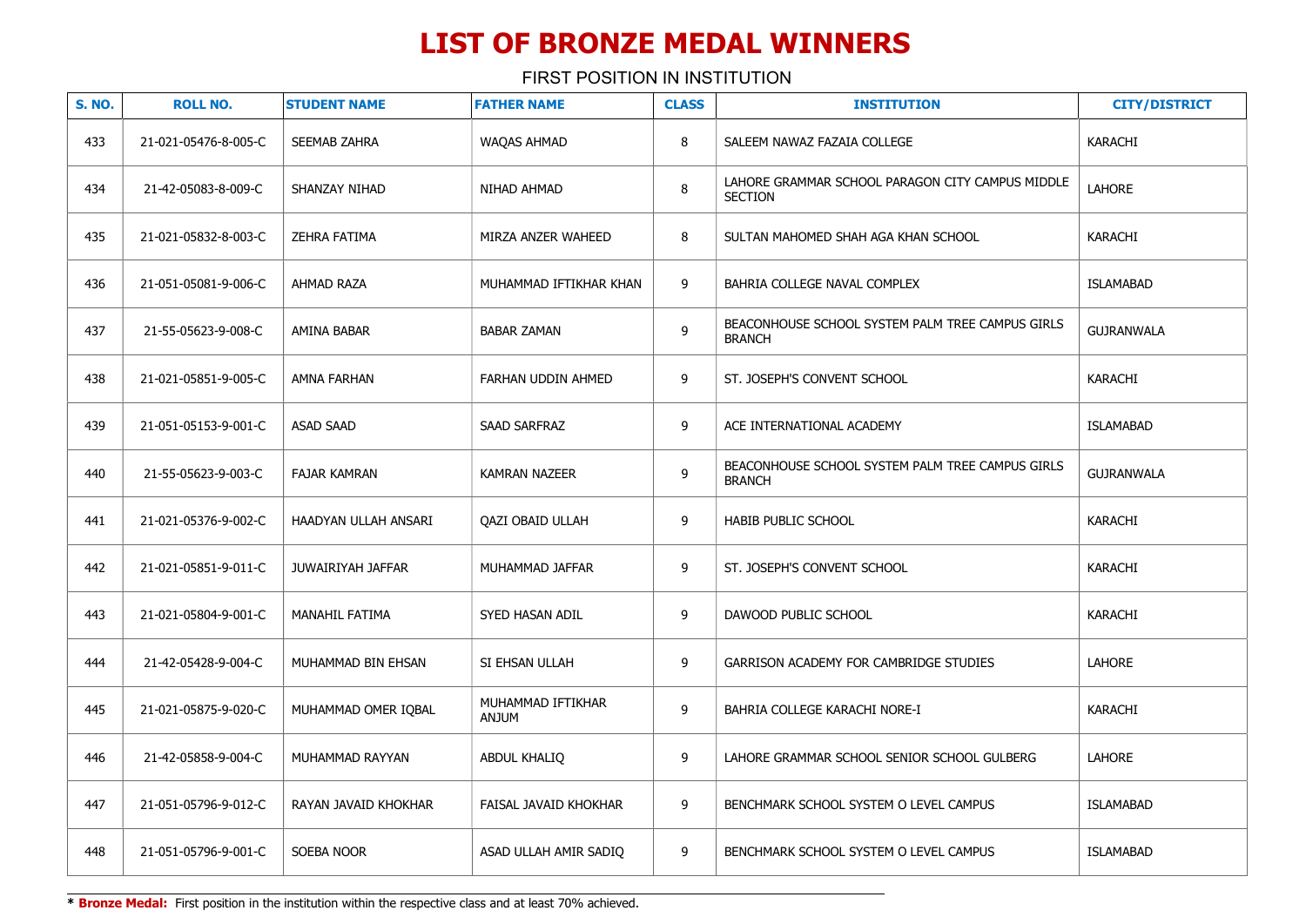FIRST POSITION IN INSTITUTION

| <b>S. NO.</b> | <b>ROLL NO.</b>      | <b>STUDENT NAME</b>   | <b>FATHER NAME</b>                | <b>CLASS</b> | <b>INSTITUTION</b>                                                 | <b>CITY/DISTRICT</b> |
|---------------|----------------------|-----------------------|-----------------------------------|--------------|--------------------------------------------------------------------|----------------------|
| 433           | 21-021-05476-8-005-C | <b>SEEMAB ZAHRA</b>   | <b>WAQAS AHMAD</b>                | 8            | SALEEM NAWAZ FAZAIA COLLEGE                                        | KARACHI              |
| 434           | 21-42-05083-8-009-C  | SHANZAY NIHAD         | NIHAD AHMAD                       | $\, 8$       | LAHORE GRAMMAR SCHOOL PARAGON CITY CAMPUS MIDDLE<br><b>SECTION</b> | <b>LAHORE</b>        |
| 435           | 21-021-05832-8-003-C | <b>ZEHRA FATIMA</b>   | MIRZA ANZER WAHEED                | 8            | SULTAN MAHOMED SHAH AGA KHAN SCHOOL                                | <b>KARACHI</b>       |
| 436           | 21-051-05081-9-006-C | AHMAD RAZA            | MUHAMMAD IFTIKHAR KHAN            | 9            | BAHRIA COLLEGE NAVAL COMPLEX                                       | <b>ISLAMABAD</b>     |
| 437           | 21-55-05623-9-008-C  | AMINA BABAR           | <b>BABAR ZAMAN</b>                | 9            | BEACONHOUSE SCHOOL SYSTEM PALM TREE CAMPUS GIRLS<br><b>BRANCH</b>  | <b>GUJRANWALA</b>    |
| 438           | 21-021-05851-9-005-C | AMNA FARHAN           | FARHAN UDDIN AHMED                | 9            | ST. JOSEPH'S CONVENT SCHOOL                                        | KARACHI              |
| 439           | 21-051-05153-9-001-C | <b>ASAD SAAD</b>      | SAAD SARFRAZ                      | 9            | ACE INTERNATIONAL ACADEMY                                          | <b>ISLAMABAD</b>     |
| 440           | 21-55-05623-9-003-C  | <b>FAJAR KAMRAN</b>   | <b>KAMRAN NAZEER</b>              | 9            | BEACONHOUSE SCHOOL SYSTEM PALM TREE CAMPUS GIRLS<br><b>BRANCH</b>  | <b>GUJRANWALA</b>    |
| 441           | 21-021-05376-9-002-C | HAADYAN ULLAH ANSARI  | QAZI OBAID ULLAH                  | 9            | HABIB PUBLIC SCHOOL                                                | KARACHI              |
| 442           | 21-021-05851-9-011-C | JUWAIRIYAH JAFFAR     | MUHAMMAD JAFFAR                   | 9            | ST. JOSEPH'S CONVENT SCHOOL                                        | KARACHI              |
| 443           | 21-021-05804-9-001-C | <b>MANAHIL FATIMA</b> | <b>SYED HASAN ADIL</b>            | 9            | DAWOOD PUBLIC SCHOOL                                               | <b>KARACHI</b>       |
| 444           | 21-42-05428-9-004-C  | MUHAMMAD BIN EHSAN    | SI EHSAN ULLAH                    | 9            | GARRISON ACADEMY FOR CAMBRIDGE STUDIES                             | <b>LAHORE</b>        |
| 445           | 21-021-05875-9-020-C | MUHAMMAD OMER IQBAL   | MUHAMMAD IFTIKHAR<br><b>MULIA</b> | 9            | BAHRIA COLLEGE KARACHI NORE-I                                      | KARACHI              |
| 446           | 21-42-05858-9-004-C  | MUHAMMAD RAYYAN       | ABDUL KHALIQ                      | 9            | LAHORE GRAMMAR SCHOOL SENIOR SCHOOL GULBERG                        | LAHORE               |
| 447           | 21-051-05796-9-012-C | RAYAN JAVAID KHOKHAR  | FAISAL JAVAID KHOKHAR             | 9            | BENCHMARK SCHOOL SYSTEM O LEVEL CAMPUS                             | <b>ISLAMABAD</b>     |
| 448           | 21-051-05796-9-001-C | SOEBA NOOR            | ASAD ULLAH AMIR SADIQ             | 9            | BENCHMARK SCHOOL SYSTEM O LEVEL CAMPUS                             | <b>ISLAMABAD</b>     |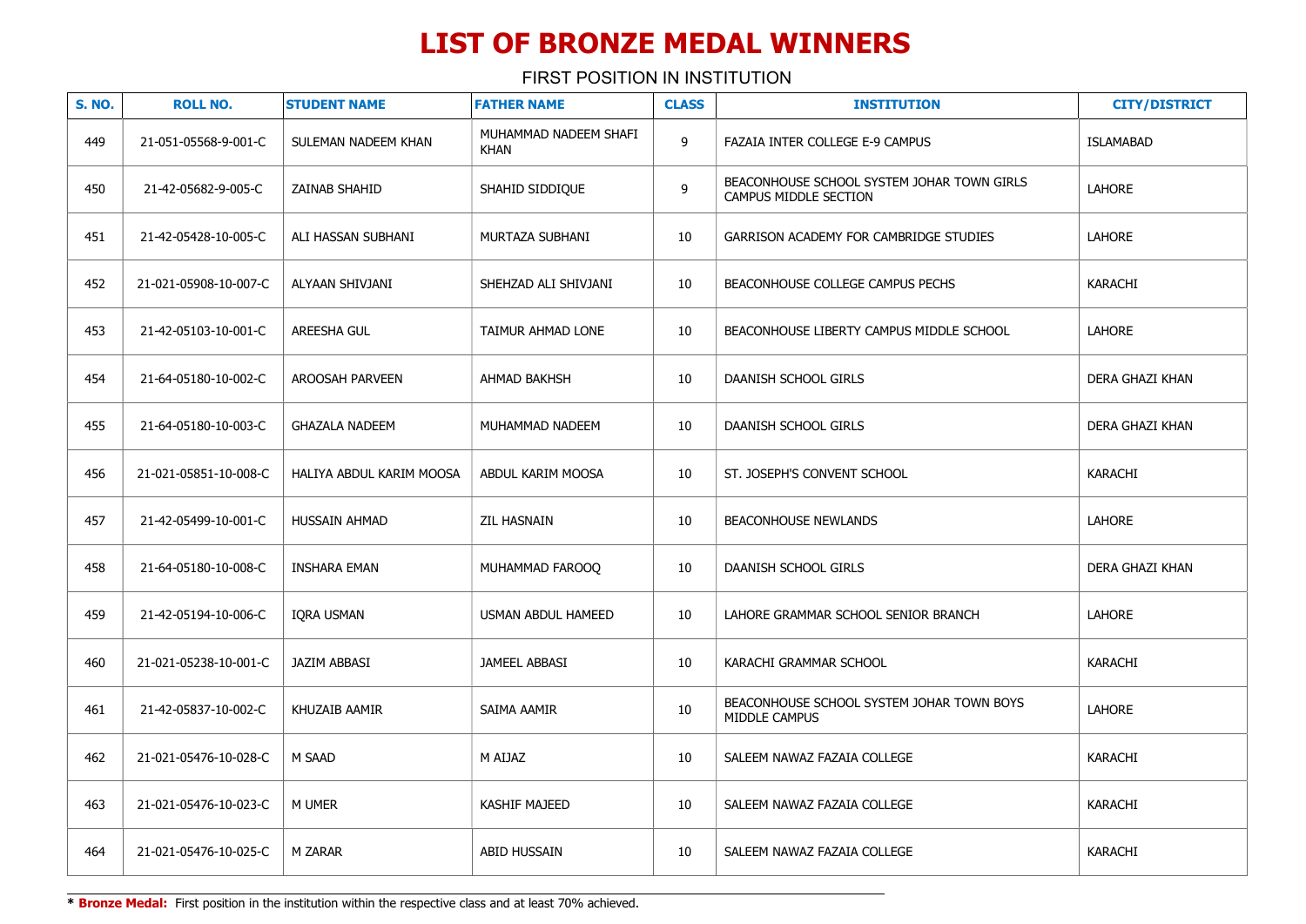FIRST POSITION IN INSTITUTION

| <b>S. NO.</b> | <b>ROLL NO.</b>       | <b>STUDENT NAME</b>      | <b>FATHER NAME</b>                   | <b>CLASS</b> | <b>INSTITUTION</b>                                                  | <b>CITY/DISTRICT</b> |
|---------------|-----------------------|--------------------------|--------------------------------------|--------------|---------------------------------------------------------------------|----------------------|
| 449           | 21-051-05568-9-001-C  | SULEMAN NADEEM KHAN      | MUHAMMAD NADEEM SHAFI<br><b>KHAN</b> | 9            | FAZAIA INTER COLLEGE E-9 CAMPUS                                     | <b>ISLAMABAD</b>     |
| 450           | 21-42-05682-9-005-C   | ZAINAB SHAHID            | SHAHID SIDDIQUE                      | 9            | BEACONHOUSE SCHOOL SYSTEM JOHAR TOWN GIRLS<br>CAMPUS MIDDLE SECTION | LAHORE               |
| 451           | 21-42-05428-10-005-C  | ALI HASSAN SUBHANI       | MURTAZA SUBHANI                      | 10           | GARRISON ACADEMY FOR CAMBRIDGE STUDIES                              | LAHORE               |
| 452           | 21-021-05908-10-007-C | ALYAAN SHIVJANI          | SHEHZAD ALI SHIVJANI                 | 10           | BEACONHOUSE COLLEGE CAMPUS PECHS                                    | <b>KARACHI</b>       |
| 453           | 21-42-05103-10-001-C  | AREESHA GUL              | TAIMUR AHMAD LONE                    | 10           | BEACONHOUSE LIBERTY CAMPUS MIDDLE SCHOOL                            | LAHORE               |
| 454           | 21-64-05180-10-002-C  | AROOSAH PARVEEN          | <b>AHMAD BAKHSH</b>                  | 10           | DAANISH SCHOOL GIRLS                                                | DERA GHAZI KHAN      |
| 455           | 21-64-05180-10-003-C  | <b>GHAZALA NADEEM</b>    | MUHAMMAD NADEEM                      | 10           | DAANISH SCHOOL GIRLS                                                | DERA GHAZI KHAN      |
| 456           | 21-021-05851-10-008-C | HALIYA ABDUL KARIM MOOSA | ABDUL KARIM MOOSA                    | 10           | ST. JOSEPH'S CONVENT SCHOOL                                         | <b>KARACHI</b>       |
| 457           | 21-42-05499-10-001-C  | <b>HUSSAIN AHMAD</b>     | <b>ZIL HASNAIN</b>                   | 10           | <b>BEACONHOUSE NEWLANDS</b>                                         | <b>LAHORE</b>        |
| 458           | 21-64-05180-10-008-C  | <b>INSHARA EMAN</b>      | MUHAMMAD FAROOQ                      | 10           | DAANISH SCHOOL GIRLS                                                | DERA GHAZI KHAN      |
| 459           | 21-42-05194-10-006-C  | IORA USMAN               | USMAN ABDUL HAMEED                   | 10           | LAHORE GRAMMAR SCHOOL SENIOR BRANCH                                 | LAHORE               |
| 460           | 21-021-05238-10-001-C | JAZIM ABBASI             | <b>JAMEEL ABBASI</b>                 | 10           | KARACHI GRAMMAR SCHOOL                                              | <b>KARACHI</b>       |
| 461           | 21-42-05837-10-002-C  | KHUZAIB AAMIR            | SAIMA AAMIR                          | 10           | BEACONHOUSE SCHOOL SYSTEM JOHAR TOWN BOYS<br>MIDDLE CAMPUS          | LAHORE               |
| 462           | 21-021-05476-10-028-C | M SAAD                   | M AIJAZ                              | 10           | SALEEM NAWAZ FAZAIA COLLEGE                                         | <b>KARACHI</b>       |
| 463           | 21-021-05476-10-023-C | M UMER                   | KASHIF MAJEED                        | 10           | SALEEM NAWAZ FAZAIA COLLEGE                                         | <b>KARACHI</b>       |
| 464           | 21-021-05476-10-025-C | M ZARAR                  | ABID HUSSAIN                         | 10           | SALEEM NAWAZ FAZAIA COLLEGE                                         | KARACHI              |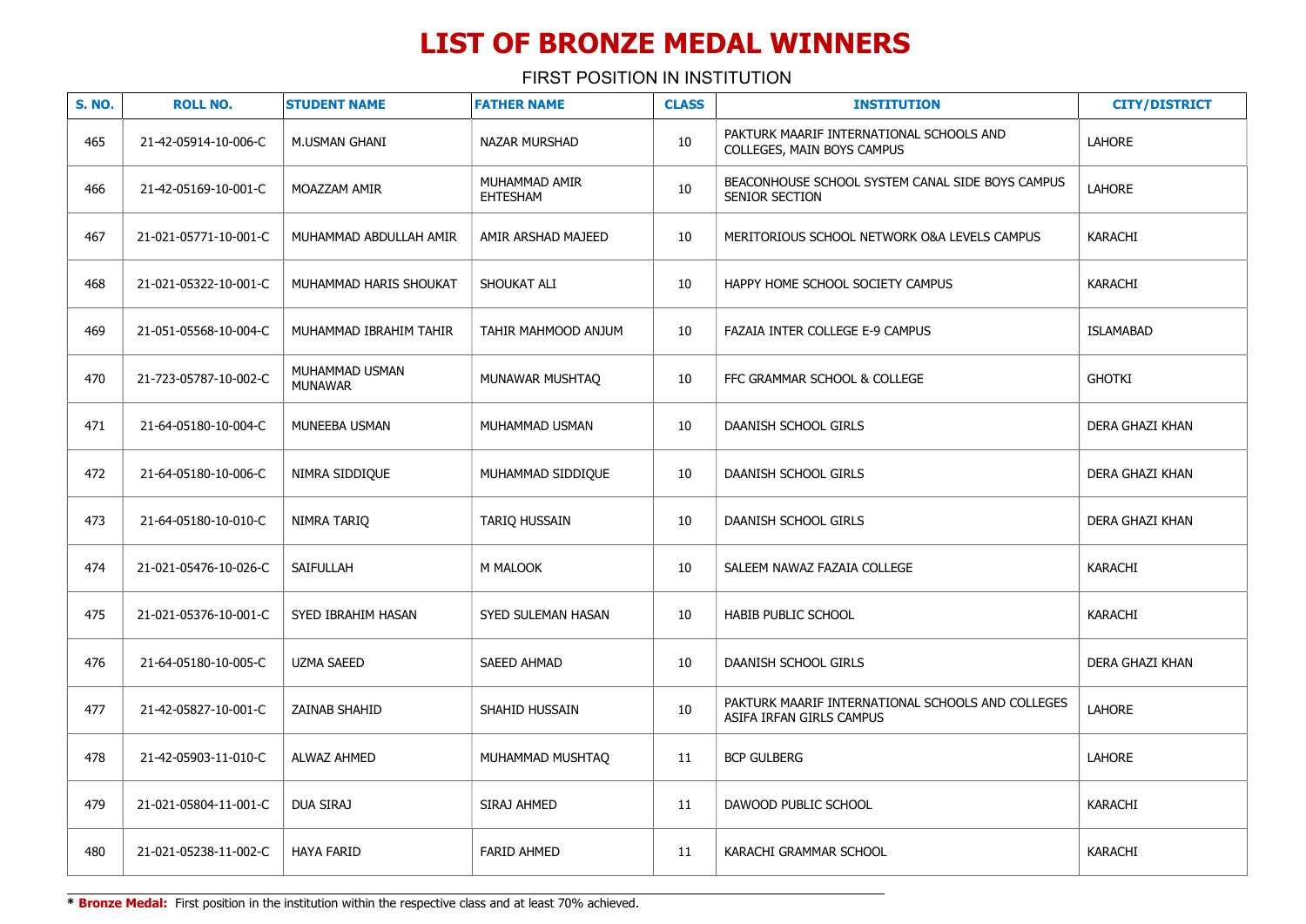FIRST POSITION IN INSTITUTION

| <b>S. NO.</b> | <b>ROLL NO.</b>       | <b>STUDENT NAME</b>              | <b>FATHER NAME</b>        | <b>CLASS</b> | <b>INSTITUTION</b>                                                            | <b>CITY/DISTRICT</b> |
|---------------|-----------------------|----------------------------------|---------------------------|--------------|-------------------------------------------------------------------------------|----------------------|
| 465           | 21-42-05914-10-006-C  | M.USMAN GHANI                    | <b>NAZAR MURSHAD</b>      | 10           | PAKTURK MAARIF INTERNATIONAL SCHOOLS AND<br>COLLEGES, MAIN BOYS CAMPUS        | LAHORE               |
| 466           | 21-42-05169-10-001-C  | MOAZZAM AMIR                     | MUHAMMAD AMIR<br>EHTESHAM | $10\,$       | BEACONHOUSE SCHOOL SYSTEM CANAL SIDE BOYS CAMPUS<br>SENIOR SECTION            | <b>LAHORE</b>        |
| 467           | 21-021-05771-10-001-C | MUHAMMAD ABDULLAH AMIR           | AMIR ARSHAD MAJEED        | 10           | MERITORIOUS SCHOOL NETWORK O&A LEVELS CAMPUS                                  | <b>KARACHI</b>       |
| 468           | 21-021-05322-10-001-C | MUHAMMAD HARIS SHOUKAT           | SHOUKAT ALI               | 10           | HAPPY HOME SCHOOL SOCIETY CAMPUS                                              | KARACHI              |
| 469           | 21-051-05568-10-004-C | MUHAMMAD IBRAHIM TAHIR           | TAHIR MAHMOOD ANJUM       | 10           | FAZAIA INTER COLLEGE E-9 CAMPUS                                               | <b>ISLAMABAD</b>     |
| 470           | 21-723-05787-10-002-C | MUHAMMAD USMAN<br><b>MUNAWAR</b> | MUNAWAR MUSHTAQ           | 10           | FFC GRAMMAR SCHOOL & COLLEGE                                                  | <b>GHOTKI</b>        |
| 471           | 21-64-05180-10-004-C  | MUNEEBA USMAN                    | MUHAMMAD USMAN            | 10           | DAANISH SCHOOL GIRLS                                                          | DERA GHAZI KHAN      |
| 472           | 21-64-05180-10-006-C  | NIMRA SIDDIQUE                   | MUHAMMAD SIDDIQUE         | 10           | DAANISH SCHOOL GIRLS                                                          | DERA GHAZI KHAN      |
| 473           | 21-64-05180-10-010-C  | NIMRA TARIQ                      | TARIQ HUSSAIN             | 10           | DAANISH SCHOOL GIRLS                                                          | DERA GHAZI KHAN      |
| 474           | 21-021-05476-10-026-C | SAIFULLAH                        | M MALOOK                  | 10           | SALEEM NAWAZ FAZAIA COLLEGE                                                   | <b>KARACHI</b>       |
| 475           | 21-021-05376-10-001-C | SYED IBRAHIM HASAN               | SYED SULEMAN HASAN        | 10           | <b>HABIB PUBLIC SCHOOL</b>                                                    | <b>KARACHI</b>       |
| 476           | 21-64-05180-10-005-C  | <b>UZMA SAEED</b>                | SAEED AHMAD               | 10           | DAANISH SCHOOL GIRLS                                                          | DERA GHAZI KHAN      |
| 477           | 21-42-05827-10-001-C  | ZAINAB SHAHID                    | SHAHID HUSSAIN            | 10           | PAKTURK MAARIF INTERNATIONAL SCHOOLS AND COLLEGES<br>ASIFA IRFAN GIRLS CAMPUS | LAHORE               |
| 478           | 21-42-05903-11-010-C  | <b>ALWAZ AHMED</b>               | MUHAMMAD MUSHTAQ          | 11           | <b>BCP GULBERG</b>                                                            | LAHORE               |
| 479           | 21-021-05804-11-001-C | DUA SIRAJ                        | SIRAJ AHMED               | 11           | DAWOOD PUBLIC SCHOOL                                                          | KARACHI              |
| 480           | 21-021-05238-11-002-C | <b>HAYA FARID</b>                | <b>FARID AHMED</b>        | 11           | KARACHI GRAMMAR SCHOOL                                                        | <b>KARACHI</b>       |